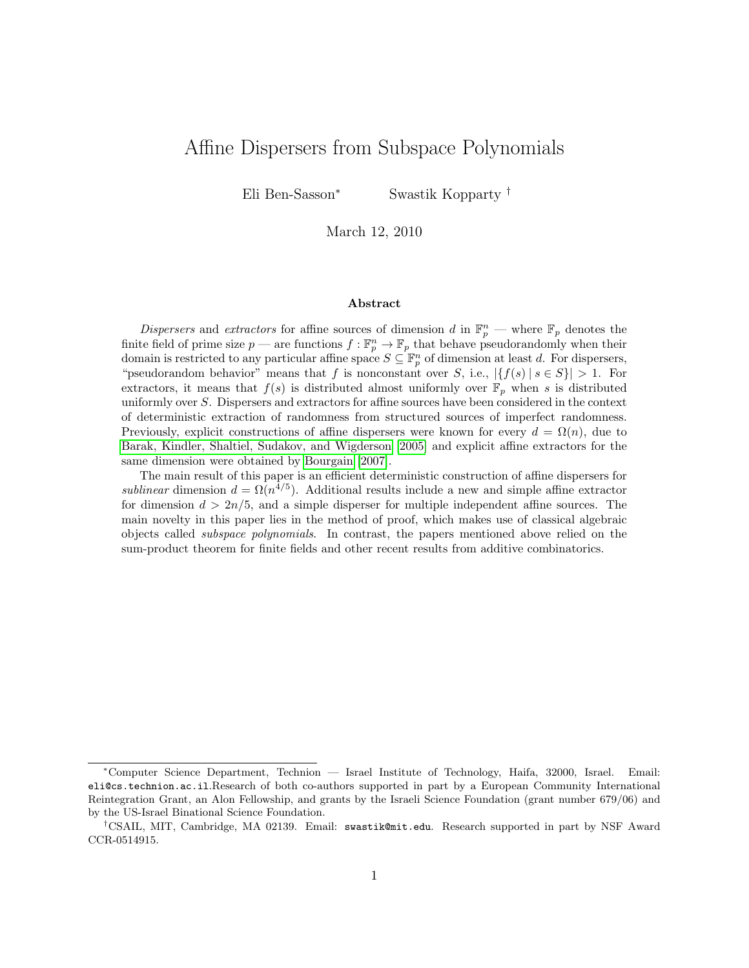# Affine Dispersers from Subspace Polynomials

Eli Ben-Sasson<sup>∗</sup> Swastik Kopparty †

March 12, 2010

#### Abstract

Dispersers and extractors for affine sources of dimension d in  $\mathbb{F}_p^n$  — where  $\mathbb{F}_p$  denotes the finite field of prime size  $p$  — are functions  $f: \mathbb{F}_p^n \to \mathbb{F}_p$  that behave pseudorandomly when their domain is restricted to any particular affine space  $S \subseteq \mathbb{F}_p^n$  of dimension at least d. For dispersers, "pseudorandom behavior" means that f is nonconstant over S, i.e.,  $|\{f(s) | s \in S\}| > 1$ . For extractors, it means that  $f(s)$  is distributed almost uniformly over  $\mathbb{F}_p$  when s is distributed uniformly over S. Dispersers and extractors for affine sources have been considered in the context of deterministic extraction of randomness from structured sources of imperfect randomness. Previously, explicit constructions of affine dispersers were known for every  $d = \Omega(n)$ , due to [Barak, Kindler, Shaltiel, Sudakov, and Wigderson](#page-39-0) [\[2005\]](#page-39-0) and explicit affine extractors for the same dimension were obtained by [Bourgain](#page-39-1) [\[2007\]](#page-39-1).

The main result of this paper is an efficient deterministic construction of affine dispersers for sublinear dimension  $d = \Omega(n^{4/5})$ . Additional results include a new and simple affine extractor for dimension  $d > 2n/5$ , and a simple disperser for multiple independent affine sources. The main novelty in this paper lies in the method of proof, which makes use of classical algebraic objects called subspace polynomials. In contrast, the papers mentioned above relied on the sum-product theorem for finite fields and other recent results from additive combinatorics.

<sup>∗</sup>Computer Science Department, Technion — Israel Institute of Technology, Haifa, 32000, Israel. Email: eli@cs.technion.ac.il.Research of both co-authors supported in part by a European Community International Reintegration Grant, an Alon Fellowship, and grants by the Israeli Science Foundation (grant number 679/06) and by the US-Israel Binational Science Foundation.

<sup>†</sup>CSAIL, MIT, Cambridge, MA 02139. Email: swastik@mit.edu. Research supported in part by NSF Award CCR-0514915.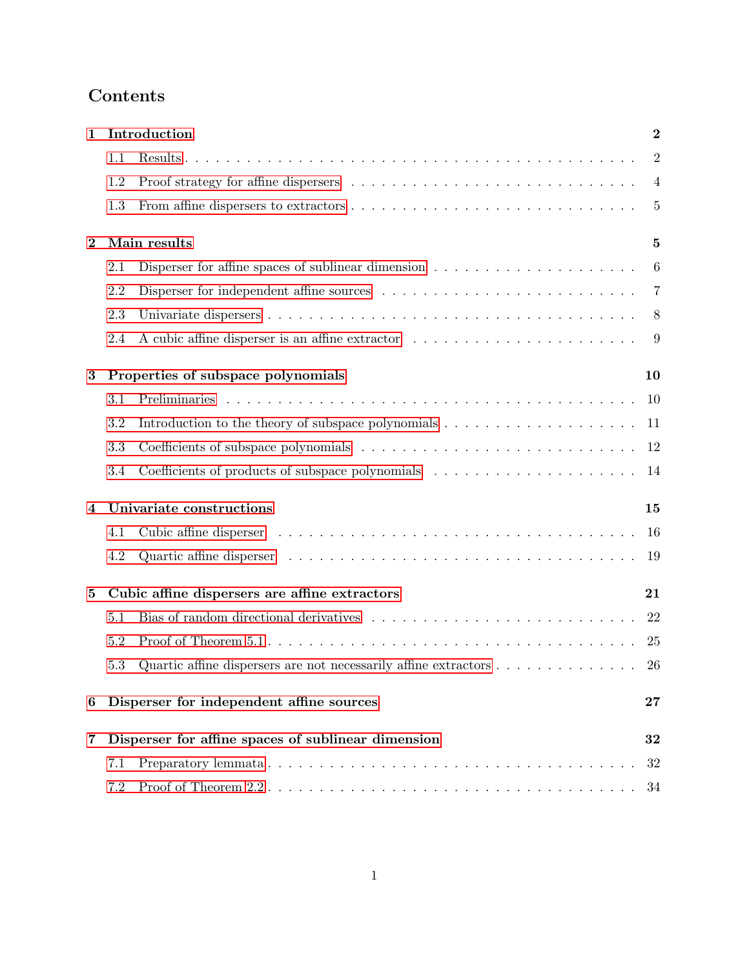# Contents

| $\mathbf{1}$ | Introduction                                       |                                                                                                              |                |  |  |  |  |  |
|--------------|----------------------------------------------------|--------------------------------------------------------------------------------------------------------------|----------------|--|--|--|--|--|
|              | 1.1                                                |                                                                                                              | $\overline{2}$ |  |  |  |  |  |
|              | 1.2                                                |                                                                                                              | $\overline{4}$ |  |  |  |  |  |
|              | 1.3                                                |                                                                                                              | 5              |  |  |  |  |  |
| $\bf{2}$     | Main results                                       |                                                                                                              |                |  |  |  |  |  |
|              | 2.1                                                |                                                                                                              | 6              |  |  |  |  |  |
|              | 2.2                                                |                                                                                                              | 7              |  |  |  |  |  |
|              | 2.3                                                |                                                                                                              | 8              |  |  |  |  |  |
|              | 2.4                                                |                                                                                                              | 9              |  |  |  |  |  |
| $\bf{3}$     |                                                    | Properties of subspace polynomials                                                                           | 10             |  |  |  |  |  |
|              | 3.1                                                |                                                                                                              | 10             |  |  |  |  |  |
|              | 3.2                                                |                                                                                                              | 11             |  |  |  |  |  |
|              | 3.3                                                | Coefficients of subspace polynomials $\ldots \ldots \ldots \ldots \ldots \ldots \ldots \ldots \ldots \ldots$ | 12             |  |  |  |  |  |
|              | 3.4                                                |                                                                                                              | 14             |  |  |  |  |  |
| 4            | Univariate constructions                           |                                                                                                              |                |  |  |  |  |  |
|              | 4.1                                                |                                                                                                              | 16             |  |  |  |  |  |
|              | 4.2                                                |                                                                                                              | 19             |  |  |  |  |  |
| $\bf{5}$     | Cubic affine dispersers are affine extractors      |                                                                                                              |                |  |  |  |  |  |
|              | 5.1                                                |                                                                                                              | 22             |  |  |  |  |  |
|              | 5.2                                                |                                                                                                              | 25             |  |  |  |  |  |
|              | 5.3                                                | Quartic affine dispersers are not necessarily affine extractors $\dots \dots \dots \dots \dots$              | 26             |  |  |  |  |  |
| 6            | Disperser for independent affine sources           |                                                                                                              |                |  |  |  |  |  |
| 7            | Disperser for affine spaces of sublinear dimension |                                                                                                              |                |  |  |  |  |  |
|              | 7.1                                                |                                                                                                              | 32             |  |  |  |  |  |
|              | 7.2                                                |                                                                                                              | 34             |  |  |  |  |  |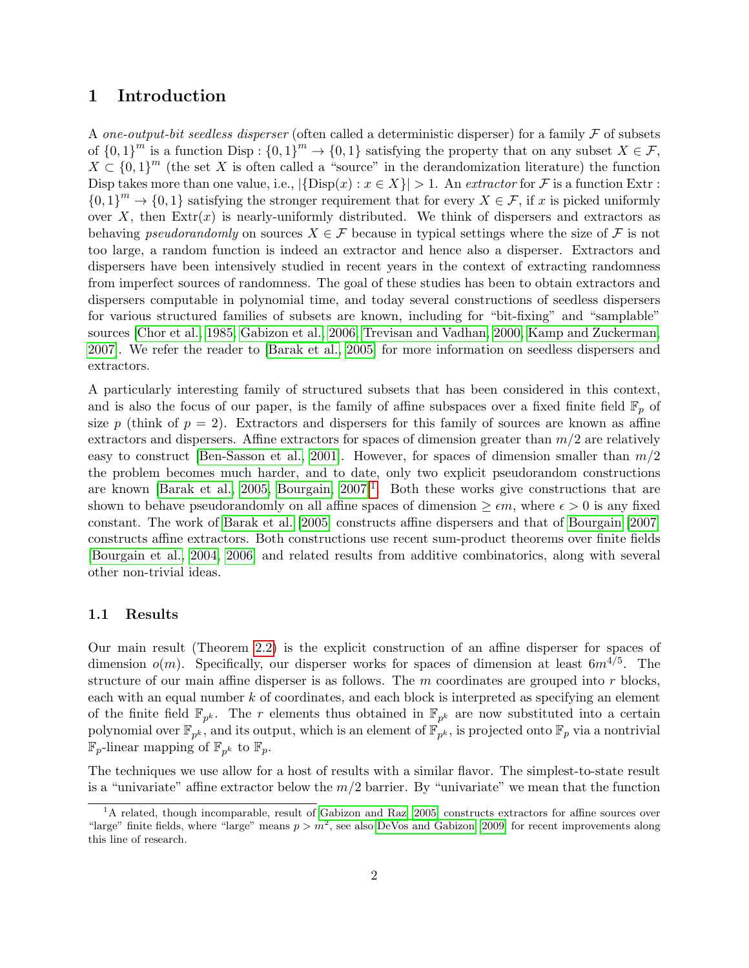## <span id="page-2-0"></span>1 Introduction

A one-output-bit seedless disperser (often called a deterministic disperser) for a family  $\mathcal F$  of subsets of  $\{0,1\}^m$  is a function Disp :  $\{0,1\}^m \to \{0,1\}$  satisfying the property that on any subset  $X \in \mathcal{F}$ ,  $X \subset \{0,1\}^m$  (the set X is often called a "source" in the derandomization literature) the function Disp takes more than one value, i.e.,  $|\{\text{Disp}(x) : x \in X\}| > 1$ . An extractor for F is a function Extr :  ${0,1}^m \rightarrow {0,1}$  satisfying the stronger requirement that for every  $X \in \mathcal{F}$ , if x is picked uniformly over X, then  $Extr(x)$  is nearly-uniformly distributed. We think of dispersers and extractors as behaving pseudorandomly on sources  $X \in \mathcal{F}$  because in typical settings where the size of  $\mathcal F$  is not too large, a random function is indeed an extractor and hence also a disperser. Extractors and dispersers have been intensively studied in recent years in the context of extracting randomness from imperfect sources of randomness. The goal of these studies has been to obtain extractors and dispersers computable in polynomial time, and today several constructions of seedless dispersers for various structured families of subsets are known, including for "bit-fixing" and "samplable" sources [\[Chor et al., 1985,](#page-40-0) [Gabizon et al., 2006,](#page-40-1) [Trevisan and Vadhan, 2000,](#page-40-2) [Kamp and Zuckerman,](#page-40-3) [2007\]](#page-40-3). We refer the reader to [\[Barak et al., 2005\]](#page-39-0) for more information on seedless dispersers and extractors.

A particularly interesting family of structured subsets that has been considered in this context, and is also the focus of our paper, is the family of affine subspaces over a fixed finite field  $\mathbb{F}_p$  of size p (think of  $p = 2$ ). Extractors and dispersers for this family of sources are known as affine extractors and dispersers. Affine extractors for spaces of dimension greater than  $m/2$  are relatively easy to construct [\[Ben-Sasson et al., 2001\]](#page-39-2). However, for spaces of dimension smaller than  $m/2$ the problem becomes much harder, and to date, only two explicit pseudorandom constructions are known [\[Barak et al., 2005,](#page-39-0) [Bourgain, 2007\]](#page-39-1)<sup>[1](#page-2-2)</sup>. Both these works give constructions that are shown to behave pseudorandomly on all affine spaces of dimension  $\geq \epsilon m$ , where  $\epsilon > 0$  is any fixed constant. The work of [Barak et al.](#page-39-0) [\[2005\]](#page-39-0) constructs affine dispersers and that of [Bourgain](#page-39-1) [\[2007\]](#page-39-1) constructs affine extractors. Both constructions use recent sum-product theorems over finite fields [\[Bourgain et al., 2004,](#page-39-3) [2006\]](#page-39-4) and related results from additive combinatorics, along with several other non-trivial ideas.

#### <span id="page-2-1"></span>1.1 Results

Our main result (Theorem [2.2\)](#page-6-1) is the explicit construction of an affine disperser for spaces of dimension  $o(m)$ . Specifically, our disperser works for spaces of dimension at least  $6m^{4/5}$ . The structure of our main affine disperser is as follows. The  $m$  coordinates are grouped into  $r$  blocks, each with an equal number  $k$  of coordinates, and each block is interpreted as specifying an element of the finite field  $\mathbb{F}_{p^k}$ . The r elements thus obtained in  $\mathbb{F}_{p^k}$  are now substituted into a certain polynomial over  $\mathbb{F}_{p^k}$ , and its output, which is an element of  $\mathbb{F}_{p^k}$ , is projected onto  $\mathbb{F}_p$  via a nontrivial  $\mathbb{F}_p$ -linear mapping of  $\mathbb{F}_{p^k}$  to  $\mathbb{F}_p$ .

The techniques we use allow for a host of results with a similar flavor. The simplest-to-state result is a "univariate" affine extractor below the  $m/2$  barrier. By "univariate" we mean that the function

<span id="page-2-2"></span><sup>&</sup>lt;sup>1</sup>A related, though incomparable, result of [Gabizon and Raz](#page-40-4) [\[2005\]](#page-40-4) constructs extractors for affine sources over "large" finite fields, where "large" means  $p > m^2$ , see also [DeVos and Gabizon](#page-40-5) [\[2009\]](#page-40-5) for recent improvements along this line of research.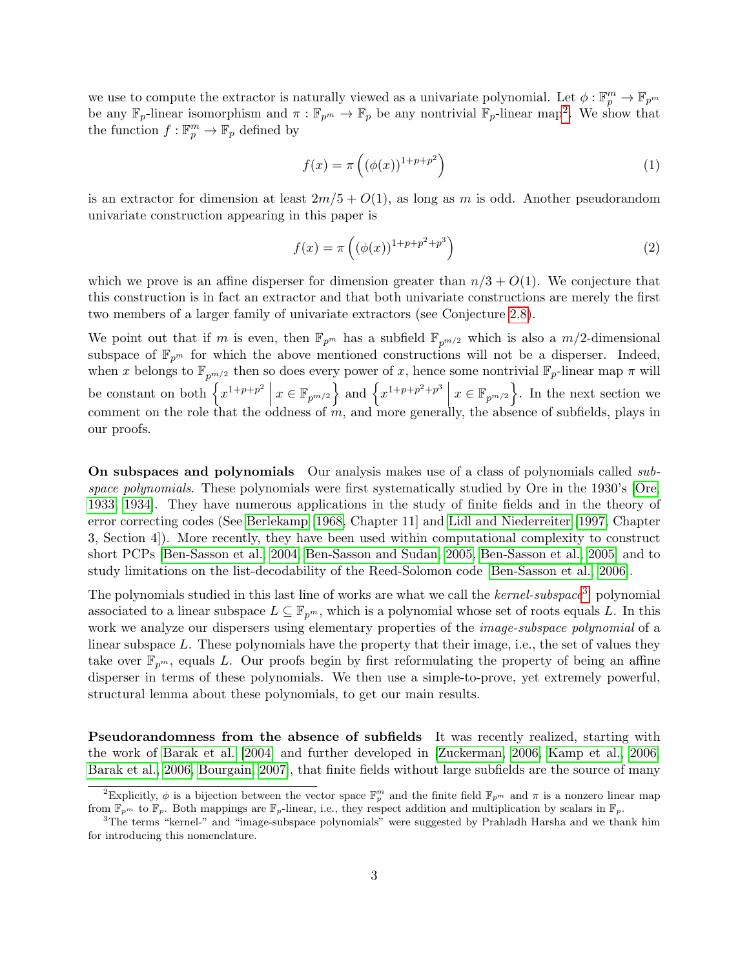we use to compute the extractor is naturally viewed as a univariate polynomial. Let  $\phi: \mathbb{F}_p^m \to \mathbb{F}_{p^m}$ be any  $\mathbb{F}_p$ -linear isomorphism and  $\pi: \mathbb{F}_{p^m} \to \mathbb{F}_p$  be any nontrivial  $\mathbb{F}_p$ -linear map<sup>[2](#page-3-0)</sup>. We show that the function  $f: \mathbb{F}_p^m \to \mathbb{F}_p$  defined by

<span id="page-3-2"></span>
$$
f(x) = \pi \left( (\phi(x))^{1+p+p^2} \right) \tag{1}
$$

is an extractor for dimension at least  $2m/5 + O(1)$ , as long as m is odd. Another pseudorandom univariate construction appearing in this paper is

<span id="page-3-3"></span>
$$
f(x) = \pi \left( (\phi(x))^{1+p+p^2+p^3} \right) \tag{2}
$$

which we prove is an affine disperser for dimension greater than  $n/3 + O(1)$ . We conjecture that this construction is in fact an extractor and that both univariate constructions are merely the first two members of a larger family of univariate extractors (see Conjecture [2.8\)](#page-8-1).

We point out that if m is even, then  $\mathbb{F}_{p^m}$  has a subfield  $\mathbb{F}_{p^{m/2}}$  which is also a  $m/2$ -dimensional subspace of  $\mathbb{F}_{p^m}$  for which the above mentioned constructions will not be a disperser. Indeed, when x belongs to  $\mathbb{F}_{p^{m/2}}$  then so does every power of x, hence some nontrivial  $\mathbb{F}_p$ -linear map  $\pi$  will be constant on both  $\left\{x^{1+p+p^2} \mid x \in \mathbb{F}_{p^{m/2}}\right\}$  and  $\left\{x^{1+p+p^2+p^3} \mid x \in \mathbb{F}_{p^{m/2}}\right\}$ . In the next section we comment on the role that the oddness of  $m$ , and more generally, the absence of subfields, plays in our proofs.

On subspaces and polynomials Our analysis makes use of a class of polynomials called sub-space polynomials. These polynomials were first systematically studied by Ore in the 1930's [\[Ore,](#page-40-6) [1933,](#page-40-6) [1934\]](#page-40-7). They have numerous applications in the study of finite fields and in the theory of error correcting codes (See [Berlekamp](#page-39-5) [\[1968,](#page-39-5) Chapter 11] and [Lidl and Niederreiter](#page-40-8) [\[1997,](#page-40-8) Chapter 3, Section 4]). More recently, they have been used within computational complexity to construct short PCPs [\[Ben-Sasson et al., 2004,](#page-39-6) [Ben-Sasson and Sudan, 2005,](#page-39-7) [Ben-Sasson et al., 2005\]](#page-39-8) and to study limitations on the list-decodability of the Reed-Solomon code [\[Ben-Sasson et al., 2006\]](#page-39-9).

The polynomials studied in this last line of works are what we call the  $kernel-subspace<sup>3</sup>$  $kernel-subspace<sup>3</sup>$  $kernel-subspace<sup>3</sup>$  polynomial associated to a linear subspace  $L \subseteq \mathbb{F}_{p^m}$ , which is a polynomial whose set of roots equals L. In this work we analyze our dispersers using elementary properties of the *image-subspace polynomial* of a linear subspace L. These polynomials have the property that their image, i.e., the set of values they take over  $\mathbb{F}_{p^m}$ , equals L. Our proofs begin by first reformulating the property of being an affine disperser in terms of these polynomials. We then use a simple-to-prove, yet extremely powerful, structural lemma about these polynomials, to get our main results.

Pseudorandomness from the absence of subfields It was recently realized, starting with the work of [Barak et al.](#page-39-10) [\[2004\]](#page-39-10) and further developed in [\[Zuckerman, 2006,](#page-41-0) [Kamp et al., 2006,](#page-40-9) [Barak et al., 2006,](#page-39-11) [Bourgain, 2007\]](#page-39-1), that finite fields without large subfields are the source of many

<span id="page-3-0"></span><sup>&</sup>lt;sup>2</sup>Explicitly,  $\phi$  is a bijection between the vector space  $\mathbb{F}_p^m$  and the finite field  $\mathbb{F}_{p^m}$  and  $\pi$  is a nonzero linear map from  $\mathbb{F}_{p^m}$  to  $\mathbb{F}_p$ . Both mappings are  $\mathbb{F}_p$ -linear, i.e., they respect addition and multiplication by scalars in  $\mathbb{F}_p$ .

<span id="page-3-1"></span><sup>&</sup>lt;sup>3</sup>The terms "kernel-" and "image-subspace polynomials" were suggested by Prahladh Harsha and we thank him for introducing this nomenclature.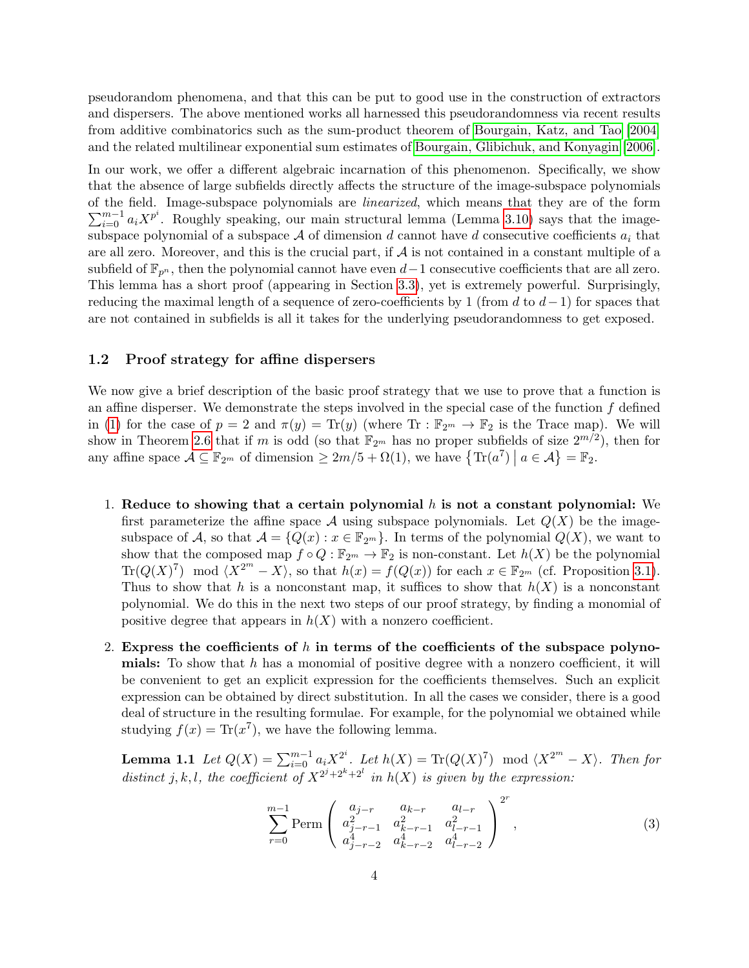pseudorandom phenomena, and that this can be put to good use in the construction of extractors and dispersers. The above mentioned works all harnessed this pseudorandomness via recent results from additive combinatorics such as the sum-product theorem of [Bourgain, Katz, and Tao](#page-39-3) [\[2004\]](#page-39-3) and the related multilinear exponential sum estimates of [Bourgain, Glibichuk, and Konyagin](#page-39-4) [\[2006\]](#page-39-4).

In our work, we offer a different algebraic incarnation of this phenomenon. Specifically, we show that the absence of large subfields directly affects the structure of the image-subspace polynomials  $\sum_{i=0}^{m-1} a_i X^{p^i}$ . Roughly speaking, our main structural lemma (Lemma [3.10\)](#page-13-0) says that the imageof the field. Image-subspace polynomials are linearized, which means that they are of the form subspace polynomial of a subspace  $A$  of dimension d cannot have d consecutive coefficients  $a_i$  that are all zero. Moreover, and this is the crucial part, if  $A$  is not contained in a constant multiple of a subfield of  $\mathbb{F}_{p^n}$ , then the polynomial cannot have even  $d-1$  consecutive coefficients that are all zero. This lemma has a short proof (appearing in Section [3.3\)](#page-12-0), yet is extremely powerful. Surprisingly, reducing the maximal length of a sequence of zero-coefficients by 1 (from d to  $d-1$ ) for spaces that are not contained in subfields is all it takes for the underlying pseudorandomness to get exposed.

#### <span id="page-4-0"></span>1.2 Proof strategy for affine dispersers

We now give a brief description of the basic proof strategy that we use to prove that a function is an affine disperser. We demonstrate the steps involved in the special case of the function  $f$  defined in [\(1\)](#page-3-2) for the case of  $p = 2$  and  $\pi(y) = \text{Tr}(y)$  (where  $\text{Tr} : \mathbb{F}_{2^m} \to \mathbb{F}_2$  is the Trace map). We will show in Theorem [2.6](#page-8-2) that if m is odd (so that  $\mathbb{F}_{2^m}$  has no proper subfields of size  $2^{m/2}$ ), then for any affine space  $\mathcal{A} \subseteq \mathbb{F}_{2^m}$  of dimension  $\geq 2m/5 + \Omega(1)$ , we have  $\{ \text{Tr}(a^7) \mid a \in \mathcal{A} \} = \mathbb{F}_2$ .

- 1. Reduce to showing that a certain polynomial  $h$  is not a constant polynomial: We first parameterize the affine space  $\mathcal A$  using subspace polynomials. Let  $Q(X)$  be the imagesubspace of A, so that  $A = \{Q(x) : x \in \mathbb{F}_{2^m}\}.$  In terms of the polynomial  $Q(X)$ , we want to show that the composed map  $f \circ Q : \mathbb{F}_{2^m} \to \mathbb{F}_2$  is non-constant. Let  $h(X)$  be the polynomial  $\text{Tr}(Q(X)^7) \mod \langle X^{2^m} - X \rangle$ , so that  $h(x) = f(Q(x))$  for each  $x \in \mathbb{F}_{2^m}$  (cf. Proposition [3.1\)](#page-10-2). Thus to show that h is a nonconstant map, it suffices to show that  $h(X)$  is a nonconstant polynomial. We do this in the next two steps of our proof strategy, by finding a monomial of positive degree that appears in  $h(X)$  with a nonzero coefficient.
- 2. Express the coefficients of h in terms of the coefficients of the subspace polynomials: To show that h has a monomial of positive degree with a nonzero coefficient, it will be convenient to get an explicit expression for the coefficients themselves. Such an explicit expression can be obtained by direct substitution. In all the cases we consider, there is a good deal of structure in the resulting formulae. For example, for the polynomial we obtained while studying  $f(x) = \text{Tr}(x^7)$ , we have the following lemma.

**Lemma 1.1** Let  $Q(X) = \sum_{i=0}^{m-1} a_i X^{2^i}$ . Let  $h(X) = \text{Tr}(Q(X)^7) \mod \langle X^{2^m} - X \rangle$ . Then for distinct j, k, l, the coefficient of  $X^{2^{j}+2^{k}+2^{l}}$  in  $h(X)$  is given by the expression:

<span id="page-4-2"></span><span id="page-4-1"></span>
$$
\sum_{r=0}^{m-1} \text{Perm}\left(\begin{array}{ccc} a_{j-r} & a_{k-r} & a_{l-r} \\ a_{j-r-1}^2 & a_{k-r-1}^2 & a_{l-r-1}^2 \\ a_{j-r-2}^4 & a_{k-r-2}^4 & a_{l-r-2}^4 \end{array}\right)^{2^r},
$$
\n(3)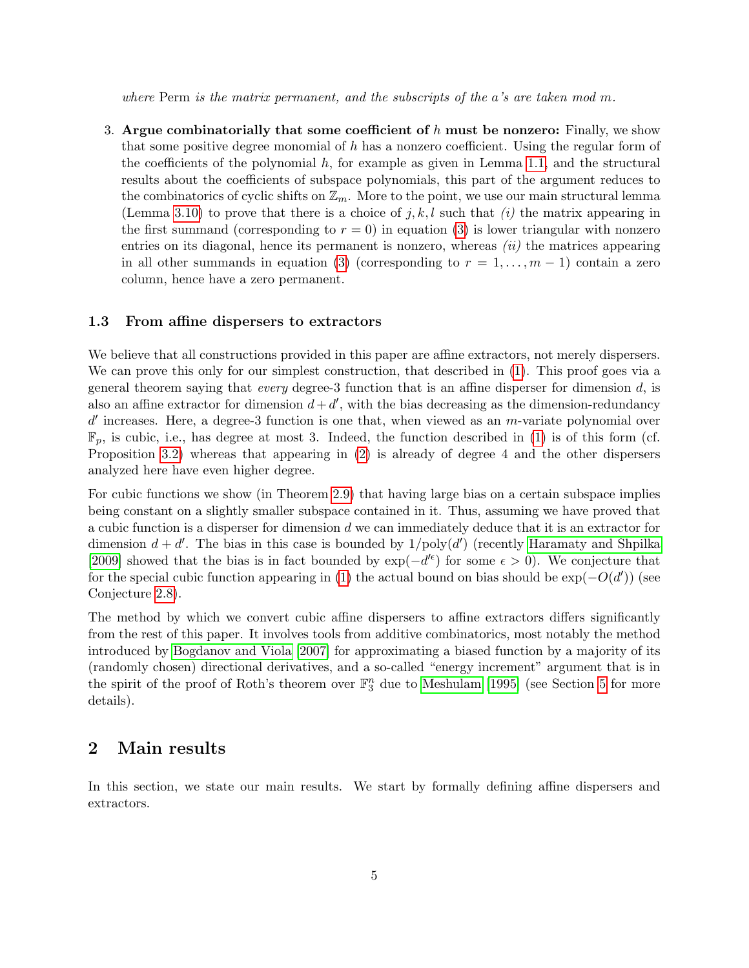where Perm is the matrix permanent, and the subscripts of the a's are taken mod m.

3. Argue combinatorially that some coefficient of h must be nonzero: Finally, we show that some positive degree monomial of  $h$  has a nonzero coefficient. Using the regular form of the coefficients of the polynomial  $h$ , for example as given in Lemma [1.1,](#page-4-1) and the structural results about the coefficients of subspace polynomials, this part of the argument reduces to the combinatorics of cyclic shifts on  $\mathbb{Z}_m$ . More to the point, we use our main structural lemma (Lemma [3.10\)](#page-13-0) to prove that there is a choice of  $j, k, l$  such that (i) the matrix appearing in the first summand (corresponding to  $r = 0$ ) in equation [\(3\)](#page-4-2) is lower triangular with nonzero entries on its diagonal, hence its permanent is nonzero, whereas  $(ii)$  the matrices appearing in all other summands in equation [\(3\)](#page-4-2) (corresponding to  $r = 1, \ldots, m - 1$ ) contain a zero column, hence have a zero permanent.

#### <span id="page-5-0"></span>1.3 From affine dispersers to extractors

We believe that all constructions provided in this paper are affine extractors, not merely dispersers. We can prove this only for our simplest construction, that described in  $(1)$ . This proof goes via a general theorem saying that *every* degree-3 function that is an affine disperser for dimension  $d$ , is also an affine extractor for dimension  $d + d'$ , with the bias decreasing as the dimension-redundancy  $d'$  increases. Here, a degree-3 function is one that, when viewed as an m-variate polynomial over  $\mathbb{F}_p$ , is cubic, i.e., has degree at most 3. Indeed, the function described in [\(1\)](#page-3-2) is of this form (cf. Proposition [3.2\)](#page-10-3) whereas that appearing in [\(2\)](#page-3-3) is already of degree 4 and the other dispersers analyzed here have even higher degree.

For cubic functions we show (in Theorem [2.9\)](#page-9-1) that having large bias on a certain subspace implies being constant on a slightly smaller subspace contained in it. Thus, assuming we have proved that a cubic function is a disperser for dimension d we can immediately deduce that it is an extractor for dimension  $d + d'$ . The bias in this case is bounded by  $1/\text{poly}(d')$  (recently [Haramaty and Shpilka](#page-40-10) [\[2009\]](#page-40-10) showed that the bias is in fact bounded by  $\exp(-d^{\prime\epsilon})$  for some  $\epsilon > 0$ ). We conjecture that for the special cubic function appearing in [\(1\)](#page-3-2) the actual bound on bias should be  $\exp(-O(d'))$  (see Conjecture [2.8\)](#page-8-1).

The method by which we convert cubic affine dispersers to affine extractors differs significantly from the rest of this paper. It involves tools from additive combinatorics, most notably the method introduced by [Bogdanov and Viola](#page-39-12) [\[2007\]](#page-39-12) for approximating a biased function by a majority of its (randomly chosen) directional derivatives, and a so-called "energy increment" argument that is in the spirit of the proof of Roth's theorem over  $\mathbb{F}_3^n$  due to [Meshulam](#page-40-11) [\[1995\]](#page-40-11) (see Section [5](#page-21-0) for more details).

# <span id="page-5-1"></span>2 Main results

<span id="page-5-2"></span>In this section, we state our main results. We start by formally defining affine dispersers and extractors.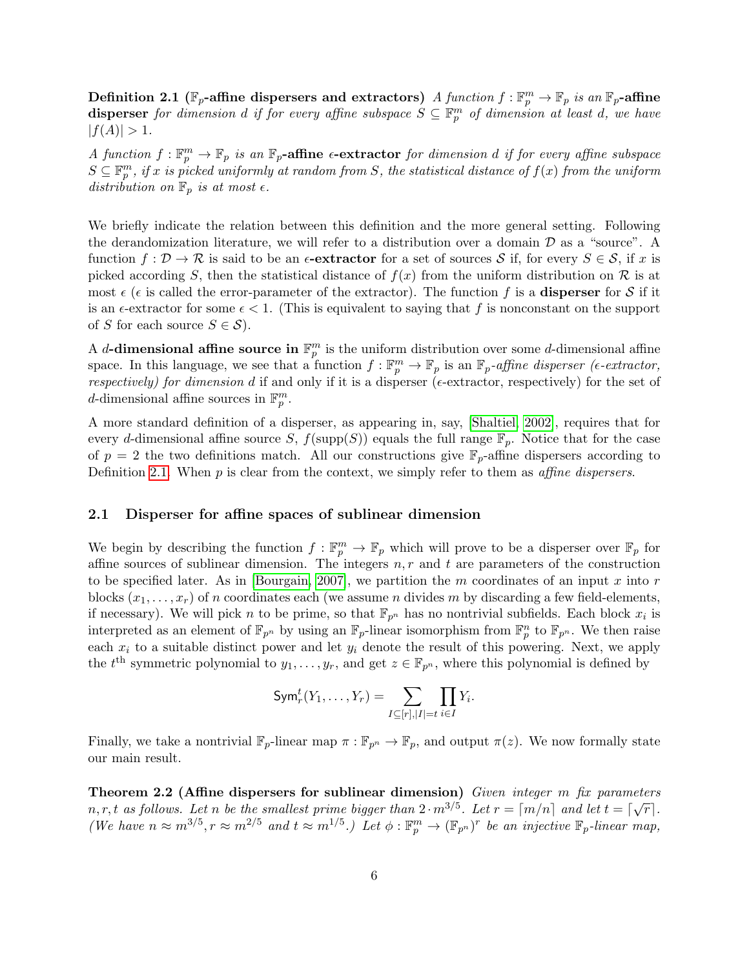Definition 2.1 ( $\mathbb{F}_p$ -affine dispersers and extractors) A function  $f: \mathbb{F}_p^m \to \mathbb{F}_p$  is an  $\mathbb{F}_p$ -affine disperser for dimension d if for every affine subspace  $S \subseteq \mathbb{F}_p^m$  of dimension at least d, we have  $|f(A)| > 1.$ 

A function  $f: \mathbb{F}_p^m \to \mathbb{F}_p$  is an  $\mathbb{F}_p$ -affine  $\epsilon$ -extractor for dimension d if for every affine subspace  $S \subseteq \mathbb{F}_p^m$ , if x is picked uniformly at random from S, the statistical distance of  $f(x)$  from the uniform distribution on  $\mathbb{F}_p$  is at most  $\epsilon$ .

We briefly indicate the relation between this definition and the more general setting. Following the derandomization literature, we will refer to a distribution over a domain  $D$  as a "source". A function  $f: \mathcal{D} \to \mathcal{R}$  is said to be an  $\epsilon$ -extractor for a set of sources S if, for every  $S \in \mathcal{S}$ , if x is picked according S, then the statistical distance of  $f(x)$  from the uniform distribution on  $\mathcal R$  is at most  $\epsilon$  ( $\epsilon$  is called the error-parameter of the extractor). The function f is a **disperser** for S if it is an  $\epsilon$ -extractor for some  $\epsilon$  < 1. (This is equivalent to saying that f is nonconstant on the support of S for each source  $S \in \mathcal{S}$ ).

A d-dimensional affine source in  $\mathbb{F}_p^m$  is the uniform distribution over some d-dimensional affine space. In this language, we see that a function  $f: \mathbb{F}_p^m \to \mathbb{F}_p$  is an  $\mathbb{F}_p$ -affine disperser (e-extractor, respectively) for dimension d if and only if it is a disperser ( $\epsilon$ -extractor, respectively) for the set of d-dimensional affine sources in  $\mathbb{F}_p^m$ .

A more standard definition of a disperser, as appearing in, say, [\[Shaltiel, 2002\]](#page-40-12), requires that for every d-dimensional affine source S,  $f(\text{supp}(S))$  equals the full range  $\mathbb{F}_p$ . Notice that for the case of  $p = 2$  the two definitions match. All our constructions give  $\mathbb{F}_p$ -affine dispersers according to Definition [2.1.](#page-5-2) When  $p$  is clear from the context, we simply refer to them as *affine dispersers*.

#### <span id="page-6-0"></span>2.1 Disperser for affine spaces of sublinear dimension

We begin by describing the function  $f: \mathbb{F}_p^m \to \mathbb{F}_p$  which will prove to be a disperser over  $\mathbb{F}_p$  for affine sources of sublinear dimension. The integers  $n, r$  and t are parameters of the construction to be specified later. As in [\[Bourgain, 2007\]](#page-39-1), we partition the m coordinates of an input x into r blocks  $(x_1, \ldots, x_r)$  of n coordinates each (we assume n divides m by discarding a few field-elements, if necessary). We will pick n to be prime, so that  $\mathbb{F}_{p^n}$  has no nontrivial subfields. Each block  $x_i$  is interpreted as an element of  $\mathbb{F}_{p^n}$  by using an  $\mathbb{F}_p$ -linear isomorphism from  $\mathbb{F}_p^n$  to  $\mathbb{F}_{p^n}$ . We then raise each  $x_i$  to a suitable distinct power and let  $y_i$  denote the result of this powering. Next, we apply the  $t^{\text{th}}$  symmetric polynomial to  $y_1, \ldots, y_r$ , and get  $z \in \mathbb{F}_{p^n}$ , where this polynomial is defined by

$$
\mathsf{Sym}^t_r(Y_1,\ldots,Y_r)=\sum_{I\subseteq [r],|I|=t}\prod_{i\in I}Y_i.
$$

<span id="page-6-1"></span>Finally, we take a nontrivial  $\mathbb{F}_p$ -linear map  $\pi : \mathbb{F}_{p^n} \to \mathbb{F}_p$ , and output  $\pi(z)$ . We now formally state our main result.

Theorem 2.2 (Affine dispersers for sublinear dimension) Given integer  $m$  fix parameters **Theorem 2.2** (All the dispersers for submitted dimension) Given meger in fit parameters  $n, r, t$  as follows. Let n be the smallest prime bigger than  $2 \cdot m^{3/5}$ . Let  $r = \lceil m/n \rceil$  and let  $t = \lceil \sqrt{r} \rceil$ . (We have  $n \approx m^{3/5}, r \approx m^{2/5}$  and  $t \approx m^{1/5}$ .) Let  $\phi : \mathbb{F}_p^m \to (\mathbb{F}_{p^n})^r$  be an injective  $\mathbb{F}_p$ -linear map,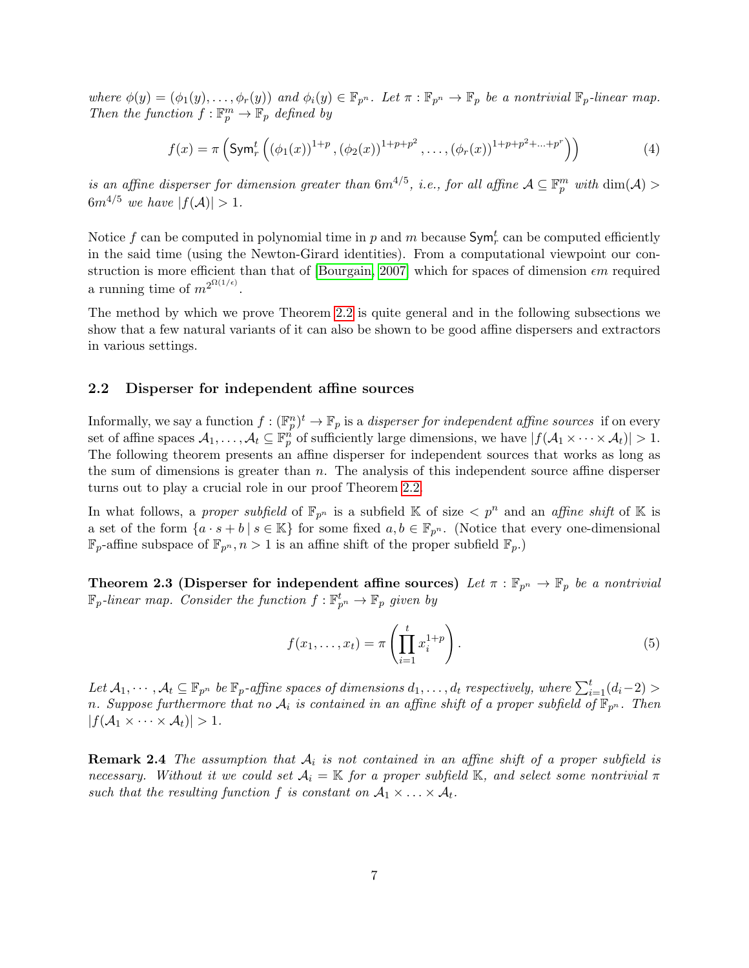where  $\phi(y) = (\phi_1(y), \ldots, \phi_r(y))$  and  $\phi_i(y) \in \mathbb{F}_{p^n}$ . Let  $\pi : \mathbb{F}_{p^n} \to \mathbb{F}_p$  be a nontrivial  $\mathbb{F}_p$ -linear map. Then the function  $f : \mathbb{F}_p^m \to \mathbb{F}_p$  defined by

$$
f(x) = \pi \left( \text{Sym}_r^t \left( (\phi_1(x))^{1+p}, (\phi_2(x))^{1+p+p^2}, \dots, (\phi_r(x))^{1+p+p^2+\dots+p^r} \right) \right) \tag{4}
$$

is an affine disperser for dimension greater than  $6m^{4/5}$ , i.e., for all affine  $\mathcal{A} \subseteq \mathbb{F}_p^m$  with  $\dim(\mathcal{A}) >$  $6m^{4/5}$  we have  $|f(A)| > 1$ .

Notice f can be computed in polynomial time in p and m because  $\textsf{Sym}^t_r$  can be computed efficiently in the said time (using the Newton-Girard identities). From a computational viewpoint our con-struction is more efficient than that of [\[Bourgain, 2007\]](#page-39-1) which for spaces of dimension  $\epsilon m$  required a running time of  $m^{2^{\Omega(1/\epsilon)}}$ .

The method by which we prove Theorem [2.2](#page-6-1) is quite general and in the following subsections we show that a few natural variants of it can also be shown to be good affine dispersers and extractors in various settings.

#### <span id="page-7-0"></span>2.2 Disperser for independent affine sources

Informally, we say a function  $f: (\mathbb{F}_p^n)^t \to \mathbb{F}_p$  is a *disperser for independent affine sources* if on every set of affine spaces  $\mathcal{A}_1,\ldots,\mathcal{A}_t\subseteq \mathbb{F}_p^n$  of sufficiently large dimensions, we have  $|f(\mathcal{A}_1\times\cdots\times\mathcal{A}_t)|>1$ . The following theorem presents an affine disperser for independent sources that works as long as the sum of dimensions is greater than  $n$ . The analysis of this independent source affine disperser turns out to play a crucial role in our proof Theorem [2.2.](#page-6-1)

In what follows, a proper subfield of  $\mathbb{F}_{p^n}$  is a subfield K of size  $\langle p^n \rangle$  and an affine shift of K is a set of the form  $\{a \cdot s + b \mid s \in \mathbb{K}\}\$  for some fixed  $a, b \in \mathbb{F}_{p^n}$ . (Notice that every one-dimensional  $\mathbb{F}_p$ -affine subspace of  $\mathbb{F}_{p^n}, n > 1$  is an affine shift of the proper subfield  $\mathbb{F}_p$ .

<span id="page-7-1"></span>Theorem 2.3 (Disperser for independent affine sources) Let  $\pi : \mathbb{F}_{p^n} \to \mathbb{F}_p$  be a nontrivial  $\mathbb{F}_p$ -linear map. Consider the function  $f: \mathbb{F}_{p^n}^t \to \mathbb{F}_p$  given by

$$
f(x_1,\ldots,x_t) = \pi \left(\prod_{i=1}^t x_i^{1+p}\right).
$$
 (5)

Let  $A_1, \dots, A_t \subseteq \mathbb{F}_{p^n}$  be  $\mathbb{F}_p$ -affine spaces of dimensions  $d_1, \dots, d_t$  respectively, where  $\sum_{i=1}^t (d_i-2)$ n. Suppose furthermore that no  $A_i$  is contained in an affine shift of a proper subfield of  $\mathbb{F}_{p^n}$ . Then  $|f(A_1 \times \cdots \times A_t)| > 1.$ 

**Remark 2.4** The assumption that  $A_i$  is not contained in an affine shift of a proper subfield is necessary. Without it we could set  $\mathcal{A}_i = \mathbb{K}$  for a proper subfield  $\mathbb{K}$ , and select some nontrivial  $\pi$ such that the resulting function f is constant on  $A_1 \times \ldots \times A_t$ .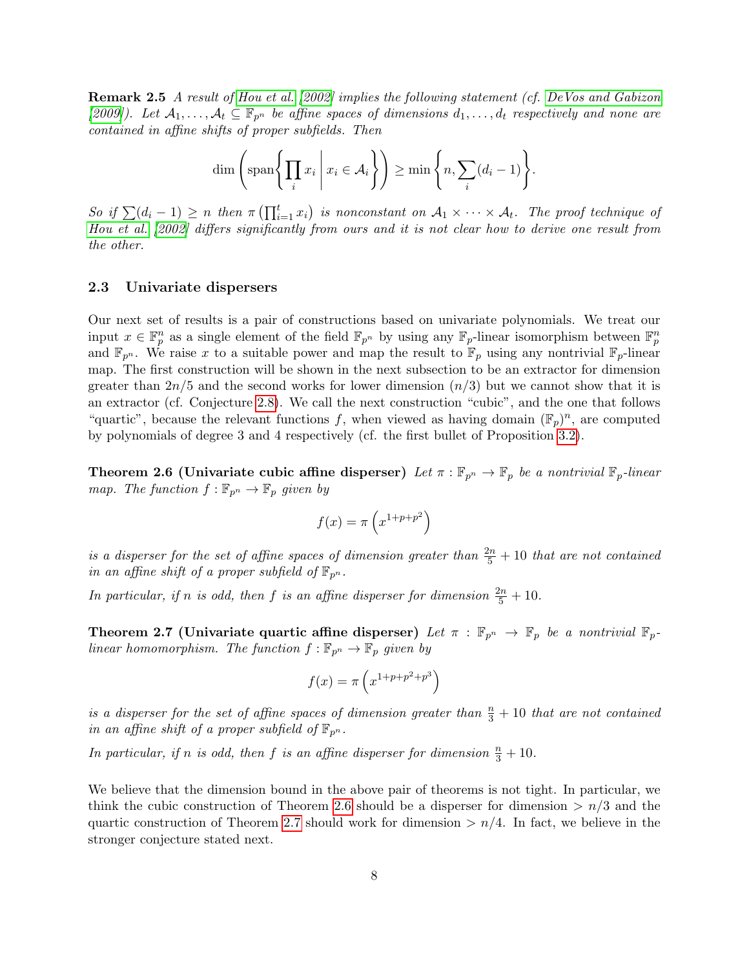Remark 2.5 A result of [Hou et al.](#page-40-13) [\[2002\]](#page-40-13) implies the following statement (cf. [DeVos and Gabizon](#page-40-5) [\[2009\]](#page-40-5)). Let  $A_1, \ldots, A_t \subseteq \mathbb{F}_{p^n}$  be affine spaces of dimensions  $d_1, \ldots, d_t$  respectively and none are contained in affine shifts of proper subfields. Then

$$
\dim \left( \operatorname{span} \left\{ \prod_i x_i \, \middle| \, x_i \in \mathcal{A}_i \right\} \right) \ge \min \left\{ n, \sum_i (d_i - 1) \right\}.
$$

So if  $\sum (d_i - 1) \geq n$  then  $\pi\left(\prod_{i=1}^t x_i\right)$  is nonconstant on  $\mathcal{A}_1 \times \cdots \times \mathcal{A}_t$ . The proof technique of [Hou et al.](#page-40-13) [\[2002\]](#page-40-13) differs significantly from ours and it is not clear how to derive one result from the other.

#### <span id="page-8-0"></span>2.3 Univariate dispersers

Our next set of results is a pair of constructions based on univariate polynomials. We treat our input  $x \in \mathbb{F}_p^n$  as a single element of the field  $\mathbb{F}_{p^n}$  by using any  $\mathbb{F}_p$ -linear isomorphism between  $\mathbb{F}_p^n$ and  $\mathbb{F}_{p^n}$ . We raise x to a suitable power and map the result to  $\mathbb{F}_p$  using any nontrivial  $\mathbb{F}_p$ -linear map. The first construction will be shown in the next subsection to be an extractor for dimension greater than  $2n/5$  and the second works for lower dimension  $(n/3)$  but we cannot show that it is an extractor (cf. Conjecture [2.8\)](#page-8-1). We call the next construction "cubic", and the one that follows "quartic", because the relevant functions f, when viewed as having domain  $(\mathbb{F}_p)^n$ , are computed by polynomials of degree 3 and 4 respectively (cf. the first bullet of Proposition [3.2\)](#page-10-3).

<span id="page-8-2"></span>**Theorem 2.6 (Univariate cubic affine disperser)** Let  $\pi : \mathbb{F}_{p^n} \to \mathbb{F}_p$  be a nontrivial  $\mathbb{F}_p$ -linear map. The function  $f : \mathbb{F}_{p^n} \to \mathbb{F}_p$  given by

$$
f(x) = \pi \left( x^{1+p+p^2} \right)
$$

is a disperser for the set of affine spaces of dimension greater than  $\frac{2n}{5} + 10$  that are not contained in an affine shift of a proper subfield of  $\mathbb{F}_{p^n}$ .

In particular, if n is odd, then f is an affine disperser for dimension  $\frac{2n}{5} + 10$ .

<span id="page-8-3"></span>Theorem 2.7 (Univariate quartic affine disperser) Let  $\pi$  :  $\mathbb{F}_{p^n} \to \mathbb{F}_p$  be a nontrivial  $\mathbb{F}_p$ linear homomorphism. The function  $f : \mathbb{F}_{p^n} \to \mathbb{F}_p$  given by

$$
f(x) = \pi \left( x^{1+p+p^2+p^3} \right)
$$

is a disperser for the set of affine spaces of dimension greater than  $\frac{n}{3} + 10$  that are not contained in an affine shift of a proper subfield of  $\mathbb{F}_{p^n}$ .

In particular, if n is odd, then f is an affine disperser for dimension  $\frac{n}{3} + 10$ .

<span id="page-8-1"></span>We believe that the dimension bound in the above pair of theorems is not tight. In particular, we think the cubic construction of Theorem [2.6](#page-8-2) should be a disperser for dimension  $> n/3$  and the quartic construction of Theorem [2.7](#page-8-3) should work for dimension  $> n/4$ . In fact, we believe in the stronger conjecture stated next.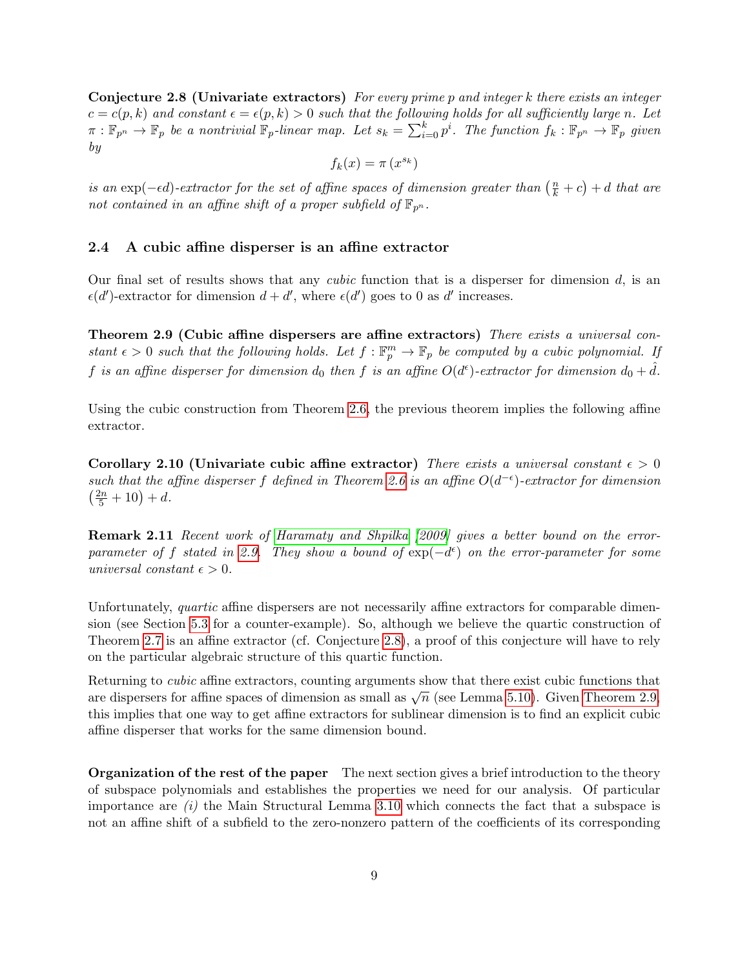Conjecture 2.8 (Univariate extractors) For every prime p and integer k there exists an integer  $c = c(p, k)$  and constant  $\epsilon = \epsilon(p, k) > 0$  such that the following holds for all sufficiently large n. Let  $\pi: \mathbb{F}_{p^n} \to \mathbb{F}_p$  be a nontrivial  $\mathbb{F}_p$ -linear map. Let  $s_k = \sum_{i=0}^k p^i$ . The function  $f_k: \mathbb{F}_{p^n} \to \mathbb{F}_p$  given by

$$
f_k(x) = \pi(x^{s_k})
$$

is an  $\exp(-\epsilon d)$ -extractor for the set of affine spaces of dimension greater than  $(\frac{n}{k} + c) + d$  that are not contained in an affine shift of a proper subfield of  $\mathbb{F}_{p^n}$ .

#### <span id="page-9-0"></span>2.4 A cubic affine disperser is an affine extractor

Our final set of results shows that any *cubic* function that is a disperser for dimension  $d$ , is an  $\epsilon(d')$ -extractor for dimension  $d + d'$ , where  $\epsilon(d')$  goes to 0 as d' increases.

<span id="page-9-1"></span>Theorem 2.9 (Cubic affine dispersers are affine extractors) There exists a universal constant  $\epsilon > 0$  such that the following holds. Let  $f : \mathbb{F}_p^m \to \mathbb{F}_p$  be computed by a cubic polynomial. If f is an affine disperser for dimension  $d_0$  then f is an affine  $O(d^{\epsilon})$ -extractor for dimension  $d_0 + \hat{d}$ .

Using the cubic construction from Theorem [2.6,](#page-8-2) the previous theorem implies the following affine extractor.

Corollary 2.10 (Univariate cubic affine extractor) There exists a universal constant  $\epsilon > 0$ such that the affine disperser f defined in Theorem [2.6](#page-8-2) is an affine  $O(d^{-\epsilon})$ -extractor for dimension  $\left(\frac{2n}{5}+10\right)+d.$ 

Remark 2.11 Recent work of [Haramaty and Shpilka](#page-40-10) [\[2009\]](#page-40-10) gives a better bound on the error-parameter of f stated in [2.9.](#page-9-1) They show a bound of  $exp(-d^{\epsilon})$  on the error-parameter for some universal constant  $\epsilon > 0$ .

Unfortunately, *quartic* affine dispersers are not necessarily affine extractors for comparable dimension (see Section [5.3](#page-26-0) for a counter-example). So, although we believe the quartic construction of Theorem [2.7](#page-8-3) is an affine extractor (cf. Conjecture [2.8\)](#page-8-1), a proof of this conjecture will have to rely on the particular algebraic structure of this quartic function.

Returning to cubic affine extractors, counting arguments show that there exist cubic functions that Equiring to *cable* aline extractors, counting arguments show that there exist cubic functions that are dispersers for affine spaces of dimension as small as  $\sqrt{n}$  (see Lemma [5.10\)](#page-27-1). Given [Theorem 2.9,](#page-9-1) this implies that one way to get affine extractors for sublinear dimension is to find an explicit cubic affine disperser that works for the same dimension bound.

Organization of the rest of the paper The next section gives a brief introduction to the theory of subspace polynomials and establishes the properties we need for our analysis. Of particular importance are  $(i)$  the Main Structural Lemma [3.10](#page-13-0) which connects the fact that a subspace is not an affine shift of a subfield to the zero-nonzero pattern of the coefficients of its corresponding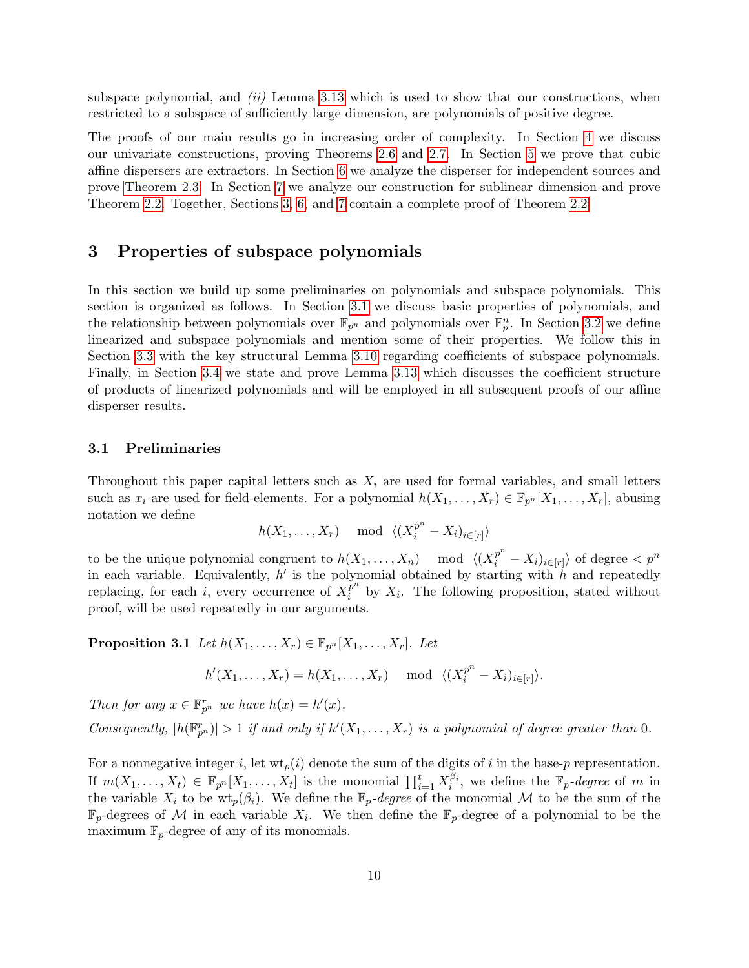subspace polynomial, and  $(ii)$  Lemma [3.13](#page-14-1) which is used to show that our constructions, when restricted to a subspace of sufficiently large dimension, are polynomials of positive degree.

The proofs of our main results go in increasing order of complexity. In Section [4](#page-15-0) we discuss our univariate constructions, proving Theorems [2.6](#page-8-2) and [2.7.](#page-8-3) In Section [5](#page-21-0) we prove that cubic affine dispersers are extractors. In Section [6](#page-27-0) we analyze the disperser for independent sources and prove [Theorem 2.3.](#page-7-1) In Section [7](#page-32-0) we analyze our construction for sublinear dimension and prove Theorem [2.2.](#page-6-1) Together, Sections [3,](#page-10-0) [6,](#page-27-0) and [7](#page-32-0) contain a complete proof of Theorem [2.2.](#page-6-1)

## <span id="page-10-0"></span>3 Properties of subspace polynomials

In this section we build up some preliminaries on polynomials and subspace polynomials. This section is organized as follows. In Section [3.1](#page-10-1) we discuss basic properties of polynomials, and the relationship between polynomials over  $\mathbb{F}_{p^n}$  and polynomials over  $\mathbb{F}_p^n$ . In Section [3.2](#page-11-0) we define linearized and subspace polynomials and mention some of their properties. We follow this in Section [3.3](#page-12-0) with the key structural Lemma [3.10](#page-13-0) regarding coefficients of subspace polynomials. Finally, in Section [3.4](#page-14-0) we state and prove Lemma [3.13](#page-14-1) which discusses the coefficient structure of products of linearized polynomials and will be employed in all subsequent proofs of our affine disperser results.

#### <span id="page-10-1"></span>3.1 Preliminaries

Throughout this paper capital letters such as  $X_i$  are used for formal variables, and small letters such as  $x_i$  are used for field-elements. For a polynomial  $h(X_1, \ldots, X_r) \in \mathbb{F}_{p^n}[X_1, \ldots, X_r]$ , abusing notation we define

<span id="page-10-2"></span>
$$
h(X_1,\ldots,X_r) \mod \langle (X_i^{p^n}-X_i)_{i\in [r]} \rangle
$$

to be the unique polynomial congruent to  $h(X_1, \ldots, X_n)$  mod  $\langle (X_i^{p^n} - X_i)_{i \in [r]} \rangle$  of degree  $\langle p^n \rangle$ in each variable. Equivalently,  $h'$  is the polynomial obtained by starting with  $\hat{h}$  and repeatedly replacing, for each *i*, every occurrence of  $X_i^{p^n}$  $i^{p^{\alpha}}$  by  $X_i$ . The following proposition, stated without proof, will be used repeatedly in our arguments.

**Proposition 3.1** Let  $h(X_1, \ldots, X_r) \in \mathbb{F}_{p^n}[X_1, \ldots, X_r]$ . Let

$$
h'(X_1,\ldots,X_r)=h(X_1,\ldots,X_r) \mod \langle (X_i^{p^n}-X_i)_{i\in [r]} \rangle.
$$

Then for any  $x \in \mathbb{F}_{p^n}^r$  we have  $h(x) = h'(x)$ .

Consequently,  $|h(\mathbb{F}_{p^n}^r)| > 1$  if and only if  $h'(X_1, \ldots, X_r)$  is a polynomial of degree greater than 0.

<span id="page-10-3"></span>For a nonnegative integer i, let  $wt_p(i)$  denote the sum of the digits of i in the base-p representation. If  $m(X_1,\ldots,X_t) \in \mathbb{F}_{p^n}[X_1,\ldots,X_t]$  is the monomial  $\prod_{i=1}^t X_i^{\beta_i}$ , we define the  $\mathbb{F}_p$ -degree of m in the variable  $X_i$  to be  $wt_p(\beta_i)$ . We define the  $\mathbb{F}_p$ -degree of the monomial M to be the sum of the  $\mathbb{F}_p$ -degrees of M in each variable  $X_i$ . We then define the  $\mathbb{F}_p$ -degree of a polynomial to be the maximum  $\mathbb{F}_p$ -degree of any of its monomials.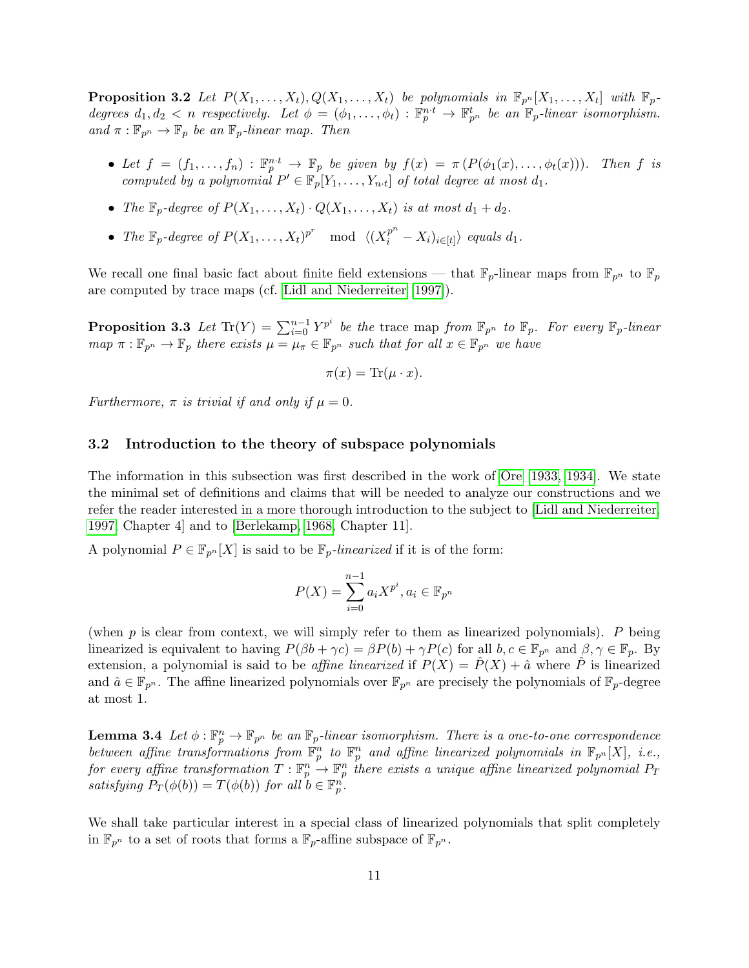**Proposition 3.2** Let  $P(X_1, ..., X_t), Q(X_1, ..., X_t)$  be polynomials in  $\mathbb{F}_{p^n}[X_1, ..., X_t]$  with  $\mathbb{F}_p$ degrees  $d_1, d_2 < n$  respectively. Let  $\phi = (\phi_1, \ldots, \phi_t) : \mathbb{F}_p^{n \cdot t} \to \mathbb{F}_p^t$  be an  $\mathbb{F}_p$ -linear isomorphism. and  $\pi: \mathbb{F}_{p^n} \to \mathbb{F}_p$  be an  $\mathbb{F}_p$ -linear map. Then

- Let  $f = (f_1, \ldots, f_n) : \mathbb{F}_p^{n \cdot t} \to \mathbb{F}_p$  be given by  $f(x) = \pi (P(\phi_1(x), \ldots, \phi_t(x)))$ . Then f is computed by a polynomial  $P' \in \mathbb{F}_p[Y_1,\ldots,Y_{n\cdot t}]$  of total degree at most  $d_1$ .
- The  $\mathbb{F}_p$ -degree of  $P(X_1, \ldots, X_t) \cdot Q(X_1, \ldots, X_t)$  is at most  $d_1 + d_2$ .
- The  $\mathbb{F}_p$ -degree of  $P(X_1, ..., X_t)^{p^r} \mod \langle (X_i^{p^n} X_i)_{i \in [t]} \rangle$  equals  $d_1$ .

We recall one final basic fact about finite field extensions — that  $\mathbb{F}_p$ -linear maps from  $\mathbb{F}_{p^n}$  to  $\mathbb{F}_p$ are computed by trace maps (cf. [Lidl and Niederreiter](#page-40-8) [\[1997\]](#page-40-8)).

<span id="page-11-1"></span>**Proposition 3.3** Let  $Tr(Y) = \sum_{i=0}^{n-1} Y^{p^i}$  be the trace map from  $\mathbb{F}_{p^n}$  to  $\mathbb{F}_p$ . For every  $\mathbb{F}_p$ -linear map  $\pi : \mathbb{F}_{p^n} \to \mathbb{F}_p$  there exists  $\mu = \mu_{\pi} \in \mathbb{F}_{p^n}$  such that for all  $x \in \mathbb{F}_{p^n}$  we have

$$
\pi(x) = \text{Tr}(\mu \cdot x).
$$

Furthermore,  $\pi$  is trivial if and only if  $\mu = 0$ .

#### <span id="page-11-0"></span>3.2 Introduction to the theory of subspace polynomials

The information in this subsection was first described in the work of [Ore](#page-40-6) [\[1933,](#page-40-6) [1934\]](#page-40-7). We state the minimal set of definitions and claims that will be needed to analyze our constructions and we refer the reader interested in a more thorough introduction to the subject to [\[Lidl and Niederreiter,](#page-40-8) [1997,](#page-40-8) Chapter 4] and to [\[Berlekamp, 1968,](#page-39-5) Chapter 11].

A polynomial  $P \in \mathbb{F}_{p^n}[X]$  is said to be  $\mathbb{F}_p$ -linearized if it is of the form:

$$
P(X) = \sum_{i=0}^{n-1} a_i X^{p^i}, a_i \in \mathbb{F}_{p^n}
$$

(when  $p$  is clear from context, we will simply refer to them as linearized polynomials).  $P$  being linearized is equivalent to having  $P(\beta b + \gamma c) = \beta P(b) + \gamma P(c)$  for all  $b, c \in \mathbb{F}_{p^n}$  and  $\beta, \gamma \in \mathbb{F}_p$ . By extension, a polynomial is said to be *affine linearized* if  $P(X) = P(X) + \hat{a}$  where P is linearized and  $\hat{a} \in \mathbb{F}_{p^n}$ . The affine linearized polynomials over  $\mathbb{F}_{p^n}$  are precisely the polynomials of  $\mathbb{F}_p$ -degree at most 1.

**Lemma 3.4** Let  $\phi: \mathbb{F}_p^n \to \mathbb{F}_{p^n}$  be an  $\mathbb{F}_p$ -linear isomorphism. There is a one-to-one correspondence between affine transformations from  $\mathbb{F}_p^n$  to  $\mathbb{F}_p^n$  and affine linearized polynomials in  $\mathbb{F}_{p^n}[X]$ , i.e., for every affine transformation  $T: \mathbb{F}_p^n \stackrel{\cdot}{\to} \mathbb{F}_p^n$  there exists a unique affine linearized polynomial  $P_T$ satisfying  $P_T(\phi(b)) = T(\phi(b))$  for all  $b \in \mathbb{F}_p^n$ .

We shall take particular interest in a special class of linearized polynomials that split completely in  $\mathbb{F}_{p^n}$  to a set of roots that forms a  $\mathbb{F}_p$ -affine subspace of  $\mathbb{F}_{p^n}$ .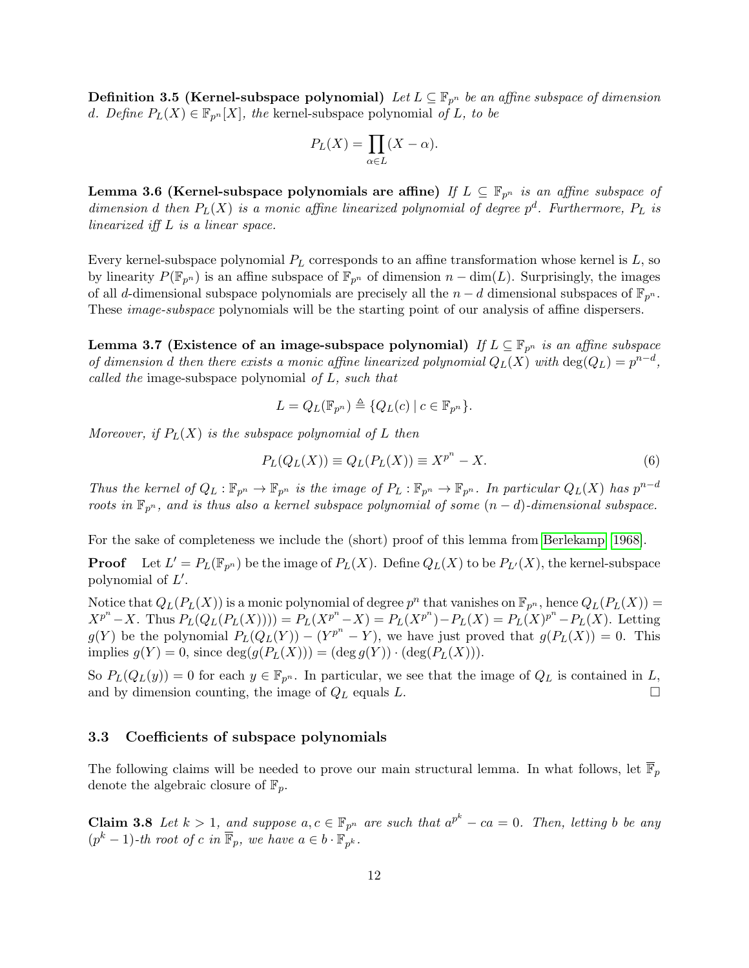**Definition 3.5 (Kernel-subspace polynomial)** Let  $L \subseteq \mathbb{F}_{p^n}$  be an affine subspace of dimension d. Define  $P_L(X) \in \mathbb{F}_{p^n}[X]$ , the kernel-subspace polynomial of L, to be

$$
P_L(X) = \prod_{\alpha \in L} (X - \alpha).
$$

Lemma 3.6 (Kernel-subspace polynomials are affine) If  $L \subseteq \mathbb{F}_{p^n}$  is an affine subspace of dimension d then  $P_L(X)$  is a monic affine linearized polynomial of degree  $p^d$ . Furthermore,  $P_L$  is linearized iff  $L$  is a linear space.

Every kernel-subspace polynomial  $P_L$  corresponds to an affine transformation whose kernel is  $L$ , so by linearity  $P(\mathbb{F}_{p^n})$  is an affine subspace of  $\mathbb{F}_{p^n}$  of dimension  $n - \dim(L)$ . Surprisingly, the images of all d-dimensional subspace polynomials are precisely all the  $n - d$  dimensional subspaces of  $\mathbb{F}_{p^n}$ . These *image-subspace* polynomials will be the starting point of our analysis of affine dispersers.

<span id="page-12-1"></span>Lemma 3.7 (Existence of an image-subspace polynomial) If  $L \subseteq \mathbb{F}_{p^n}$  is an affine subspace of dimension d then there exists a monic affine linearized polynomial  $Q_L(X)$  with  $deg(Q_L) = p^{n-d}$ , called the image-subspace polynomial of  $L$ , such that

$$
L = Q_L(\mathbb{F}_{p^n}) \triangleq \{Q_L(c) \mid c \in \mathbb{F}_{p^n}\}.
$$

Moreover, if  $P_L(X)$  is the subspace polynomial of L then

$$
P_L(Q_L(X)) \equiv Q_L(P_L(X)) \equiv X^{p^n} - X.
$$
\n<sup>(6)</sup>

Thus the kernel of  $Q_L : \mathbb{F}_{p^n} \to \mathbb{F}_{p^n}$  is the image of  $P_L : \mathbb{F}_{p^n} \to \mathbb{F}_{p^n}$ . In particular  $Q_L(X)$  has  $p^{n-d}$ roots in  $\mathbb{F}_{p^n}$ , and is thus also a kernel subspace polynomial of some  $(n-d)$ -dimensional subspace.

For the sake of completeness we include the (short) proof of this lemma from [Berlekamp](#page-39-5) [\[1968\]](#page-39-5).

**Proof** Let  $L' = P_L(\mathbb{F}_{p^n})$  be the image of  $P_L(X)$ . Define  $Q_L(X)$  to be  $P_{L'}(X)$ , the kernel-subspace polynomial of  $L'$ .

Notice that  $Q_L(P_L(X))$  is a monic polynomial of degree  $p^n$  that vanishes on  $\mathbb{F}_{p^n}$ , hence  $Q_L(P_L(X))$  =  $X^{p^n} - X$ . Thus  $P_L(Q_L(P_L(X)))) = P_L(X^{p^n} - X) = P_L(X^{p^n}) - P_L(X) = P_L(X)^{p^n} - P_L(X)$ . Letting  $g(Y)$  be the polynomial  $P_L(Q_L(Y)) - (Y^{p^n} - Y)$ , we have just proved that  $g(P_L(X)) = 0$ . This implies  $g(Y) = 0$ , since  $\deg(g(P_L(X))) = (\deg g(Y)) \cdot (\deg(P_L(X))).$ 

So  $P_L(Q_L(y)) = 0$  for each  $y \in \mathbb{F}_{p^n}$ . In particular, we see that the image of  $Q_L$  is contained in L, and by dimension counting, the image of  $Q_L$  equals L.

#### <span id="page-12-0"></span>3.3 Coefficients of subspace polynomials

The following claims will be needed to prove our main structural lemma. In what follows, let  $\mathbb{F}_p$ denote the algebraic closure of  $\mathbb{F}_p$ .

<span id="page-12-2"></span>**Claim 3.8** Let  $k > 1$ , and suppose  $a, c \in \mathbb{F}_{p^n}$  are such that  $a^{p^k} - ca = 0$ . Then, letting b be any  $(p^k-1)$ -th root of c in  $\overline{\mathbb{F}}_p$ , we have  $a \in b \cdot \overline{\mathbb{F}}_{p^k}$ .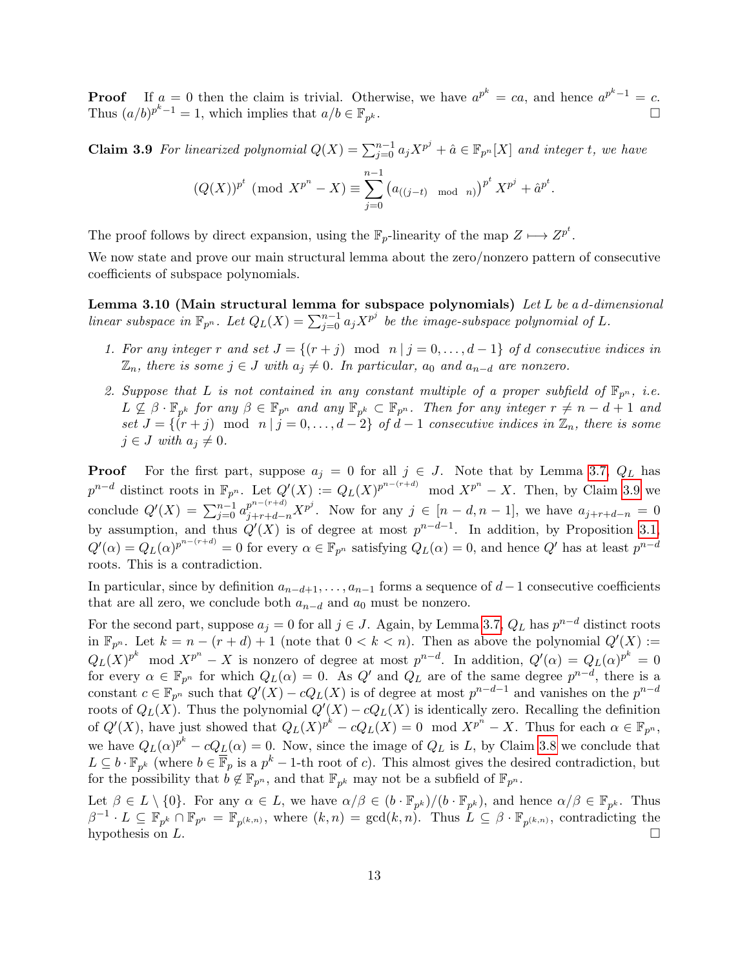**Proof** If  $a = 0$  then the claim is trivial. Otherwise, we have  $a^{p^k} = ca$ , and hence  $a^{p^k-1} = c$ . Thus  $(a/b)^{p^k-1} = 1$ , which implies that  $a/b \in \mathbb{F}_p$  $k$  .

<span id="page-13-1"></span>**Claim 3.9** For linearized polynomial  $Q(X) = \sum_{j=0}^{n-1} a_j X^{p^j} + \hat{a} \in \mathbb{F}_{p^n}[X]$  and integer t, we have n

$$
(Q(X))^{p^t} \pmod{X^{p^n} - X} \equiv \sum_{j=0}^{n-1} (a_{((j-t) \mod n)})^{p^t} X^{p^j} + \hat{a}^{p^t}.
$$

The proof follows by direct expansion, using the  $\mathbb{F}_p$ -linearity of the map  $Z \longmapsto Z^{p^t}$ .

We now state and prove our main structural lemma about the zero/nonzero pattern of consecutive coefficients of subspace polynomials.

<span id="page-13-0"></span>Lemma 3.10 (Main structural lemma for subspace polynomials) Let L be a d-dimensional linear subspace in  $\mathbb{F}_{p^n}$ . Let  $Q_L(X) = \sum_{j=0}^{n-1} a_j X^{p^j}$  be the image-subspace polynomial of L.

- 1. For any integer r and set  $J = \{(r + j) \mod n | j = 0, \ldots, d 1\}$  of d consecutive indices in  $\mathbb{Z}_n$ , there is some  $j \in J$  with  $a_j \neq 0$ . In particular,  $a_0$  and  $a_{n-d}$  are nonzero.
- 2. Suppose that L is not contained in any constant multiple of a proper subfield of  $\mathbb{F}_{p^n}$ , i.e.  $L \nsubseteq \beta \cdot \mathbb{F}_{p^k}$  for any  $\beta \in \mathbb{F}_{p^n}$  and any  $\mathbb{F}_{p^k} \subset \mathbb{F}_{p^n}$ . Then for any integer  $r \neq n-d+1$  and set  $J = \{(r + j) \mod n | j = 0, \ldots, d - 2\}$  of  $d - 1$  consecutive indices in  $\mathbb{Z}_n$ , there is some  $j \in J$  with  $a_j \neq 0$ .

**Proof** For the first part, suppose  $a_j = 0$  for all  $j \in J$ . Note that by Lemma [3.7,](#page-12-1)  $Q_L$  has  $p^{n-d}$  distinct roots in  $\mathbb{F}_{p^n}$ . Let  $Q'(X) := Q_L(X)^{p^{n-(r+d)}} \mod X^{p^n} - X$ . Then, by Claim [3.9](#page-13-1) we conclude  $Q'(X) = \sum_{j=0}^{n-1} a_{j+r+d-n}^{p^{n-(r+d)}} X^{p^j}$ . Now for any  $j \in [n-d, n-1]$ , we have  $a_{j+r+d-n} = 0$ by assumption, and thus  $Q'(X)$  is of degree at most  $p^{n-d-1}$ . In addition, by Proposition [3.1,](#page-10-2)  $Q'(\alpha) = Q_L(\alpha)^{p^{n-(r+d)}} = 0$  for every  $\alpha \in \mathbb{F}_{p^n}$  satisfying  $Q_L(\alpha) = 0$ , and hence  $Q'$  has at least  $p^{n-d}$ roots. This is a contradiction.

In particular, since by definition  $a_{n-d+1}, \ldots, a_{n-1}$  forms a sequence of  $d-1$  consecutive coefficients that are all zero, we conclude both  $a_{n-d}$  and  $a_0$  must be nonzero.

For the second part, suppose  $a_j = 0$  for all  $j \in J$ . Again, by Lemma [3.7,](#page-12-1)  $Q_L$  has  $p^{n-d}$  distinct roots in  $\mathbb{F}_{p^n}$ . Let  $k = n - (r + d) + 1$  (note that  $0 < k < n$ ). Then as above the polynomial  $Q'(X) :=$  $Q_L(X)^{p^k}$  mod  $X^{p^n} - X$  is nonzero of degree at most  $p^{n-d}$ . In addition,  $Q'(\alpha) = Q_L(\alpha)^{p^k} = 0$ for every  $\alpha \in \mathbb{F}_{p^n}$  for which  $Q_L(\alpha) = 0$ . As  $Q'$  and  $Q_L$  are of the same degree  $p^{n-d}$ , there is a constant  $c \in \mathbb{F}_{p^n}$  such that  $Q'(X) - cQ_L(X)$  is of degree at most  $p^{n-d-1}$  and vanishes on the  $p^{n-d}$ roots of  $Q_L(X)$ . Thus the polynomial  $Q'(X) - cQ_L(X)$  is identically zero. Recalling the definition of  $Q'(X)$ , have just showed that  $Q_L(X)^{p^k} - cQ_L(X) = 0 \mod X^{p^n} - X$ . Thus for each  $\alpha \in \mathbb{F}_{p^n}$ , we have  $Q_L(\alpha)^{p^k} - cQ_L(\alpha) = 0$ . Now, since the image of  $Q_L$  is L, by Claim [3.8](#page-12-2) we conclude that  $L \subseteq b \cdot \mathbb{F}_{p^k}$  (where  $b \in \overline{\mathbb{F}}_p$  is a  $p^k - 1$ -th root of c). This almost gives the desired contradiction, but for the possibility that  $b \notin \mathbb{F}_{p^n}$ , and that  $\mathbb{F}_{p^k}$  may not be a subfield of  $\mathbb{F}_{p^n}$ .

Let  $\beta \in L \setminus \{0\}$ . For any  $\alpha \in L$ , we have  $\alpha/\beta \in (b \cdot \mathbb{F}_{p^k})/(b \cdot \mathbb{F}_{p^k})$ , and hence  $\alpha/\beta \in \mathbb{F}_{p^k}$ . Thus  $\beta^{-1} \cdot L \subseteq \mathbb{F}_{p^k} \cap \mathbb{F}_{p^n} = \mathbb{F}_{p^{(k,n)}}$ , where  $(k,n) = \gcd(k,n)$ . Thus  $L \subseteq \beta \cdot \mathbb{F}_{p^{(k,n)}}$ , contradicting the hypothesis on  $L$ .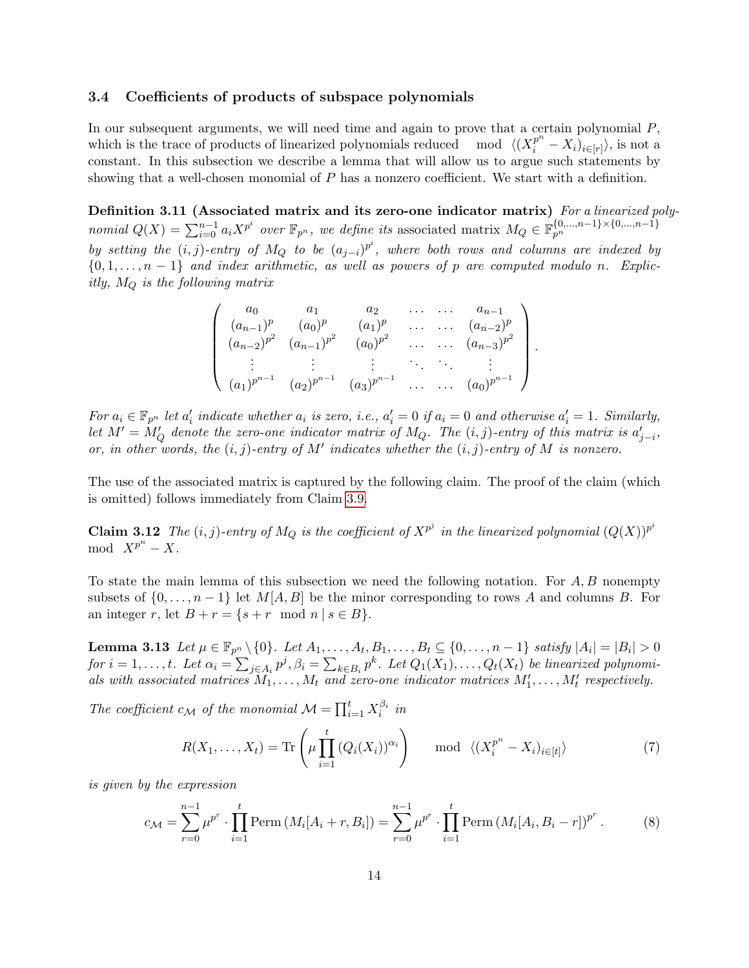#### <span id="page-14-0"></span>3.4 Coefficients of products of subspace polynomials

In our subsequent arguments, we will need time and again to prove that a certain polynomial  $P$ , which is the trace of products of linearized polynomials reduced mod  $\langle (X_i^{p^n} - X_i)_{i \in [r]} \rangle$ , is not a constant. In this subsection we describe a lemma that will allow us to argue such statements by showing that a well-chosen monomial of P has a nonzero coefficient. We start with a definition.

<span id="page-14-4"></span>Definition 3.11 (Associated matrix and its zero-one indicator matrix) For a linearized polynomial  $Q(X) = \sum_{i=0}^{n-1} a_i X^{p^i}$  over  $\mathbb{F}_{p^n}$ , we define its associated matrix  $M_Q \in \mathbb{F}_{p^n}^{\{0,\dots,n-1\} \times \{0,\dots,n-1\}}$ by setting the  $(i, j)$ -entry of  $M_Q$  to be  $(a_{j-i})^{p^i}$ , where both rows and columns are indexed by  $\{0, 1, \ldots, n-1\}$  and index arithmetic, as well as powers of p are computed modulo n. Explicitly,  $M_Q$  is the following matrix

| $a_0$             |                   | $a_2$             | $\cdots$ | $\cdots$ | $a_{n-1}$                           |  |
|-------------------|-------------------|-------------------|----------|----------|-------------------------------------|--|
| $(a_{n-1})^p$     | $(a_0)^p$         | $(a_1)^p$         |          |          | $\cdots$ $\cdots$ $(a_{n-2})^p$     |  |
| $(a_{n-2})^{p^2}$ | $(a_{n-1})^{p^2}$ | $(a_0)^{p^2}$     |          |          | $\cdots$ $\cdots$ $(a_{n-3})^{p^2}$ |  |
|                   |                   |                   |          |          |                                     |  |
| $(a_1)^{p^{n-1}}$ | $(a_2)^{p^{n-1}}$ | $(a_3)^{p^{n-1}}$ |          |          | $(a_0)^{p^{n-1}}$                   |  |

For  $a_i \in \mathbb{F}_{p^n}$  let  $a'_i$  indicate whether  $a_i$  is zero, i.e.,  $a'_i = 0$  if  $a_i = 0$  and otherwise  $a'_i = 1$ . Similarly, let  $M' = M'_Q$  denote the zero-one indicator matrix of  $M_Q$ . The  $(i, j)$ -entry of this matrix is  $a'_{j-i}$ , or, in other words, the  $(i, j)$ -entry of M' indicates whether the  $(i, j)$ -entry of M is nonzero.

The use of the associated matrix is captured by the following claim. The proof of the claim (which is omitted) follows immediately from Claim [3.9.](#page-13-1)

<span id="page-14-2"></span>**Claim 3.12** The  $(i, j)$ -entry of  $M_Q$  is the coefficient of  $X^{p^j}$  in the linearized polynomial  $(Q(X))^{p^i}$  $\mod X^{p^n} - X.$ 

To state the main lemma of this subsection we need the following notation. For  $A, B$  nonempty subsets of  $\{0, \ldots, n-1\}$  let  $M[A, B]$  be the minor corresponding to rows A and columns B. For an integer r, let  $B + r = \{s + r \mod n \mid s \in B\}.$ 

<span id="page-14-1"></span>**Lemma 3.13** Let  $\mu \in \mathbb{F}_{p^n} \setminus \{0\}$ . Let  $A_1, \ldots, A_t, B_1, \ldots, B_t \subseteq \{0, \ldots, n-1\}$  satisfy  $|A_i| = |B_i| > 0$ for  $i=1,\ldots,t$ . Let  $\alpha_i=\sum_{j\in A_i}p^j$ ,  $\beta_i=\sum_{k\in B_i}p^k$ . Let  $Q_1(X_1),\ldots,Q_t(X_t)$  be linearized polynomials with associated matrices  $M_1, \ldots, M_t$  and zero-one indicator matrices  $M'_1, \ldots, M'_t$  respectively.

The coefficient  $c_M$  of the monomial  $\mathcal{M} = \prod_{i=1}^t X_i^{\beta_i}$  in

$$
R(X_1, \ldots, X_t) = \text{Tr}\left(\mu \prod_{i=1}^t (Q_i(X_i))^{\alpha_i}\right) \mod \langle (X_i^{p^n} - X_i)_{i \in [t]}\rangle \tag{7}
$$

is given by the expression

<span id="page-14-3"></span>
$$
c_{\mathcal{M}} = \sum_{r=0}^{n-1} \mu^{p^r} \cdot \prod_{i=1}^t \text{Perm}\left(M_i[A_i + r, B_i]\right) = \sum_{r=0}^{n-1} \mu^{p^r} \cdot \prod_{i=1}^t \text{Perm}\left(M_i[A_i, B_i - r]\right)^{p^r}.
$$
 (8)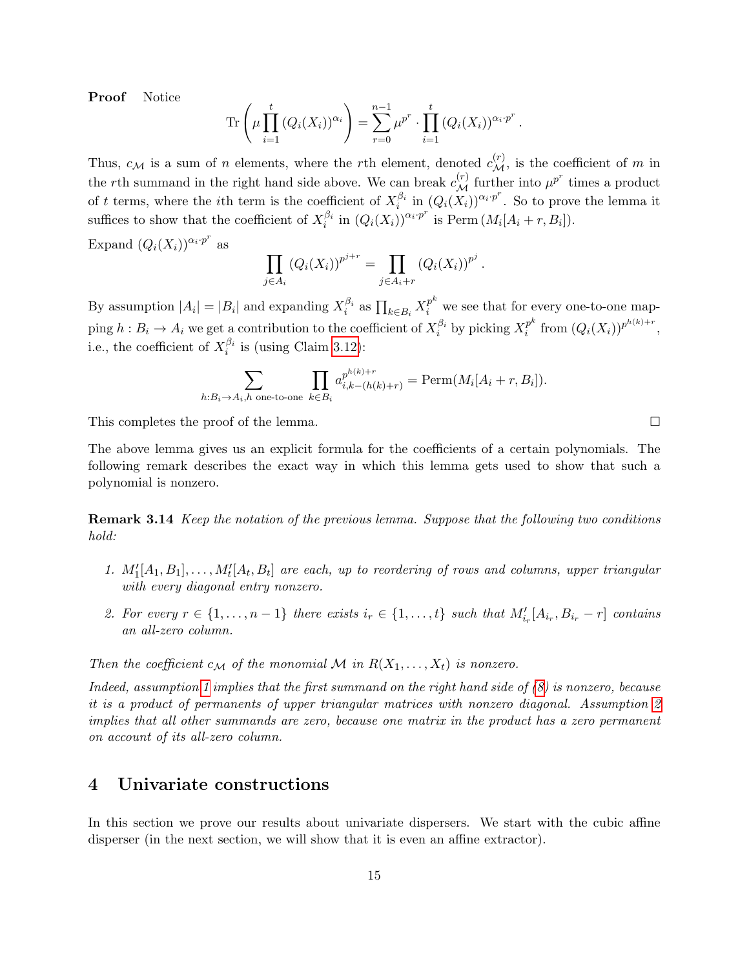Proof Notice

$$
\operatorname{Tr}\left(\mu \prod_{i=1}^t \left(Q_i(X_i)\right)^{\alpha_i}\right) = \sum_{r=0}^{n-1} \mu^{p^r} \cdot \prod_{i=1}^t \left(Q_i(X_i)\right)^{\alpha_i \cdot p^r}.
$$

Thus,  $c_{\mathcal{M}}$  is a sum of n elements, where the rth element, denoted  $c_{\mathcal{M}}^{(r)}$ , is the coefficient of m in the rth summand in the right hand side above. We can break  $c_{\mathcal{M}}^{(r)}$  further into  $\mu^{p^r}$  times a product of t terms, where the *i*th term is the coefficient of  $X_i^{\beta_i}$  in  $(Q_i(X_i))^{\alpha_i p^r}$ . So to prove the lemma it suffices to show that the coefficient of  $X_i^{\beta_i}$  in  $(Q_i(X_i))^{\alpha_i p^r}$  is Perm  $(M_i[A_i + r, B_i])$ .

Expand  $(Q_i(X_i))^{\alpha_i \cdot p^r}$  as

$$
\prod_{j \in A_i} (Q_i(X_i))^{p^{j+r}} = \prod_{j \in A_i+r} (Q_i(X_i))^{p^j}.
$$

By assumption  $|A_i| = |B_i|$  and expanding  $X_i^{\beta_i}$  as  $\prod_{k \in B_i} X_i^{p^k}$  we see that for every one-to-one mapping  $h: B_i \to A_i$  we get a contribution to the coefficient of  $X_i^{\beta_i}$  by picking  $X_i^{p^k}$  $i^{p^k}$  from  $(Q_i(X_i))^{p^{h(k)+r}},$ i.e., the coefficient of  $X_i^{\beta_i}$  is (using Claim [3.12\)](#page-14-2):

$$
\sum_{h:B_i \to A_i, h \text{ one-to-one}} \prod_{k \in B_i} a_{i,k-(h(k)+r)}^{p^{h(k)+r}} = \text{Perm}(M_i[A_i + r, B_i]).
$$

This completes the proof of the lemma.

The above lemma gives us an explicit formula for the coefficients of a certain polynomials. The following remark describes the exact way in which this lemma gets used to show that such a polynomial is nonzero.

<span id="page-15-3"></span>Remark 3.14 Keep the notation of the previous lemma. Suppose that the following two conditions hold:

- <span id="page-15-1"></span>1.  $M'_1[A_1, B_1], \ldots, M'_t[A_t, B_t]$  are each, up to reordering of rows and columns, upper triangular with every diagonal entry nonzero.
- <span id="page-15-2"></span>2. For every  $r \in \{1, \ldots, n-1\}$  there exists  $i_r \in \{1, \ldots, t\}$  such that  $M'_{i_r}[A_{i_r}, B_{i_r} - r]$  contains an all-zero column.

Then the coefficient  $c_M$  of the monomial M in  $R(X_1, \ldots, X_t)$  is nonzero.

Indeed, assumption [1](#page-15-1) implies that the first summand on the right hand side of  $(8)$  is nonzero, because it is a product of permanents of upper triangular matrices with nonzero diagonal. Assumption [2](#page-15-2) implies that all other summands are zero, because one matrix in the product has a zero permanent on account of its all-zero column.

# <span id="page-15-0"></span>4 Univariate constructions

In this section we prove our results about univariate dispersers. We start with the cubic affine disperser (in the next section, we will show that it is even an affine extractor).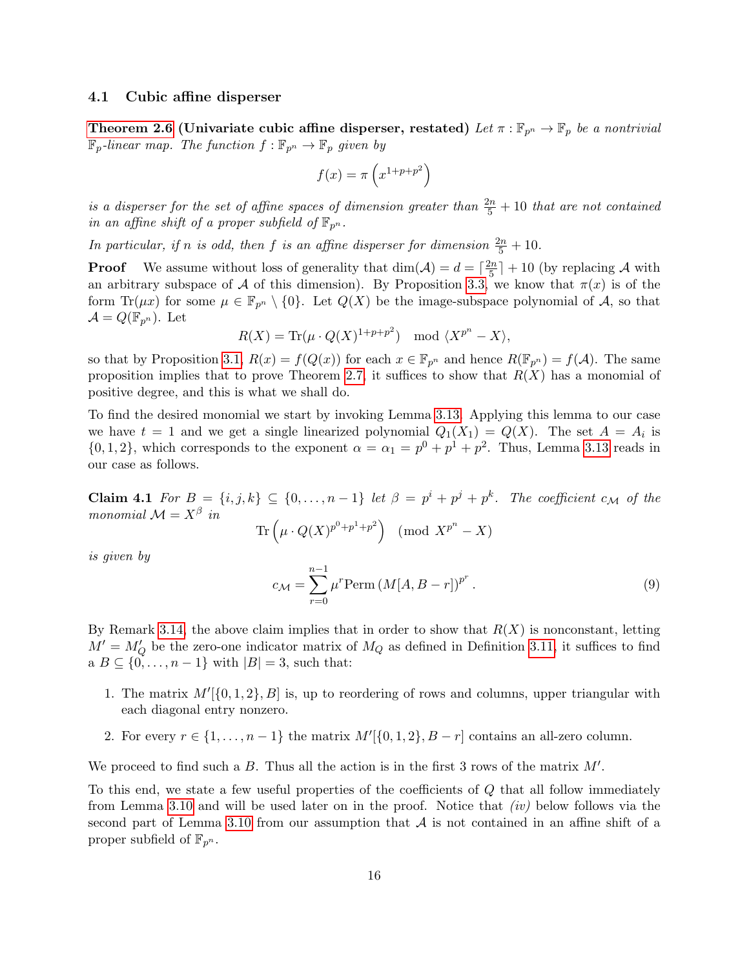#### <span id="page-16-0"></span>4.1 Cubic affine disperser

[Theorem 2.6](#page-8-2) (Univariate cubic affine disperser, restated) Let  $\pi : \mathbb{F}_{p^n} \to \mathbb{F}_p$  be a nontrivial  $\mathbb{F}_p$ -linear map. The function  $f : \mathbb{F}_{p^n} \to \mathbb{F}_p$  given by

$$
f(x) = \pi \left( x^{1+p+p^2} \right)
$$

is a disperser for the set of affine spaces of dimension greater than  $\frac{2n}{5} + 10$  that are not contained in an affine shift of a proper subfield of  $\mathbb{F}_{p^n}$ .

In particular, if n is odd, then f is an affine disperser for dimension  $\frac{2n}{5} + 10$ .

**Proof** We assume without loss of generality that  $\dim(\mathcal{A}) = d = \lceil \frac{2n}{5} \rceil$  $\frac{2n}{5}$  + 10 (by replacing A with an arbitrary subspace of A of this dimension). By Proposition [3.3,](#page-11-1) we know that  $\pi(x)$  is of the form  $\text{Tr}(\mu x)$  for some  $\mu \in \mathbb{F}_{p^n} \setminus \{0\}$ . Let  $Q(X)$  be the image-subspace polynomial of A, so that  $\mathcal{A} = Q(\mathbb{F}_{p^n})$ . Let

$$
R(X) = \text{Tr}(\mu \cdot Q(X)^{1+p+p^2}) \mod \langle X^{p^n} - X \rangle,
$$

so that by Proposition [3.1,](#page-10-2)  $R(x) = f(Q(x))$  for each  $x \in \mathbb{F}_{p^n}$  and hence  $R(\mathbb{F}_{p^n}) = f(A)$ . The same proposition implies that to prove Theorem [2.7,](#page-8-3) it suffices to show that  $R(X)$  has a monomial of positive degree, and this is what we shall do.

To find the desired monomial we start by invoking Lemma [3.13.](#page-14-1) Applying this lemma to our case we have  $t = 1$  and we get a single linearized polynomial  $Q_1(X_1) = Q(X)$ . The set  $A = A_i$  is  $\{0, 1, 2\}$ , which corresponds to the exponent  $\alpha = \alpha_1 = p^0 + p^1 + p^2$ . Thus, Lemma [3.13](#page-14-1) reads in our case as follows.

**Claim 4.1** For  $B = \{i, j, k\} \subseteq \{0, ..., n-1\}$  let  $\beta = p^i + p^j + p^k$ . The coefficient  $c_{\mathcal{M}}$  of the monomial  $\mathcal{M} = X^{\beta}$  in 2 n

$$
\operatorname{Tr}\left(\mu \cdot Q(X)^{p^0+p^1+p^2}\right) \pmod{X^{p^n}-X}
$$

is given by

$$
c_{\mathcal{M}} = \sum_{r=0}^{n-1} \mu^r \text{Perm}\left(M[A, B - r]\right)^{p^r}.
$$
\n(9)

By Remark [3.14,](#page-15-3) the above claim implies that in order to show that  $R(X)$  is nonconstant, letting  $M' = M'_Q$  be the zero-one indicator matrix of  $M_Q$  as defined in Definition [3.11,](#page-14-4) it suffices to find a  $B \subseteq \{0, \ldots, n-1\}$  with  $|B|=3$ , such that:

- <span id="page-16-1"></span>1. The matrix  $M'[\{0, 1, 2\}, B]$  is, up to reordering of rows and columns, upper triangular with each diagonal entry nonzero.
- <span id="page-16-2"></span>2. For every  $r \in \{1, \ldots, n-1\}$  the matrix  $M'[\{0, 1, 2\}, B - r]$  contains an all-zero column.

We proceed to find such a  $B$ . Thus all the action is in the first 3 rows of the matrix  $M'$ .

<span id="page-16-3"></span>To this end, we state a few useful properties of the coefficients of Q that all follow immediately from Lemma [3.10](#page-13-0) and will be used later on in the proof. Notice that  $(iv)$  below follows via the second part of Lemma [3.10](#page-13-0) from our assumption that  $A$  is not contained in an affine shift of a proper subfield of  $\mathbb{F}_{p^n}$ .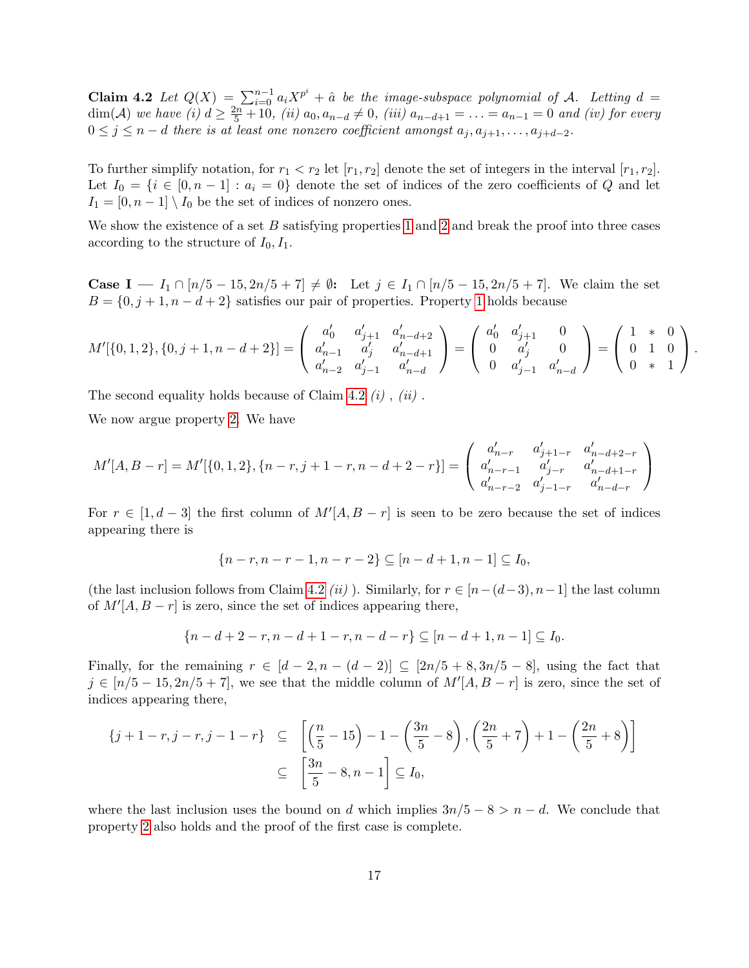**Claim 4.2** Let  $Q(X) = \sum_{i=0}^{n-1} a_i X^{p^i} + \hat{a}$  be the image-subspace polynomial of A. Letting  $d =$ dim(A) we have (i)  $d \ge \frac{2n}{5} + 10$ , (ii)  $a_0, a_{n-d} \ne 0$ , (iii)  $a_{n-d+1} = \ldots = a_{n-1} = 0$  and (iv) for every  $0 \leq j \leq n-d$  there is at least one nonzero coefficient amongst  $a_j, a_{j+1}, \ldots, a_{j+d-2}$ .

To further simplify notation, for  $r_1 < r_2$  let  $[r_1, r_2]$  denote the set of integers in the interval  $[r_1, r_2]$ . Let  $I_0 = \{i \in [0, n-1] : a_i = 0\}$  denote the set of indices of the zero coefficients of Q and let  $I_1 = [0, n-1] \setminus I_0$  be the set of indices of nonzero ones.

We show the existence of a set B satisfying properties [1](#page-16-1) and [2](#page-16-2) and break the proof into three cases according to the structure of  $I_0, I_1$ .

**Case I** —  $I_1 \cap [n/5 - 15, 2n/5 + 7] \neq \emptyset$ : Let  $j \in I_1 \cap [n/5 - 15, 2n/5 + 7]$ . We claim the set  $B = \{0, j + 1, n - d + 2\}$  $B = \{0, j + 1, n - d + 2\}$  $B = \{0, j + 1, n - d + 2\}$  satisfies our pair of properties. Property 1 holds because

$$
M'[\{0,1,2\},\{0,j+1,n-d+2\}] = \begin{pmatrix} a'_0 & a'_{j+1} & a'_{n-d+2} \\ a'_{n-1} & a'_j & a'_{n-d+1} \\ a'_{n-2} & a'_{j-1} & a'_{n-d} \end{pmatrix} = \begin{pmatrix} a'_0 & a'_{j+1} & 0 \\ 0 & a'_j & 0 \\ 0 & a'_{j-1} & a'_{n-d} \end{pmatrix} = \begin{pmatrix} 1 & * & 0 \\ 0 & 1 & 0 \\ 0 & * & 1 \end{pmatrix}.
$$

The second equality holds because of Claim [4.2](#page-16-3)  $(i)$ ,  $(ii)$ .

We now argue property [2.](#page-16-2) We have

$$
M'[A,B-r]=M'[\{0,1,2\},\{n-r,j+1-r,n-d+2-r\}]=\left(\begin{array}{cc} a'_{n-r} & a'_{j+1-r} & a'_{n-d+2-r} \\ a'_{n-r-1} & a'_{j-r} & a'_{n-d+1-r} \\ a'_{n-r-2} & a'_{j-1-r} & a'_{n-d-r} \end{array}\right)
$$

For  $r \in [1, d-3]$  the first column of  $M'[A, B - r]$  is seen to be zero because the set of indices appearing there is

$$
\{n-r, n-r-1, n-r-2\} \subseteq [n-d+1, n-1] \subseteq I_0,
$$

(the last inclusion follows from Claim [4.2](#page-16-3) (ii)). Similarly, for  $r \in [n-(d-3), n-1]$  the last column of  $M'[A, B - r]$  is zero, since the set of indices appearing there,

$$
\{n-d+2-r, n-d+1-r, n-d-r\} \subseteq [n-d+1, n-1] \subseteq I_0.
$$

Finally, for the remaining  $r \in [d-2, n-(d-2)] \subseteq [2n/5+8, 3n/5-8]$ , using the fact that  $j \in [n/5 - 15, 2n/5 + 7]$ , we see that the middle column of  $M'(A, B - r)$  is zero, since the set of indices appearing there,

$$
\{j+1-r, j-r, j-1-r\} \subseteq \left[ \left(\frac{n}{5} - 15\right) - 1 - \left(\frac{3n}{5} - 8\right), \left(\frac{2n}{5} + 7\right) + 1 - \left(\frac{2n}{5} + 8\right) \right] \subseteq \left[ \frac{3n}{5} - 8, n - 1 \right] \subseteq I_0,
$$

where the last inclusion uses the bound on d which implies  $3n/5 - 8 > n - d$ . We conclude that property [2](#page-16-2) also holds and the proof of the first case is complete.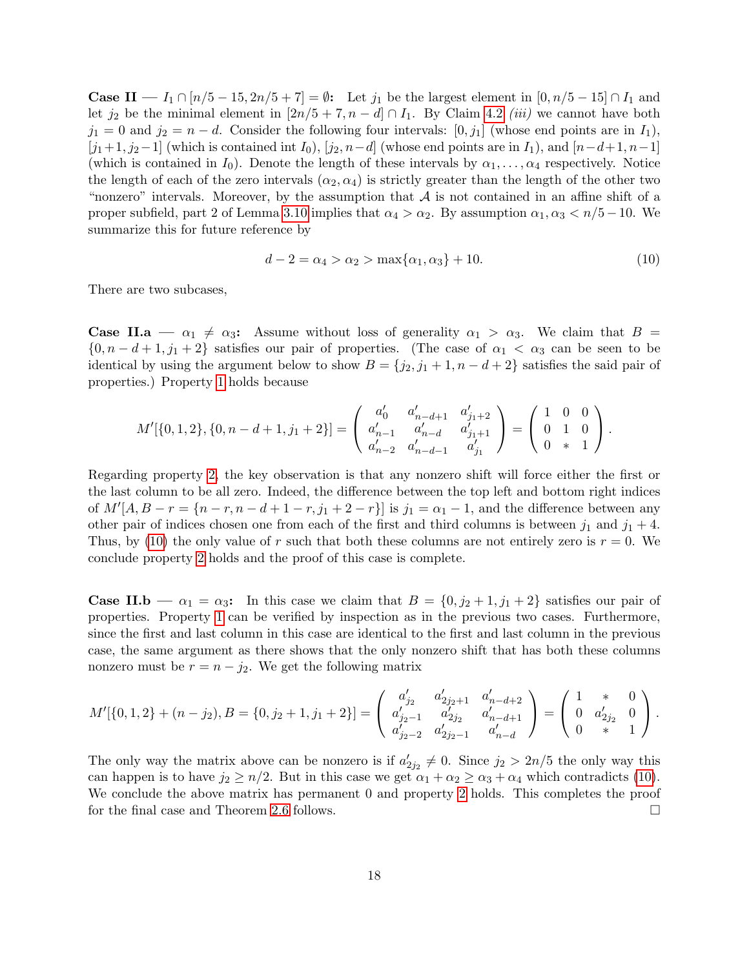**Case II** —  $I_1 \cap [n/5 - 15, 2n/5 + 7] = \emptyset$ : Let  $j_1$  be the largest element in  $[0, n/5 - 15] \cap I_1$  and let  $j_2$  be the minimal element in  $[2n/5 + 7, n - d] \cap I_1$ . By Claim [4.2](#page-16-3) *(iii)* we cannot have both  $j_1 = 0$  and  $j_2 = n - d$ . Consider the following four intervals: [0,  $j_1$ ] (whose end points are in  $I_1$ ).  $[j_1+1, j_2-1]$  (which is contained int  $I_0$ ),  $[j_2, n-d]$  (whose end points are in  $I_1$ ), and  $[n-d+1, n-1]$ (which is contained in  $I_0$ ). Denote the length of these intervals by  $\alpha_1, \ldots, \alpha_4$  respectively. Notice the length of each of the zero intervals  $(\alpha_2, \alpha_4)$  is strictly greater than the length of the other two "nonzero" intervals. Moreover, by the assumption that  $A$  is not contained in an affine shift of a proper subfield, part 2 of Lemma [3.10](#page-13-0) implies that  $\alpha_4 > \alpha_2$ . By assumption  $\alpha_1, \alpha_3 < n/5-10$ . We summarize this for future reference by

<span id="page-18-0"></span>
$$
d - 2 = \alpha_4 > \alpha_2 > \max\{\alpha_1, \alpha_3\} + 10. \tag{10}
$$

There are two subcases,

**Case II.a** —  $\alpha_1 \neq \alpha_3$ : Assume without loss of generality  $\alpha_1 > \alpha_3$ . We claim that  $B =$  $\{0, n-d+1, j_1+2\}$  satisfies our pair of properties. (The case of  $\alpha_1 < \alpha_3$  can be seen to be identical by using the argument below to show  $B = \{j_2, j_1 + 1, n - d + 2\}$  satisfies the said pair of properties.) Property [1](#page-16-1) holds because

$$
M'[\{0,1,2\},\{0,n-d+1,j_1+2\}] = \begin{pmatrix} a'_0 & a'_{n-d+1} & a'_{j_1+2} \\ a'_{n-1} & a'_{n-d} & a'_{j_1+1} \\ a'_{n-2} & a'_{n-d-1} & a'_{j_1} \end{pmatrix} = \begin{pmatrix} 1 & 0 & 0 \\ 0 & 1 & 0 \\ 0 & * & 1 \end{pmatrix}.
$$

Regarding property [2,](#page-16-2) the key observation is that any nonzero shift will force either the first or the last column to be all zero. Indeed, the difference between the top left and bottom right indices of  $M'[A, B - r = \{n - r, n - d + 1 - r, j_1 + 2 - r\}]$  is  $j_1 = \alpha_1 - 1$ , and the difference between any other pair of indices chosen one from each of the first and third columns is between  $j_1$  and  $j_1 + 4$ . Thus, by [\(10\)](#page-18-0) the only value of r such that both these columns are not entirely zero is  $r = 0$ . We conclude property [2](#page-16-2) holds and the proof of this case is complete.

**Case II.b** —  $\alpha_1 = \alpha_3$ : In this case we claim that  $B = \{0, j_2 + 1, j_1 + 2\}$  satisfies our pair of properties. Property [1](#page-16-1) can be verified by inspection as in the previous two cases. Furthermore, since the first and last column in this case are identical to the first and last column in the previous case, the same argument as there shows that the only nonzero shift that has both these columns nonzero must be  $r = n - j_2$ . We get the following matrix

$$
M'[\{0,1,2\}+(n-j_2),B=\{0,j_2+1,j_1+2\}]=\left(\begin{array}{ccc}a'_{j_2}&a'_{2j_2+1}&a'_{n-d+2}\\a'_{j_2-1}&a'_{2j_2}&a'_{n-d+1}\\a'_{j_2-2}&a'_{2j_2-1}&a'_{n-d}\end{array}\right)=\left(\begin{array}{ccc}1&*&0\\0&a'_{2j_2}&0\\0&*&1\end{array}\right).
$$

The only way the matrix above can be nonzero is if  $a'_{2j_2} \neq 0$ . Since  $j_2 > 2n/5$  the only way this can happen is to have  $j_2 \geq n/2$ . But in this case we get  $\alpha_1 + \alpha_2 \geq \alpha_3 + \alpha_4$  which contradicts [\(10\)](#page-18-0). We conclude the above matrix has permanent 0 and property [2](#page-16-2) holds. This completes the proof for the final case and Theorem [2.6](#page-8-2) follows.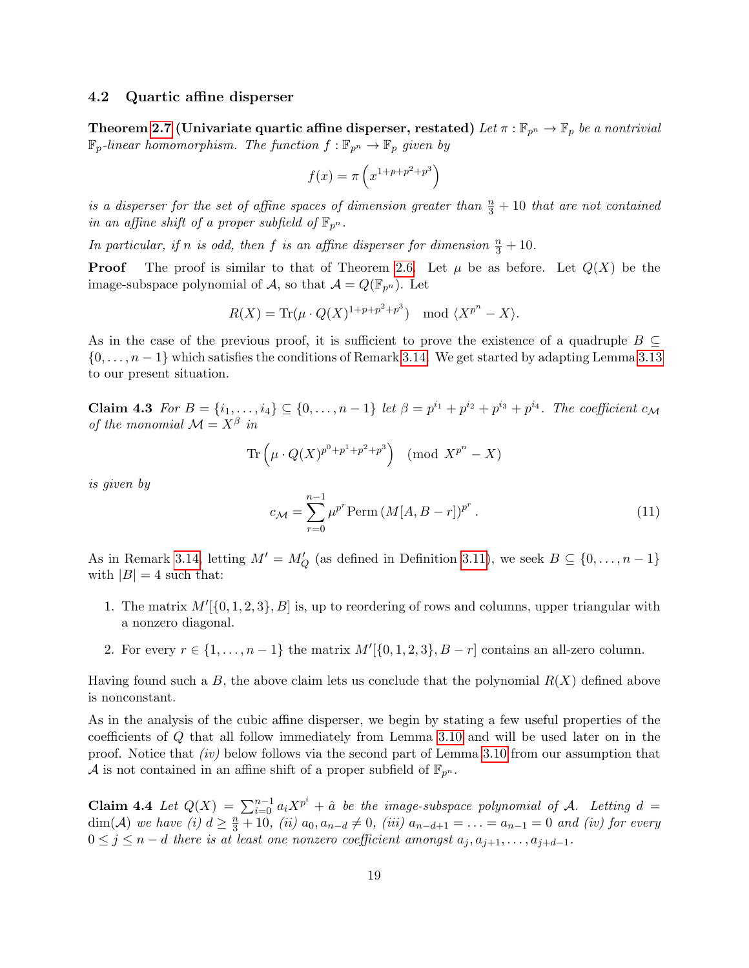#### <span id="page-19-0"></span>4.2 Quartic affine disperser

**Theorem [2.7](#page-8-3) (Univariate quartic affine disperser, restated)** Let  $\pi : \mathbb{F}_{p^n} \to \mathbb{F}_p$  be a nontrivial  $\mathbb{F}_p$ -linear homomorphism. The function  $f : \mathbb{F}_{p^n} \to \mathbb{F}_p$  given by

$$
f(x) = \pi \left( x^{1+p+p^2+p^3} \right)
$$

is a disperser for the set of affine spaces of dimension greater than  $\frac{n}{3} + 10$  that are not contained in an affine shift of a proper subfield of  $\mathbb{F}_{p^n}$ .

In particular, if n is odd, then f is an affine disperser for dimension  $\frac{n}{3} + 10$ .

**Proof** The proof is similar to that of Theorem [2.6.](#page-8-2) Let  $\mu$  be as before. Let  $Q(X)$  be the image-subspace polynomial of A, so that  $\mathcal{A} = Q(\mathbb{F}_{p^n})$ . Let

$$
R(X) = \text{Tr}(\mu \cdot Q(X)^{1+p+p^2+p^3}) \mod \langle X^{p^n} - X \rangle.
$$

As in the case of the previous proof, it is sufficient to prove the existence of a quadruple  $B \subseteq$  $\{0, \ldots, n-1\}$  which satisfies the conditions of Remark [3.14.](#page-15-3) We get started by adapting Lemma [3.13](#page-14-1) to our present situation.

<span id="page-19-1"></span>Claim 4.3 For  $B = \{i_1, ..., i_4\}$  ⊆  $\{0, ..., n-1\}$  let  $\beta = p^{i_1} + p^{i_2} + p^{i_3} + p^{i_4}$ . The coefficient  $c_{\mathcal{M}}$ of the monomial  $\mathcal{M} = X^{\beta}$  in

$$
\operatorname{Tr}\left(\mu \cdot Q(X)^{p^0 + p^1 + p^2 + p^3}\right) \pmod{X^{p^n} - X}
$$

is given by

$$
c_{\mathcal{M}} = \sum_{r=0}^{n-1} \mu^{p^r} \text{Perm}\left(M[A, B - r]\right)^{p^r}.
$$
 (11)

As in Remark [3.14,](#page-15-3) letting  $M' = M'_Q$  (as defined in Definition [3.11\)](#page-14-4), we seek  $B \subseteq \{0, \ldots, n-1\}$ with  $|B| = 4$  such that:

- <span id="page-19-2"></span>1. The matrix  $M'[\{0, 1, 2, 3\}, B]$  is, up to reordering of rows and columns, upper triangular with a nonzero diagonal.
- <span id="page-19-3"></span>2. For every  $r \in \{1, \ldots, n-1\}$  the matrix  $M'[\{0, 1, 2, 3\}, B - r]$  contains an all-zero column.

Having found such a B, the above claim lets us conclude that the polynomial  $R(X)$  defined above is nonconstant.

As in the analysis of the cubic affine disperser, we begin by stating a few useful properties of the coefficients of Q that all follow immediately from Lemma [3.10](#page-13-0) and will be used later on in the proof. Notice that (iv) below follows via the second part of Lemma [3.10](#page-13-0) from our assumption that A is not contained in an affine shift of a proper subfield of  $\mathbb{F}_{p^n}$ .

<span id="page-19-4"></span>**Claim 4.4** Let  $Q(X) = \sum_{i=0}^{n-1} a_i X^{p^i} + \hat{a}$  be the image-subspace polynomial of A. Letting  $d =$ dim(A) we have (i)  $d \ge \frac{n}{3} + 10$ , (ii)  $a_0, a_{n-d} \ne 0$ , (iii)  $a_{n-d+1} = ... = a_{n-1} = 0$  and (iv) for every  $0 \leq j \leq n-d$  there is at least one nonzero coefficient amongst  $a_j, a_{j+1}, \ldots, a_{j+d-1}$ .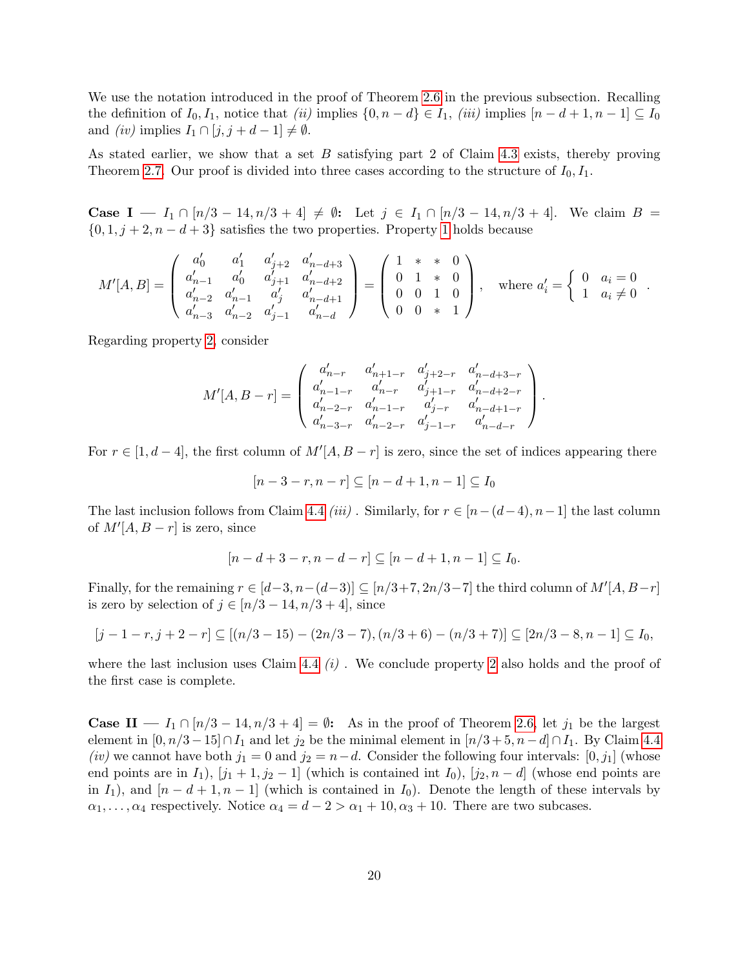We use the notation introduced in the proof of Theorem [2.6](#page-8-2) in the previous subsection. Recalling the definition of  $I_0, I_1$ , notice that (ii) implies  $\{0, n - d\} \in I_1$ , (iii) implies  $[n - d + 1, n - 1] \subseteq I_0$ and  $(iv)$  implies  $I_1 \cap [j, j + d - 1] \neq \emptyset$ .

As stated earlier, we show that a set  $B$  satisfying part 2 of Claim [4.3](#page-19-1) exists, thereby proving Theorem [2.7.](#page-8-3) Our proof is divided into three cases according to the structure of  $I_0, I_1$ .

**Case I** —  $I_1 \cap [n/3 - 14, n/3 + 4] \neq \emptyset$ : Let  $j \in I_1 \cap [n/3 - 14, n/3 + 4]$ . We claim  $B =$  $\{0, 1, j+2, n-d+3\}$  $\{0, 1, j+2, n-d+3\}$  $\{0, 1, j+2, n-d+3\}$  satisfies the two properties. Property 1 holds because

$$
M'[A,B] = \begin{pmatrix} a'_0 & a'_1 & a'_{j+2} & a'_{n-d+3} \\ a'_{n-1} & a'_0 & a'_{j+1} & a'_{n-d+2} \\ a'_{n-2} & a'_{n-1} & a'_j & a'_{n-d+1} \\ a'_{n-3} & a'_{n-2} & a'_{j-1} & a'_{n-d} \end{pmatrix} = \begin{pmatrix} 1 & * & * & 0 \\ 0 & 1 & * & 0 \\ 0 & 0 & 1 & 0 \\ 0 & 0 & * & 1 \end{pmatrix}, \text{ where } a'_i = \begin{cases} 0 & a_i = 0 \\ 1 & a_i \neq 0 \end{cases}.
$$

Regarding property [2,](#page-19-3) consider

$$
M'[A,B-r]=\left(\begin{array}{cccc} a'_{n-r} & a'_{n+1-r} & a'_{j+2-r} & a'_{n-d+3-r} \\ a'_{n-1-r} & a'_{n-r} & a'_{j+1-r} & a'_{n-d+2-r} \\ a'_{n-2-r} & a'_{n-1-r} & a'_{j-r} & a'_{n-d+1-r} \\ a'_{n-3-r} & a'_{n-2-r} & a'_{j-1-r} & a'_{n-d-r} \end{array}\right).
$$

For  $r \in [1, d-4]$ , the first column of  $M'[A, B - r]$  is zero, since the set of indices appearing there

$$
[n-3-r, n-r] \subseteq [n-d+1, n-1] \subseteq I_0
$$

The last inclusion follows from Claim [4.4](#page-19-4) *(iii)*. Similarly, for  $r \in [n-(d-4), n-1]$  the last column of  $M'[A, B - r]$  is zero, since

$$
[n - d + 3 - r, n - d - r] \subseteq [n - d + 1, n - 1] \subseteq I_0.
$$

Finally, for the remaining  $r \in [d-3, n-(d-3)] \subseteq [n/3+7, 2n/3-7]$  the third column of  $M'[A, B-r]$ is zero by selection of  $j \in [n/3-14, n/3+4]$ , since

$$
[j-1-r, j+2-r] \subseteq [(n/3-15)-(2n/3-7), (n/3+6)-(n/3+7)] \subseteq [2n/3-8, n-1] \subseteq I_0,
$$

where the last inclusion uses Claim [4.4](#page-19-4)  $(i)$ . We conclude property [2](#page-19-3) also holds and the proof of the first case is complete.

**Case II** —  $I_1 \cap [n/3 - 14, n/3 + 4] = \emptyset$ : As in the proof of Theorem [2.6,](#page-8-2) let  $j_1$  be the largest element in  $[0, n/3-15] \cap I_1$  and let  $j_2$  be the minimal element in  $[n/3+5, n-d] \cap I_1$ . By Claim [4.4](#page-19-4) (iv) we cannot have both  $j_1 = 0$  and  $j_2 = n-d$ . Consider the following four intervals: [0, j<sub>1</sub>] (whose end points are in  $I_1$ ),  $[j_1 + 1, j_2 - 1]$  (which is contained int  $I_0$ ),  $[j_2, n - d]$  (whose end points are in  $I_1$ ), and  $[n-d+1,n-1]$  (which is contained in  $I_0$ ). Denote the length of these intervals by  $\alpha_1, \ldots, \alpha_4$  respectively. Notice  $\alpha_4 = d - 2 > \alpha_1 + 10, \alpha_3 + 10$ . There are two subcases.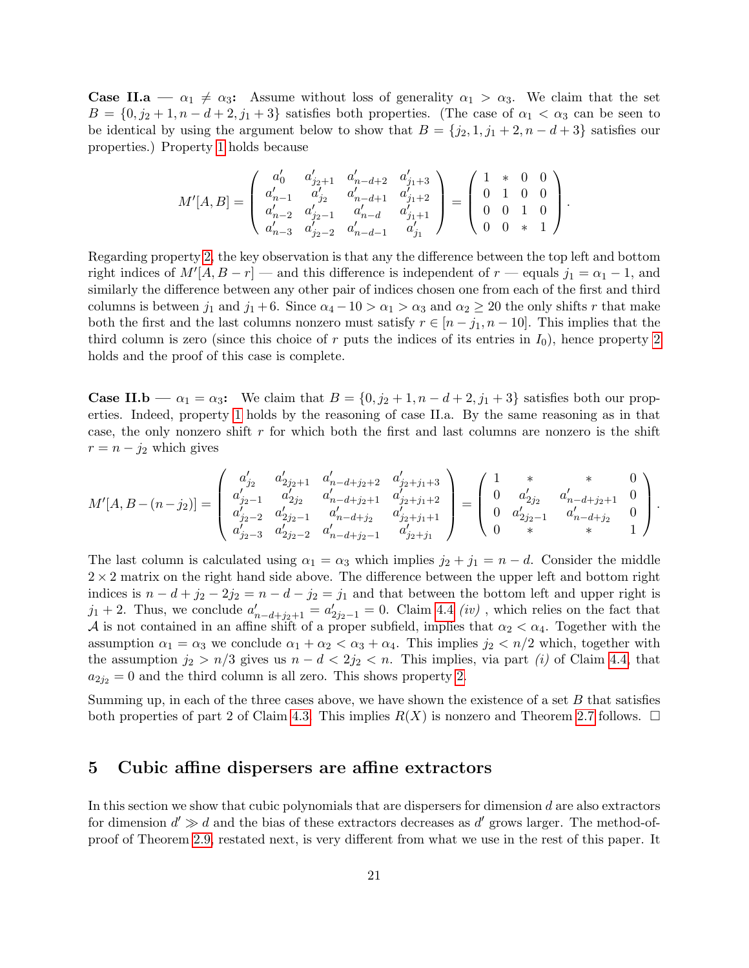**Case II.a** —  $\alpha_1 \neq \alpha_3$ : Assume without loss of generality  $\alpha_1 > \alpha_3$ . We claim that the set  $B = \{0, j_2 + 1, n - d + 2, j_1 + 3\}$  satisfies both properties. (The case of  $\alpha_1 < \alpha_3$  can be seen to be identical by using the argument below to show that  $B = \{j_2, 1, j_1 + 2, n - d + 3\}$  satisfies our properties.) Property [1](#page-19-2) holds because

$$
M'[A,B]=\left(\begin{array}{cccc} a'_0 & a'_{j_2+1} & a'_{n-d+2} & a'_{j_1+3} \\ a'_{n-1} & a'_{j_2} & a'_{n-d+1} & a'_{j_1+2} \\ a'_{n-2} & a'_{j_2-1} & a'_{n-d} & a'_{j_1+1} \\ a'_{n-3} & a'_{j_2-2} & a'_{n-d-1} & a'_{j_1} \end{array}\right)=\left(\begin{array}{cccc} 1 & * & 0 & 0 \\ 0 & 1 & 0 & 0 \\ 0 & 0 & 1 & 0 \\ 0 & 0 & * & 1 \end{array}\right).
$$

Regarding property [2,](#page-19-3) the key observation is that any the difference between the top left and bottom right indices of  $M'[A, B - r]$  — and this difference is independent of r — equals  $j_1 = \alpha_1 - 1$ , and similarly the difference between any other pair of indices chosen one from each of the first and third columns is between  $j_1$  and  $j_1 + 6$ . Since  $\alpha_4 - 10 > \alpha_1 > \alpha_3$  and  $\alpha_2 \ge 20$  the only shifts r that make both the first and the last columns nonzero must satisfy  $r \in [n-j_1, n-10]$ . This implies that the third column is zero (since this choice of r puts the indices of its entries in  $I_0$ ), hence property [2](#page-19-3) holds and the proof of this case is complete.

**Case II.b** —  $\alpha_1 = \alpha_3$ : We claim that  $B = \{0, j_2 + 1, n - d + 2, j_1 + 3\}$  satisfies both our properties. Indeed, property [1](#page-19-2) holds by the reasoning of case II.a. By the same reasoning as in that case, the only nonzero shift  $r$  for which both the first and last columns are nonzero is the shift  $r = n - j_2$  which gives

$$
M'[A, B - (n - j_2)] = \begin{pmatrix} a'_{j_2} & a'_{2j_2+1} & a'_{n-d+j_2+2} & a'_{j_2+j_1+3} \\ a'_{j_2-1} & a'_{2j_2} & a'_{n-d+j_2+1} & a'_{j_2+j_1+2} \\ a'_{j_2-2} & a'_{2j_2-1} & a'_{n-d+j_2} & a'_{j_2+j_1+1} \\ a'_{j_2-3} & a'_{2j_2-2} & a'_{n-d+j_2-1} & a'_{j_2+j_1} \end{pmatrix} = \begin{pmatrix} 1 & * & * & 0 \\ 0 & a'_{2j_2} & a'_{n-d+j_2+1} & 0 \\ 0 & a'_{2j_2-1} & a'_{n-d+j_2} & 0 \\ 0 & * & * & 1 \end{pmatrix}.
$$

The last column is calculated using  $\alpha_1 = \alpha_3$  which implies  $j_2 + j_1 = n - d$ . Consider the middle  $2 \times 2$  matrix on the right hand side above. The difference between the upper left and bottom right indices is  $n - d + j_2 - 2j_2 = n - d - j_2 = j_1$  and that between the bottom left and upper right is  $j_1 + 2$ . Thus, we conclude  $a'_{n-d+j_2+1} = a'_{2j_2-1} = 0$ . Claim [4.4](#page-19-4) *(iv)*, which relies on the fact that A is not contained in an affine shift of a proper subfield, implies that  $\alpha_2 < \alpha_4$ . Together with the assumption  $\alpha_1 = \alpha_3$  we conclude  $\alpha_1 + \alpha_2 < \alpha_3 + \alpha_4$ . This implies  $j_2 < n/2$  which, together with the assumption  $j_2 > n/3$  gives us  $n - d < 2j_2 < n$ . This implies, via part (i) of Claim [4.4,](#page-19-4) that  $a_{2j_2} = 0$  and the third column is all zero. This shows property [2.](#page-19-3)

Summing up, in each of the three cases above, we have shown the existence of a set  $B$  that satisfies both properties of part 2 of Claim [4.3.](#page-19-1) This implies  $R(X)$  is nonzero and Theorem [2.7](#page-8-3) follows.  $\Box$ 

### <span id="page-21-0"></span>5 Cubic affine dispersers are affine extractors

In this section we show that cubic polynomials that are dispersers for dimension d are also extractors for dimension  $d' \gg d$  and the bias of these extractors decreases as  $d'$  grows larger. The method-ofproof of Theorem [2.9,](#page-9-1) restated next, is very different from what we use in the rest of this paper. It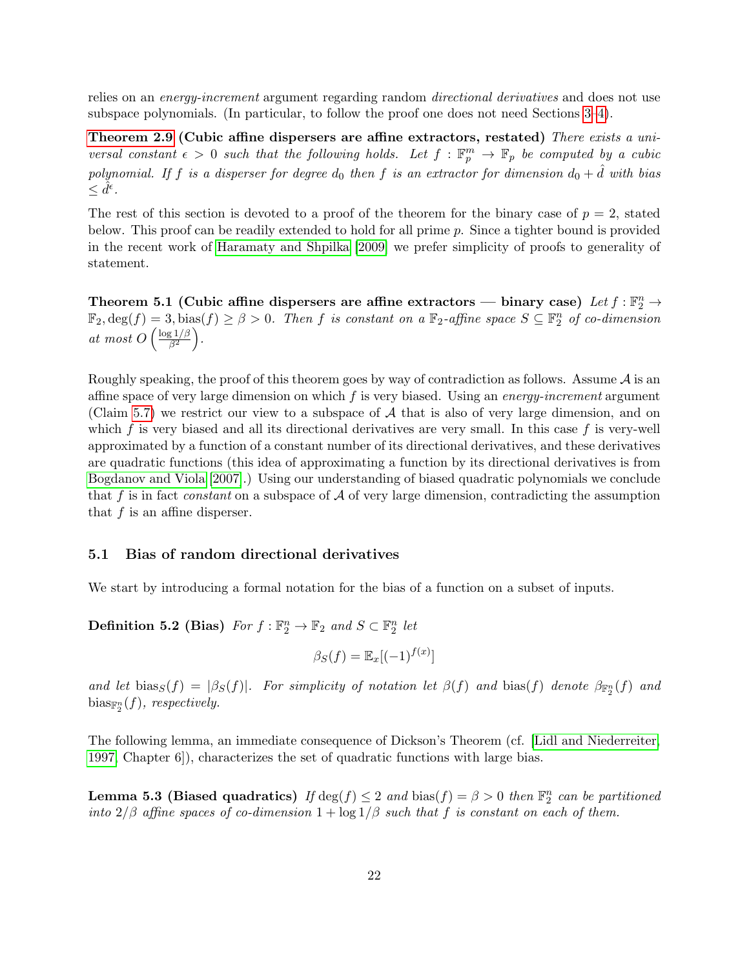relies on an energy-increment argument regarding random directional derivatives and does not use subspace polynomials. (In particular, to follow the proof one does not need Sections [3–](#page-10-0)[4\)](#page-15-0).

[Theorem 2.9](#page-9-1) (Cubic affine dispersers are affine extractors, restated) There exists a universal constant  $\epsilon > 0$  such that the following holds. Let  $f : \mathbb{F}_p^m \to \mathbb{F}_p$  be computed by a cubic polynomial. If f is a disperser for degree  $d_0$  then f is an extractor for dimension  $d_0 + \hat{d}$  with bias  $\leq \hat{d}^{\epsilon}.$ 

The rest of this section is devoted to a proof of the theorem for the binary case of  $p = 2$ , stated below. This proof can be readily extended to hold for all prime p. Since a tighter bound is provided in the recent work of [Haramaty and Shpilka](#page-40-10) [\[2009\]](#page-40-10) we prefer simplicity of proofs to generality of statement.

<span id="page-22-1"></span>Theorem 5.1 (Cubic affine dispersers are affine extractors — binary case) Let  $f : \mathbb{F}_2^n \to$  $\mathbb{F}_2, \deg(f) = 3, \text{bias}(f) \ge \beta > 0$ . Then f is constant on a  $\mathbb{F}_2$ -affine space  $S \subseteq \mathbb{F}_2^n$  of co-dimension at most  $O\left(\frac{\log 1/\beta}{\beta^2}\right)$  $\frac{g1/\beta}{\beta^2}$ .

Roughly speaking, the proof of this theorem goes by way of contradiction as follows. Assume  $A$  is an affine space of very large dimension on which f is very biased. Using an energy-increment argument (Claim [5.7\)](#page-24-0) we restrict our view to a subspace of A that is also of very large dimension, and on which  $f$  is very biased and all its directional derivatives are very small. In this case  $f$  is very-well approximated by a function of a constant number of its directional derivatives, and these derivatives are quadratic functions (this idea of approximating a function by its directional derivatives is from [Bogdanov and Viola](#page-39-12) [\[2007\]](#page-39-12).) Using our understanding of biased quadratic polynomials we conclude that f is in fact *constant* on a subspace of  $A$  of very large dimension, contradicting the assumption that  $f$  is an affine disperser.

#### <span id="page-22-0"></span>5.1 Bias of random directional derivatives

We start by introducing a formal notation for the bias of a function on a subset of inputs.

Definition 5.2 (Bias) For  $f : \mathbb{F}_2^n \to \mathbb{F}_2$  and  $S \subset \mathbb{F}_2^n$  let

$$
\beta_S(f) = \mathbb{E}_x[(-1)^{f(x)}]
$$

and let  $\text{bias}_S(f) = |\beta_S(f)|$ . For simplicity of notation let  $\beta(f)$  and  $\text{bias}(f)$  denote  $\beta_{\mathbb{F}_2^n}(f)$  and  $\mathrm{bias}_{\mathbb{F}_2^n}(f)$ , respectively.

The following lemma, an immediate consequence of Dickson's Theorem (cf. [\[Lidl and Niederreiter,](#page-40-8) [1997,](#page-40-8) Chapter 6]), characterizes the set of quadratic functions with large bias.

<span id="page-22-2"></span>**Lemma 5.3 (Biased quadratics)** If  $deg(f) \leq 2$  and  $bias(f) = \beta > 0$  then  $\mathbb{F}_2^n$  can be partitioned into  $2/\beta$  affine spaces of co-dimension  $1 + \log 1/\beta$  such that f is constant on each of them.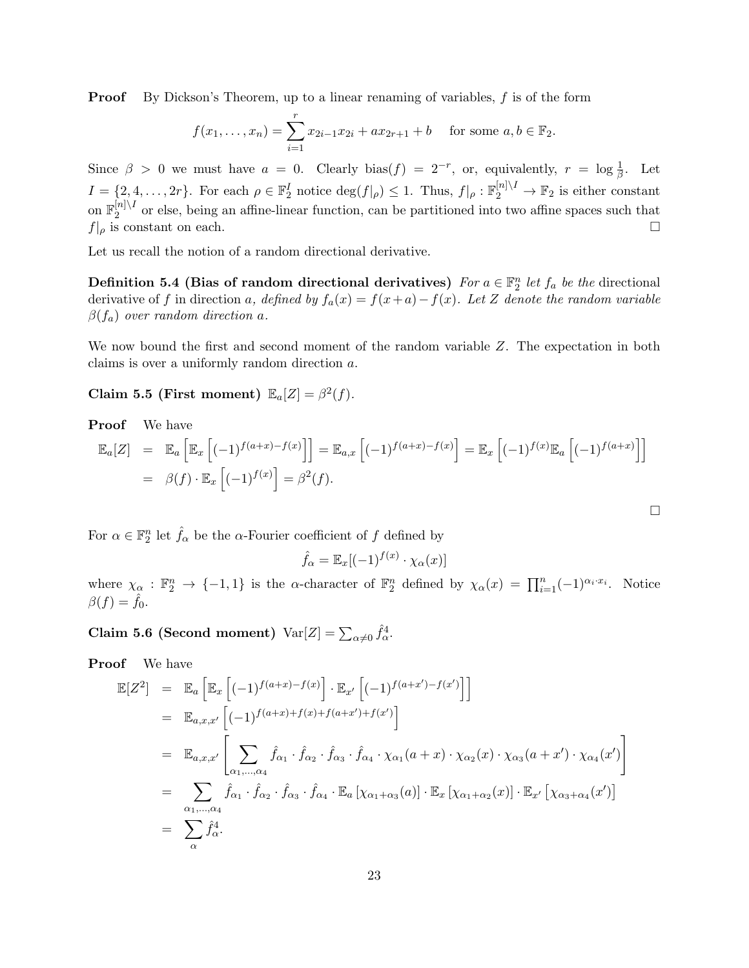**Proof** By Dickson's Theorem, up to a linear renaming of variables, f is of the form

$$
f(x_1,...,x_n) = \sum_{i=1}^r x_{2i-1}x_{2i} + ax_{2r+1} + b
$$
 for some  $a, b \in \mathbb{F}_2$ .

Since  $\beta > 0$  we must have  $a = 0$ . Clearly bias(f) = 2<sup>-r</sup>, or, equivalently,  $r = \log \frac{1}{\beta}$ . Let  $I = \{2, 4, \ldots, 2r\}$ . For each  $\rho \in \mathbb{F}_2^I$  notice  $\deg(f|_{\rho}) \leq 1$ . Thus,  $f|_{\rho} : \mathbb{F}_2^{[n] \setminus I} \to \mathbb{F}_2$  is either constant on  $\mathbb{F}_2^{[n]\setminus I}$  $2^{[n] \setminus I}$  or else, being an affine-linear function, can be partitioned into two affine spaces such that  $f|_{\rho}$  is constant on each.

Let us recall the notion of a random directional derivative.

Definition 5.4 (Bias of random directional derivatives) For  $a \in \mathbb{F}_2^n$  let  $f_a$  be the directional derivative of f in direction a, defined by  $f_a(x) = f(x+a) - f(x)$ . Let Z denote the random variable  $\beta(f_a)$  over random direction a.

We now bound the first and second moment of the random variable Z. The expectation in both claims is over a uniformly random direction a.

<span id="page-23-0"></span>Claim 5.5 (First moment)  $\mathbb{E}_a[Z] = \beta^2(f)$ .

Proof We have

$$
\mathbb{E}_a[Z] = \mathbb{E}_a \left[ \mathbb{E}_x \left[ (-1)^{f(a+x)-f(x)} \right] \right] = \mathbb{E}_{a,x} \left[ (-1)^{f(a+x)-f(x)} \right] = \mathbb{E}_x \left[ (-1)^{f(x)} \mathbb{E}_a \left[ (-1)^{f(a+x)} \right] \right]
$$
  
=  $\beta(f) \cdot \mathbb{E}_x \left[ (-1)^{f(x)} \right] = \beta^2(f).$ 

 $\Box$ 

For  $\alpha \in \mathbb{F}_2^n$  let  $\hat{f}_\alpha$  be the  $\alpha$ -Fourier coefficient of  $f$  defined by

$$
\hat{f}_{\alpha} = \mathbb{E}_x[(-1)^{f(x)} \cdot \chi_{\alpha}(x)]
$$

where  $\chi_{\alpha} : \mathbb{F}_2^n \to \{-1,1\}$  is the  $\alpha$ -character of  $\mathbb{F}_2^n$  defined by  $\chi_{\alpha}(x) = \prod_{i=1}^n (-1)^{\alpha_i x_i}$ . Notice  $\beta(f) = \hat{f}_0.$ 

<span id="page-23-1"></span>Claim 5.6 (Second moment)  $Var[Z] = \sum_{\alpha \neq 0} \hat{f}_{\alpha}^4$ .

Proof We have

$$
\mathbb{E}[Z^{2}] = \mathbb{E}_{a} \left[ \mathbb{E}_{x} \left[ (-1)^{f(a+x)-f(x)} \right] \cdot \mathbb{E}_{x'} \left[ (-1)^{f(a+x')-f(x')} \right] \right]
$$
\n
$$
= \mathbb{E}_{a,x,x'} \left[ (-1)^{f(a+x)+f(x)+f(a+x')+f(x')} \right]
$$
\n
$$
= \mathbb{E}_{a,x,x'} \left[ \sum_{\alpha_{1},\dots,\alpha_{4}} \hat{f}_{\alpha_{1}} \cdot \hat{f}_{\alpha_{2}} \cdot \hat{f}_{\alpha_{3}} \cdot \hat{f}_{\alpha_{4}} \cdot \chi_{\alpha_{1}}(a+x) \cdot \chi_{\alpha_{2}}(x) \cdot \chi_{\alpha_{3}}(a+x') \cdot \chi_{\alpha_{4}}(x') \right]
$$
\n
$$
= \sum_{\alpha_{1},\dots,\alpha_{4}} \hat{f}_{\alpha_{1}} \cdot \hat{f}_{\alpha_{2}} \cdot \hat{f}_{\alpha_{3}} \cdot \hat{f}_{\alpha_{4}} \cdot \mathbb{E}_{a} \left[ \chi_{\alpha_{1}+\alpha_{3}}(a) \right] \cdot \mathbb{E}_{x} \left[ \chi_{\alpha_{1}+\alpha_{2}}(x) \right] \cdot \mathbb{E}_{x'} \left[ \chi_{\alpha_{3}+\alpha_{4}}(x') \right]
$$
\n
$$
= \sum_{\alpha} \hat{f}_{\alpha}^{4}.
$$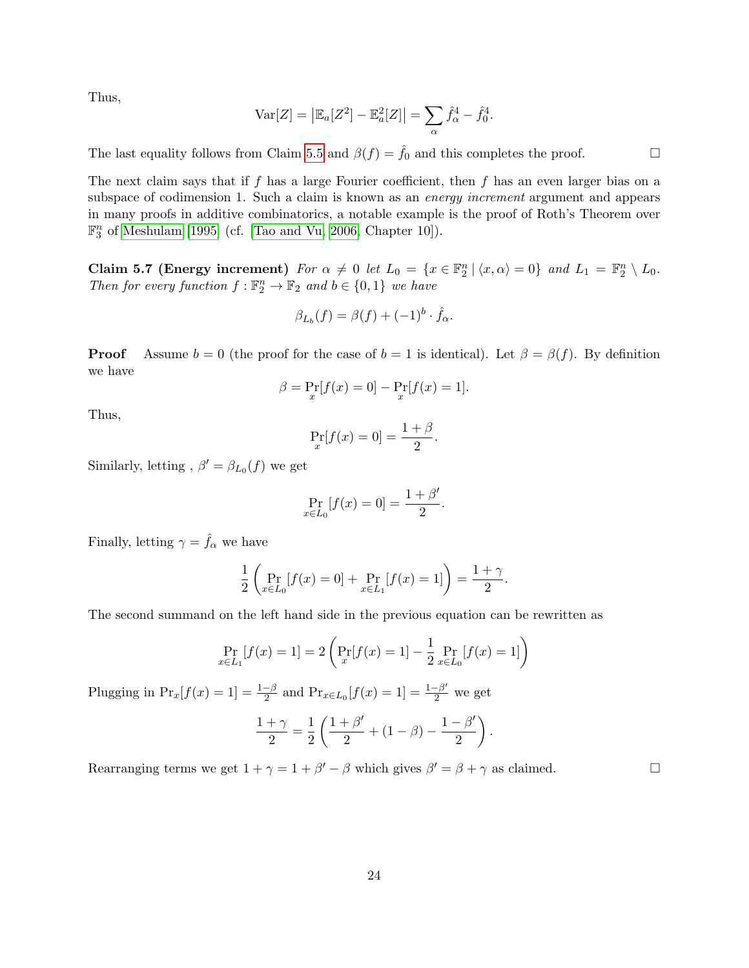Thus,

$$
Var[Z] = |\mathbb{E}_a[Z^2] - \mathbb{E}_a^2[Z]| = \sum_{\alpha} \hat{f}_{\alpha}^4 - \hat{f}_{0}^4.
$$

The last equality follows from Claim [5.5](#page-23-0) and  $\beta(f) = \hat{f}_0$  and this completes the proof.

The next claim says that if  $f$  has a large Fourier coefficient, then  $f$  has an even larger bias on a subspace of codimension 1. Such a claim is known as an *energy increment* argument and appears in many proofs in additive combinatorics, a notable example is the proof of Roth's Theorem over  $\mathbb{F}_3^n$  of [Meshulam](#page-40-11) [\[1995\]](#page-40-11) (cf. [\[Tao and Vu, 2006,](#page-40-14) Chapter 10]).

<span id="page-24-0"></span>Claim 5.7 (Energy increment) For  $\alpha \neq 0$  let  $L_0 = \{x \in \mathbb{F}_2^n \mid \langle x, \alpha \rangle = 0\}$  and  $L_1 = \mathbb{F}_2^n \setminus L_0$ . Then for every function  $f : \mathbb{F}_2^n \to \mathbb{F}_2$  and  $b \in \{0,1\}$  we have

$$
\beta_{L_b}(f) = \beta(f) + (-1)^b \cdot \hat{f}_{\alpha}.
$$

**Proof** Assume  $b = 0$  (the proof for the case of  $b = 1$  is identical). Let  $\beta = \beta(f)$ . By definition we have

$$
\beta = \Pr_x[f(x) = 0] - \Pr_x[f(x) = 1].
$$

Thus,

$$
\Pr_x[f(x) = 0] = \frac{1+\beta}{2}.
$$

Similarly, letting,  $\beta' = \beta_{L_0}(f)$  we get

$$
\Pr_{x \in L_0}[f(x) = 0] = \frac{1 + \beta'}{2}.
$$

Finally, letting  $\gamma = \hat{f}_{\alpha}$  we have

$$
\frac{1}{2} \left( \Pr_{x \in L_0} [f(x) = 0] + \Pr_{x \in L_1} [f(x) = 1] \right) = \frac{1 + \gamma}{2}.
$$

The second summand on the left hand side in the previous equation can be rewritten as

$$
\Pr_{x \in L_1}[f(x) = 1] = 2\left(\Pr_x[f(x) = 1] - \frac{1}{2}\Pr_{x \in L_0}[f(x) = 1]\right)
$$

Plugging in  $Pr_x[f(x) = 1] = \frac{1-\beta}{2}$  and  $Pr_{x \in L_0}[f(x) = 1] = \frac{1-\beta'}{2}$  we get

$$
\frac{1+\gamma}{2} = \frac{1}{2} \left( \frac{1+\beta'}{2} + (1-\beta) - \frac{1-\beta'}{2} \right).
$$

Rearranging terms we get  $1 + \gamma = 1 + \beta' - \beta$  which gives  $\beta' = \beta + \gamma$  as claimed.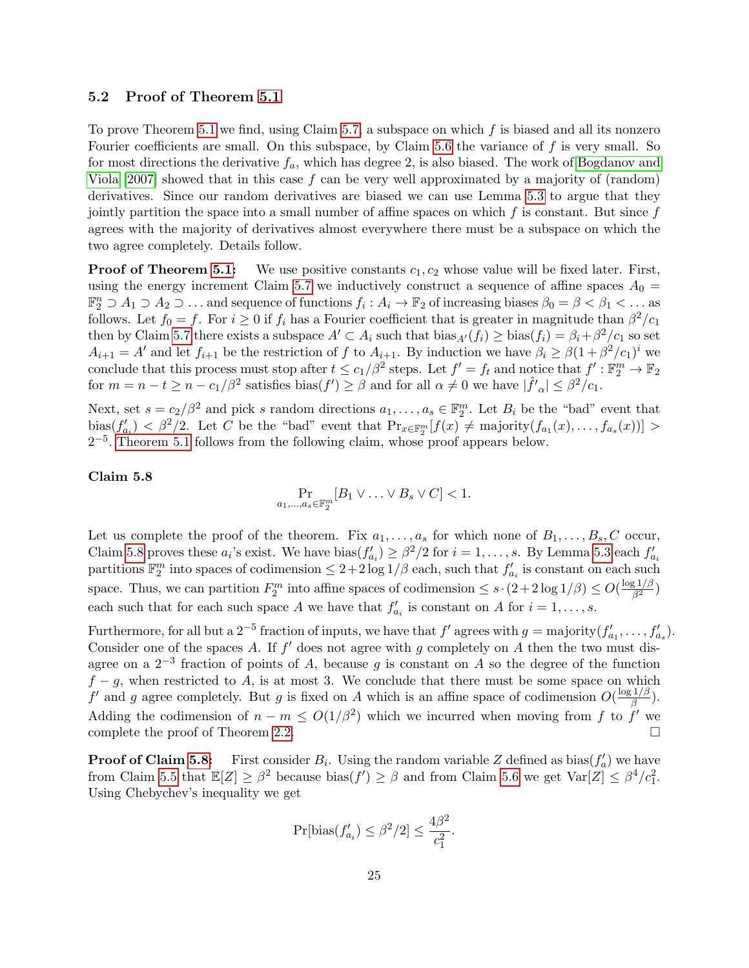#### <span id="page-25-0"></span>5.2 Proof of Theorem [5.1](#page-22-1)

To prove Theorem [5.1](#page-22-1) we find, using Claim [5.7,](#page-24-0) a subspace on which  $f$  is biased and all its nonzero Fourier coefficients are small. On this subspace, by Claim  $5.6$  the variance of f is very small. So for most directions the derivative  $f_a$ , which has degree 2, is also biased. The work of [Bogdanov and](#page-39-12) [Viola](#page-39-12) [\[2007\]](#page-39-12) showed that in this case f can be very well approximated by a majority of (random) derivatives. Since our random derivatives are biased we can use Lemma [5.3](#page-22-2) to argue that they jointly partition the space into a small number of affine spaces on which  $f$  is constant. But since  $f$ agrees with the majority of derivatives almost everywhere there must be a subspace on which the two agree completely. Details follow.

**Proof of Theorem [5.1:](#page-22-1)** We use positive constants  $c_1, c_2$  whose value will be fixed later. First, using the energy increment Claim [5.7](#page-24-0) we inductively construct a sequence of affine spaces  $A_0 =$  $\mathbb{F}_2^n \supset A_1 \supset A_2 \supset \ldots$  and sequence of functions  $f_i: A_i \to \mathbb{F}_2$  of increasing biases  $\beta_0 = \beta < \beta_1 < \ldots$  as follows. Let  $f_0 = f$ . For  $i \geq 0$  if  $f_i$  has a Fourier coefficient that is greater in magnitude than  $\beta^2/c_1$ then by Claim [5.7](#page-24-0) there exists a subspace  $A' \subset A_i$  such that  $\text{bias}_{A'}(f_i) \geq \text{bias}(f_i) = \beta_i + \beta^2/c_1$  so set  $A_{i+1} = A'$  and let  $f_{i+1}$  be the restriction of f to  $A_{i+1}$ . By induction we have  $\beta_i \geq \beta(1 + \beta^2/c_1)^i$  we conclude that this process must stop after  $t \leq c_1/\beta^2$  steps. Let  $f' = f_t$  and notice that  $f' : \mathbb{F}_2^m \to \mathbb{F}_2$ for  $m = n - t \ge n - c_1/\beta^2$  satisfies  $\text{bias}(f') \ge \beta$  and for all  $\alpha \neq 0$  we have  $|\hat{f}'_{\alpha}| \le \beta^2/c_1$ .

Next, set  $s = c_2/\beta^2$  and pick s random directions  $a_1, \ldots, a_s \in \mathbb{F}_2^m$ . Let  $B_i$  be the "bad" event that bias $(f'_{a_i}) < \beta^2/2$ . Let C be the "bad" event that  $Pr_{x \in \mathbb{F}_2^m}[f(x) \neq \text{majority}(f_{a_1}(x),...,f_{a_s}(x))] >$ 2<sup>-5</sup>. [Theorem 5.1](#page-22-1) follows from the following claim, whose proof appears below.

#### Claim 5.8

<span id="page-25-1"></span>
$$
\Pr_{a_1,\dots,a_s\in\mathbb{F}_2^m}[B_1\vee\ldots\vee B_s\vee C]<1.
$$

Let us complete the proof of the theorem. Fix  $a_1, \ldots, a_s$  for which none of  $B_1, \ldots, B_s, C$  occur, Claim [5.8](#page-25-1) proves these  $a_i$ 's exist. We have  $\text{bias}(f'_{a_i}) \geq \beta^2/2$  for  $i = 1, \ldots, s$ . By Lemma [5.3](#page-22-2) each  $f'_{a_i}$ partitions  $\mathbb{F}_2^m$  into spaces of codimension  $\leq 2+2\log 1/\beta$  each, such that  $f'_{a_i}$  is constant on each such space. Thus, we can partition  $F_2^m$  into affine spaces of codimension  $\leq s \cdot (2 + 2 \log 1/\beta) \leq O(\frac{\log 1/\beta}{\beta^2})$ each such that for each such space A we have that  $f'_{a_i}$  is constant on A for  $i = 1, \ldots, s$ .

Furthermore, for all but a  $2^{-5}$  fraction of inputs, we have that  $f'$  agrees with  $g = \text{majority}(f'_{a_1}, \ldots, f'_{a_s})$ . Consider one of the spaces A. If  $f'$  does not agree with g completely on A then the two must disagree on a  $2^{-3}$  fraction of points of A, because g is constant on A so the degree of the function  $f - g$ , when restricted to A, is at most 3. We conclude that there must be some space on which f' and g agree completely. But g is fixed on A which is an affine space of codimension  $O(\frac{\log 1/\beta}{\beta})$  $\frac{(1/\beta)}{\beta}.$ Adding the codimension of  $n - m \leq O(1/\beta^2)$  which we incurred when moving from f to f' we complete the proof of Theorem [2.2.](#page-6-1)

Proof of Claim [5.8:](#page-25-1) . Using the random variable  $Z$  defined as  $bias(f'_a)$  we have from Claim [5.5](#page-23-0) that  $\mathbb{E}[Z] \geq \beta^2$  because bias $(f') \geq \beta$  and from Claim [5.6](#page-23-1) we get  $\text{Var}[Z] \leq \beta^4/c_1^2$ . Using Chebychev's inequality we get

$$
\Pr[\text{bias}(f'_{a_i}) \le \beta^2/2] \le \frac{4\beta^2}{c_1^2}.
$$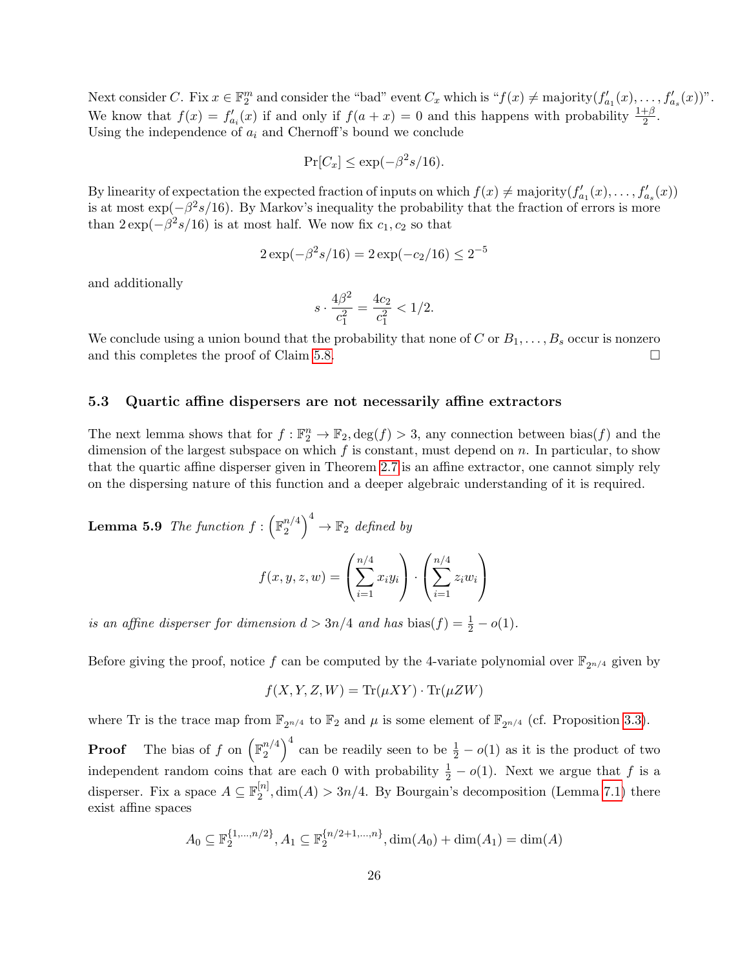Next consider C. Fix  $x \in \mathbb{F}_2^m$  and consider the "bad" event  $C_x$  which is " $f(x) \neq$  majority $(f'_{a_1}(x), \ldots, f'_{a_s}(x))$ ". We know that  $f(x) = f'_{a_i}(x)$  if and only if  $f(a + x) = 0$  and this happens with probability  $\frac{1+\beta}{2}$ . Using the independence of  $a_i$  and Chernoff's bound we conclude

$$
\Pr[C_x] \le \exp(-\beta^2 s/16).
$$

By linearity of expectation the expected fraction of inputs on which  $f(x) \neq \text{majority}(f'_{a_1}(x), \ldots, f'_{a_s}(x))$ is at most  $\exp(-\beta^2 s/16)$ . By Markov's inequality the probability that the fraction of errors is more than  $2 \exp(-\beta^2 s/16)$  is at most half. We now fix  $c_1, c_2$  so that

$$
2\exp(-\beta^2 s/16) = 2\exp(-c_2/16) \le 2^{-5}
$$

and additionally

$$
s \cdot \frac{4\beta^2}{c_1^2} = \frac{4c_2}{c_1^2} < 1/2.
$$

We conclude using a union bound that the probability that none of C or  $B_1, \ldots, B_s$  occur is nonzero and this completes the proof of Claim [5.8.](#page-25-1)

#### <span id="page-26-0"></span>5.3 Quartic affine dispersers are not necessarily affine extractors

The next lemma shows that for  $f : \mathbb{F}_2^n \to \mathbb{F}_2$ ,  $\deg(f) > 3$ , any connection between bias(f) and the dimension of the largest subspace on which f is constant, must depend on n. In particular, to show that the quartic affine disperser given in Theorem [2.7](#page-8-3) is an affine extractor, one cannot simply rely on the dispersing nature of this function and a deeper algebraic understanding of it is required.

**Lemma 5.9** The function  $f: \left(\mathbb{F}_2^{n/4}\right)$  $\binom{n/4}{2}^4 \rightarrow \mathbb{F}_2$  defined by

$$
f(x, y, z, w) = \left(\sum_{i=1}^{n/4} x_i y_i\right) \cdot \left(\sum_{i=1}^{n/4} z_i w_i\right)
$$

is an affine disperser for dimension  $d > 3n/4$  and has  $bias(f) = \frac{1}{2} - o(1)$ .

Before giving the proof, notice f can be computed by the 4-variate polynomial over  $\mathbb{F}_{2^{n/4}}$  given by

$$
f(X, Y, Z, W) = \text{Tr}(\mu XY) \cdot \text{Tr}(\mu ZW)
$$

where Tr is the trace map from  $\mathbb{F}_{2^{n/4}}$  to  $\mathbb{F}_2$  and  $\mu$  is some element of  $\mathbb{F}_{2^{n/4}}$  (cf. Proposition [3.3\)](#page-11-1).

**Proof** The bias of f on  $\left(\mathbb{F}_2^{n/4}\right)$  $\binom{n/4}{2}^4$  can be readily seen to be  $\frac{1}{2} - o(1)$  as it is the product of two independent random coins that are each 0 with probability  $\frac{1}{2} - o(1)$ . Next we argue that f is a disperser. Fix a space  $A \subseteq \mathbb{F}_2^{[n]}$  $2^{[n]}$ , dim(A) > 3n/4. By Bourgain's decomposition (Lemma [7.1\)](#page-32-2) there exist affine spaces

$$
A_0 \subseteq \mathbb{F}_2^{\{1,\dots,n/2\}}, A_1 \subseteq \mathbb{F}_2^{\{n/2+1,\dots,n\}}, \dim(A_0) + \dim(A_1) = \dim(A)
$$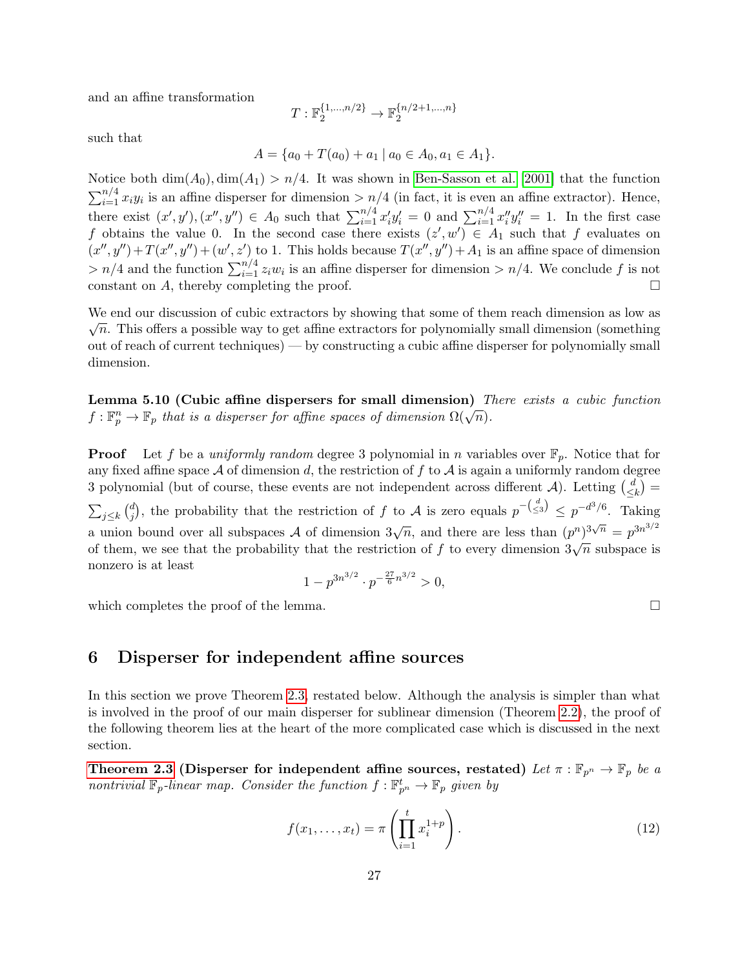and an affine transformation

$$
T: \mathbb{F}_2^{\{1,\ldots,n/2\}} \rightarrow \mathbb{F}_2^{\{n/2+1,\ldots,n\}}
$$

such that

$$
A = \{a_0 + T(a_0) + a_1 \mid a_0 \in A_0, a_1 \in A_1\}.
$$

Notice both  $\dim(A_0)$ ,  $\dim(A_1) > n/4$ . It was shown in [Ben-Sasson et al.](#page-39-2) [\[2001\]](#page-39-2) that the function  $\sum_{i=1}^{n/4} x_i y_i$  is an affine disperser for dimension  $> n/4$  (in fact, it is even an affine extractor). Hence, there exist  $(x', y'), (x'', y'') \in A_0$  such that  $\sum_{i=1}^{n/4} x'_i y'_i = 0$  and  $\sum_{i=1}^{n/4} x''_i y''_i = 1$ . In the first case f obtains the value 0. In the second case there exists  $(z', w') \in A_1$  such that f evaluates on  $(x'', y'') + T(x'', y'') + (w', z')$  to 1. This holds because  $T(x'', y'') + A_1$  is an affine space of dimension  $> n/4$  and the function  $\sum_{i=1}^{n/4} z_i w_i$  is an affine disperser for dimension  $> n/4$ . We conclude f is not constant on  $A$ , thereby completing the proof.  $\Box$ 

We end our discussion of cubic extractors by showing that some of them reach dimension as low as  $\overline{C}$  $\sqrt{n}$ . This offers a possible way to get affine extractors for polynomially small dimension (something out of reach of current techniques) — by constructing a cubic affine disperser for polynomially small dimension.

<span id="page-27-1"></span>Lemma 5.10 (Cubic affine dispersers for small dimension) There exists a cubic function **Example 11.6 CCDIC** and **expersers** for small dimension  $\Omega(\sqrt{n})$ .<br>  $f: \mathbb{F}_p^n \to \mathbb{F}_p$  that is a disperser for affine spaces of dimension  $\Omega(\sqrt{n})$ .

**Proof** Let f be a uniformly random degree 3 polynomial in n variables over  $\mathbb{F}_p$ . Notice that for any fixed affine space A of dimension d, the restriction of f to A is again a uniformly random degree 3 polynomial (but of course, these events are not independent across different A). Letting  $\binom{d}{\leq}$  $\binom{d}{\leq k} =$  $\sum_{j\leq k} \binom{d}{j}$  $\mathcal{L}_{j}^{d}$ , the probability that the restriction of f to A is zero equals  $p^{-\left(\frac{d}{\leq3}\right)} \leq p^{-d^3/6}$ . Taking a union bound over all subspaces A of dimension  $3\sqrt{n}$ , and there are less than  $(p^n)^{3\sqrt{n}} = p^{3n^{3/2}}$ of them, we see that the probability that the restriction of f to every dimension  $3\sqrt{n}$  subspace is and  $\sqrt{n}$  subspace is nonzero is at least

$$
1 - p^{3n^{3/2}} \cdot p^{-\frac{27}{6}n^{3/2}} > 0,
$$

which completes the proof of the lemma.  $\Box$ 

### <span id="page-27-0"></span>6 Disperser for independent affine sources

In this section we prove Theorem [2.3,](#page-7-1) restated below. Although the analysis is simpler than what is involved in the proof of our main disperser for sublinear dimension (Theorem [2.2\)](#page-6-1), the proof of the following theorem lies at the heart of the more complicated case which is discussed in the next section.

[Theorem 2.3](#page-7-1) (Disperser for independent affine sources, restated) Let  $\pi : \mathbb{F}_{p^n} \to \mathbb{F}_p$  be a nontrivial  $\mathbb{F}_p$ -linear map. Consider the function  $f: \mathbb{F}_{p^n}^t \to \mathbb{F}_p$  given by

$$
f(x_1,\ldots,x_t) = \pi \left(\prod_{i=1}^t x_i^{1+p}\right).
$$
 (12)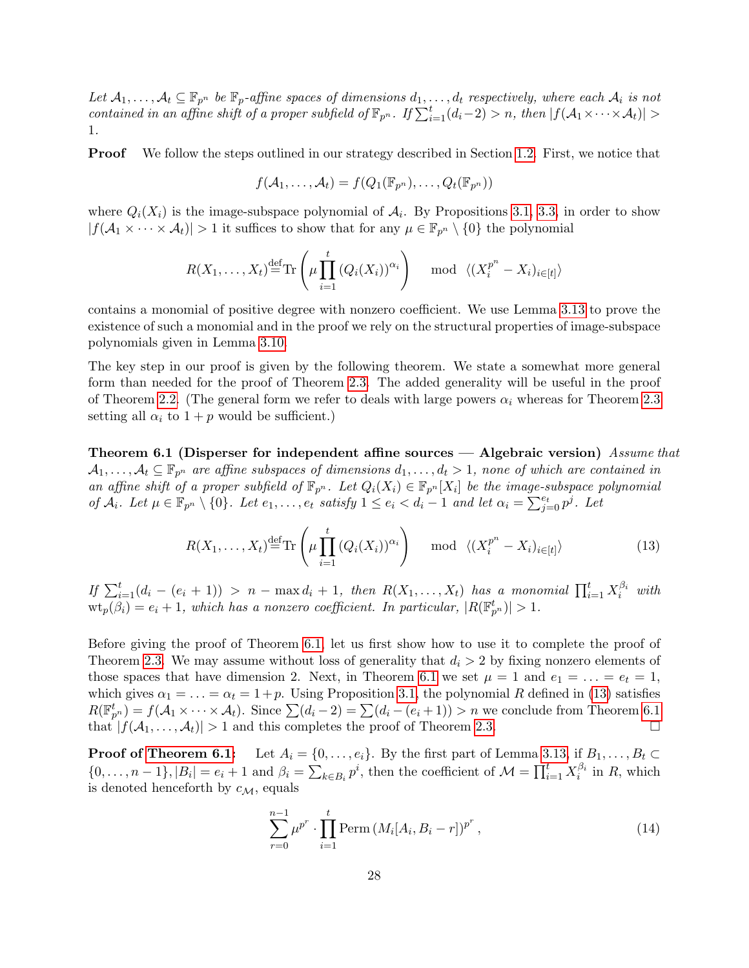Let  $A_1,\ldots,A_t\subseteq \mathbb{F}_{p^n}$  be  $\mathbb{F}_p$ -affine spaces of dimensions  $d_1,\ldots,d_t$  respectively, where each  $A_i$  is not contained in an affine shift of a proper subfield of  $\mathbb{F}_{p^n}$ . If  $\sum_{i=1}^t(d_i-2) > n$ , then  $|f(A_1 \times \cdots \times A_t)| >$ 1.

Proof We follow the steps outlined in our strategy described in Section [1.2.](#page-4-0) First, we notice that

$$
f(\mathcal{A}_1,\ldots,\mathcal{A}_t)=f(Q_1(\mathbb{F}_{p^n}),\ldots,Q_t(\mathbb{F}_{p^n}))
$$

where  $Q_i(X_i)$  is the image-subspace polynomial of  $A_i$ . By Propositions [3.1,](#page-10-2) [3.3,](#page-11-1) in order to show  $|f(\mathcal{A}_1 \times \cdots \times \mathcal{A}_t)| > 1$  it suffices to show that for any  $\mu \in \mathbb{F}_{p^n} \setminus \{0\}$  the polynomial

$$
R(X_1, \ldots, X_t) \stackrel{\text{def}}{=} \text{Tr}\left(\mu \prod_{i=1}^t (Q_i(X_i))^{\alpha_i}\right) \mod \langle (X_i^{p^n} - X_i)_{i \in [t]} \rangle
$$

contains a monomial of positive degree with nonzero coefficient. We use Lemma [3.13](#page-14-1) to prove the existence of such a monomial and in the proof we rely on the structural properties of image-subspace polynomials given in Lemma [3.10.](#page-13-0)

The key step in our proof is given by the following theorem. We state a somewhat more general form than needed for the proof of Theorem [2.3.](#page-7-1) The added generality will be useful in the proof of Theorem [2.2.](#page-6-1) (The general form we refer to deals with large powers  $\alpha_i$  whereas for Theorem [2.3](#page-7-1) setting all  $\alpha_i$  to  $1 + p$  would be sufficient.)

<span id="page-28-0"></span>Theorem 6.1 (Disperser for independent affine sources — Algebraic version) Assume that  $\mathcal{A}_1,\ldots,\mathcal{A}_t\subseteq \mathbb{F}_{p^n}$  are affine subspaces of dimensions  $d_1,\ldots,d_t>1$ , none of which are contained in an affine shift of a proper subfield of  $\mathbb{F}_{p^n}$ . Let  $Q_i(X_i) \in \mathbb{F}_{p^n}[X_i]$  be the image-subspace polynomial of  $\mathcal{A}_i$ . Let  $\mu \in \mathbb{F}_{p^n} \setminus \{0\}$ . Let  $e_1, \ldots, e_t$  satisfy  $1 \leq e_i \leq d_i-1$  and let  $\alpha_i = \sum_{j=0}^{e_t} p^j$ . Let

<span id="page-28-1"></span>
$$
R(X_1, \ldots, X_t) \stackrel{\text{def}}{=} \text{Tr}\left(\mu \prod_{i=1}^t \left(Q_i(X_i)\right)^{\alpha_i}\right) \mod \langle (X_i^{p^n} - X_i)_{i \in [t]}\rangle \tag{13}
$$

If  $\sum_{i=1}^t (d_i - (e_i + 1)) > n - \max d_i + 1$ , then  $R(X_1, \ldots, X_t)$  has a monomial  $\prod_{i=1}^t X_i^{\beta_i}$  with  $\text{wt}_{p}(\beta_{i})=e_{i}+1$ , which has a nonzero coefficient. In particular,  $|R(\mathbb{F}_{p^{n}}^{t})|>1$ .

Before giving the proof of Theorem [6.1,](#page-28-0) let us first show how to use it to complete the proof of Theorem [2.3.](#page-7-1) We may assume without loss of generality that  $d_i > 2$  by fixing nonzero elements of those spaces that have dimension 2. Next, in Theorem [6.1](#page-28-0) we set  $\mu = 1$  and  $e_1 = \ldots = e_t = 1$ , which gives  $\alpha_1 = \ldots = \alpha_t = 1+p$ . Using Proposition [3.1,](#page-10-2) the polynomial R defined in [\(13\)](#page-28-1) satisfies  $R(\mathbb{F}_{p^n}^t) = f(\mathcal{A}_1 \times \cdots \times \mathcal{A}_t)$ . Since  $\sum (d_i - 2) = \sum (d_i - (e_i + 1)) > n$  we conclude from Theorem [6.1](#page-28-0) that  $|f(A_1, \ldots, A_t)| > 1$  and this completes the proof of Theorem [2.3.](#page-7-1)

**Proof of [Theorem 6.1:](#page-28-0)** Let  $A_i = \{0, \ldots, e_i\}$ . By the first part of Lemma [3.13,](#page-14-1) if  $B_1, \ldots, B_t \subset$  $\{0,\ldots,n-1\},|B_i|=e_i+1$  and  $\beta_i=\sum_{k\in B_i}p^i$ , then the coefficient of  $\mathcal{M}=\prod_{i=1}^t X_i^{\beta_i}$  in R, which is denoted henceforth by  $c_{\mathcal{M}}$ , equals

$$
\sum_{r=0}^{n-1} \mu^{p^r} \cdot \prod_{i=1}^t \text{Perm}\left(M_i[A_i, B_i - r]\right)^{p^r},\tag{14}
$$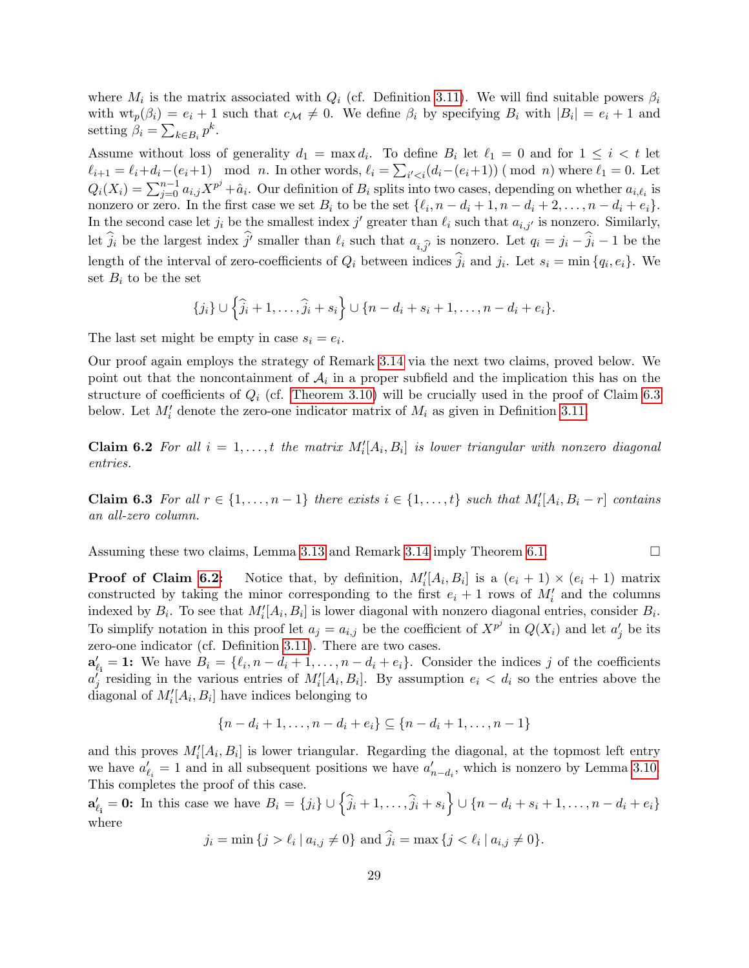where  $M_i$  is the matrix associated with  $Q_i$  (cf. Definition [3.11\)](#page-14-4). We will find suitable powers  $\beta_i$ with  $\text{wt}_p(\beta_i) = e_i + 1$  such that  $c_{\mathcal{M}} \neq 0$ . We define  $\beta_i$  by specifying  $B_i$  with  $|B_i| = e_i + 1$  and setting  $\beta_i = \sum_{k \in B_i} p^k$ .

Assume without loss of generality  $d_1 = \max d_i$ . To define  $B_i$  let  $\ell_1 = 0$  and for  $1 \leq i < t$  let  $\ell_{i+1} = \ell_i + d_i - (e_i + 1) \mod n$ . In other words,  $\ell_i = \sum_{i' < i} (d_i - (e_i + 1))$  (mod n) where  $\ell_1 = 0$ . Let  $Q_i(X_i) = \sum_{j=0}^{n-1} a_{i,j} X^{p^j} + \hat{a}_i$ . Our definition of  $B_i$  splits into two cases, depending on whether  $a_{i,\ell_i}$  is nonzero or zero. In the first case we set  $B_i$  to be the set  $\{\ell_i, n - d_i + 1, n - d_i + 2, \ldots, n - d_i + e_i\}.$ In the second case let  $j_i$  be the smallest index  $j'$  greater than  $\ell_i$  such that  $a_{i,j'}$  is nonzero. Similarly, let  $\hat{j}_i$  be the largest index  $j'$  smaller than  $\ell_i$  such that  $a_{i,\hat{j}'}$  is nonzero. Let  $q_i = j_i - \hat{j}_i - 1$  be the length of the interval of zero-coefficients of  $Q_i$  between indices  $j_i$  and  $j_i$ . Let  $s_i = \min\{q_i, e_i\}$ . We set  $B_i$  to be the set

$$
\{j_i\} \cup \left\{\hat{j}_i + 1, \ldots, \hat{j}_i + s_i\right\} \cup \{n - d_i + s_i + 1, \ldots, n - d_i + e_i\}.
$$

The last set might be empty in case  $s_i = e_i$ .

Our proof again employs the strategy of Remark [3.14](#page-15-3) via the next two claims, proved below. We point out that the noncontainment of  $A_i$  in a proper subfield and the implication this has on the structure of coefficients of  $Q_i$  (cf. [Theorem 3.10\)](#page-13-0) will be crucially used in the proof of Claim [6.3](#page-29-0) below. Let  $M_i'$  denote the zero-one indicator matrix of  $M_i$  as given in Definition [3.11.](#page-14-4)

<span id="page-29-1"></span>**Claim 6.2** For all  $i = 1, ..., t$  the matrix  $M'_i[A_i, B_i]$  is lower triangular with nonzero diagonal entries.

<span id="page-29-0"></span>**Claim 6.3** For all  $r \in \{1, ..., n-1\}$  there exists  $i \in \{1, ..., t\}$  such that  $M'_i[A_i, B_i - r]$  contains an all-zero column.

Assuming these two claims, Lemma [3.13](#page-14-1) and Remark [3.14](#page-15-3) imply Theorem [6.1.](#page-28-0)  $\Box$ 

**Proof of Claim [6.2:](#page-29-1)** Notice that, by definition,  $M'_i[A_i, B_i]$  is a  $(e_i + 1) \times (e_i + 1)$  matrix constructed by taking the minor corresponding to the first  $e_i + 1$  rows of  $M'_i$  and the columns indexed by  $B_i$ . To see that  $M'_i[A_i, B_i]$  is lower diagonal with nonzero diagonal entries, consider  $B_i$ . To simplify notation in this proof let  $a_j = a_{i,j}$  be the coefficient of  $X^{p^j}$  in  $Q(X_i)$  and let  $a'_j$  be its zero-one indicator (cf. Definition [3.11\)](#page-14-4). There are two cases.

 $\mathbf{a}'_{\ell_i} = \mathbf{1}$ : We have  $B_i = \{\ell_i, n - d_i + 1, \ldots, n - d_i + e_i\}$ . Consider the indices j of the coefficients  $a_j'$  residing in the various entries of  $M_i'[A_i, B_i]$ . By assumption  $e_i < d_i$  so the entries above the diagonal of  $M_i'[A_i, B_i]$  have indices belonging to

$$
\{n-d_i+1,\ldots,n-d_i+e_i\} \subseteq \{n-d_i+1,\ldots,n-1\}
$$

and this proves  $M_i'[A_i, B_i]$  is lower triangular. Regarding the diagonal, at the topmost left entry we have  $a'_{\ell_i} = 1$  and in all subsequent positions we have  $a'_{n-d_i}$ , which is nonzero by Lemma [3.10.](#page-13-0) This completes the proof of this case.

 $\mathbf{a}'_{\ell_i} = \mathbf{0}$ : In this case we have  $B_i = \{j_i\} \cup \{\hat{j}_i + 1, \ldots, \hat{j}_i + s_i\} \cup \{n - d_i + s_i + 1, \ldots, n - d_i + e_i\}$ where

$$
j_i = \min\{j > \ell_i \mid a_{i,j} \neq 0\}
$$
 and  $j_i = \max\{j < \ell_i \mid a_{i,j} \neq 0\}.$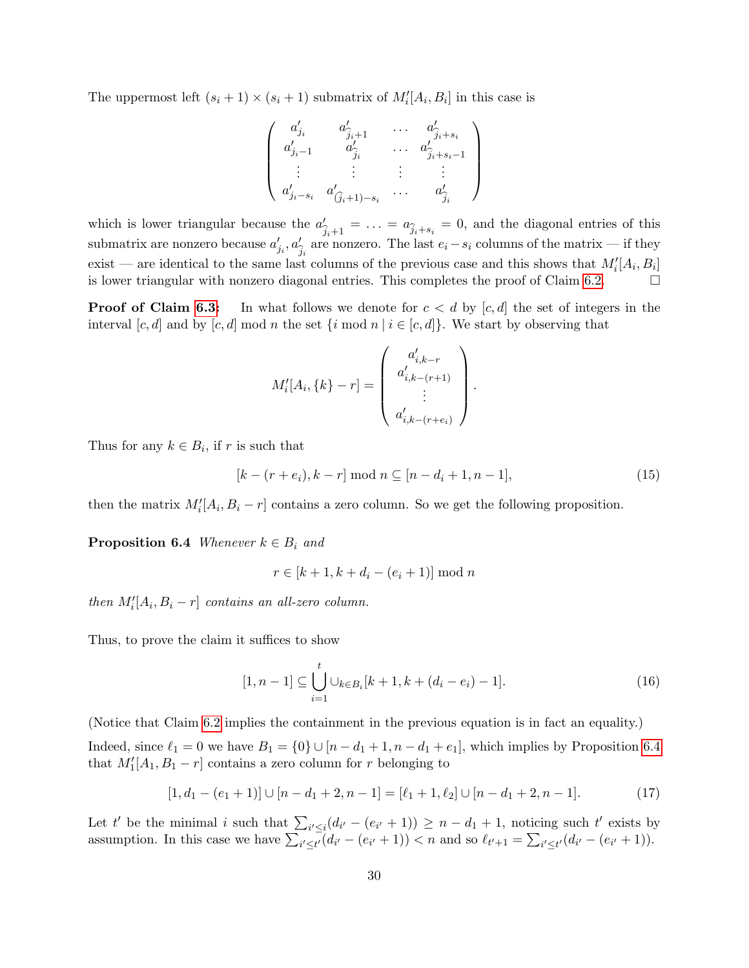The uppermost left  $(s_i + 1) \times (s_i + 1)$  submatrix of  $M_i'[A_i, B_i]$  in this case is

$$
\left(\begin{array}{cccc} a'_{j_i} & a'_{\widehat{j}_i+1} & \ldots & a'_{\widehat{j}_i+s_i} \\ a'_{j_i-1} & a'_{\widehat{j}_i} & \ldots & a'_{\widehat{j}_i+s_i-1} \\ \vdots & \vdots & \vdots & \vdots \\ a'_{j_i-s_i} & a'_{(\widehat{j}_i+1)-s_i} & \ldots & a'_{\widehat{j}_i} \end{array}\right)
$$

which is lower triangular because the  $a'$  $b'_{j_i+1} = \ldots = a_{\hat{j}_i+s_i} = 0$ , and the diagonal entries of this submatrix are nonzero because  $a'_{j_i}, a'_{\hat{j}}$  $\frac{b}{\hat{j}_i}$  are nonzero. The last  $e_i - s_i$  columns of the matrix — if they exist — are identical to the same last columns of the previous case and this shows that  $M_i'[A_i, B_i]$ is lower triangular with nonzero diagonal entries. This completes the proof of Claim [6.2.](#page-29-1)  $\Box$ 

**Proof of Claim [6.3:](#page-29-0)** In what follows we denote for  $c < d$  by  $[c, d]$  the set of integers in the interval [c, d] and by [c, d] mod n the set  $\{i \mod n \mid i \in [c, d]\}$ . We start by observing that

$$
M'_{i}[A_{i}, \{k\} - r] = \begin{pmatrix} a'_{i,k-r} \\ a'_{i,k-(r+1)} \\ \vdots \\ a'_{i,k-(r+e_{i})} \end{pmatrix}.
$$

Thus for any  $k \in B_i$ , if r is such that

$$
[k - (r + e_i), k - r] \bmod n \subseteq [n - d_i + 1, n - 1],
$$
\n(15)

<span id="page-30-0"></span>then the matrix  $M_i'[A_i, B_i - r]$  contains a zero column. So we get the following proposition.

**Proposition 6.4** Whenever  $k \in B_i$  and

$$
r \in [k+1, k+d_i - (e_i + 1)] \mod n
$$

then  $M'_i[A_i, B_i - r]$  contains an all-zero column.

Thus, to prove the claim it suffices to show

<span id="page-30-2"></span>
$$
[1, n-1] \subseteq \bigcup_{i=1}^{t} \cup_{k \in B_i} [k+1, k+(d_i-e_i)-1].
$$
 (16)

(Notice that Claim [6.2](#page-29-1) implies the containment in the previous equation is in fact an equality.) Indeed, since  $\ell_1 = 0$  we have  $B_1 = \{0\} \cup [n - d_1 + 1, n - d_1 + e_1]$ , which implies by Proposition [6.4](#page-30-0) that  $M'_1[A_1, B_1 - r]$  contains a zero column for r belonging to

<span id="page-30-1"></span>
$$
[1, d_1 - (e_1 + 1)] \cup [n - d_1 + 2, n - 1] = [\ell_1 + 1, \ell_2] \cup [n - d_1 + 2, n - 1]. \tag{17}
$$

Let t' be the minimal i such that  $\sum_{i' \leq i} (d_{i'} - (e_{i'} + 1)) \geq n - d_1 + 1$ , noticing such t' exists by assumption. In this case we have  $\sum_{i' \leq t'} (d_{i'} - (e_{i'} + 1)) < n$  and so  $\ell_{t'+1} = \sum_{i' \leq t'} (d_{i'} - (e_{i'} + 1))$ .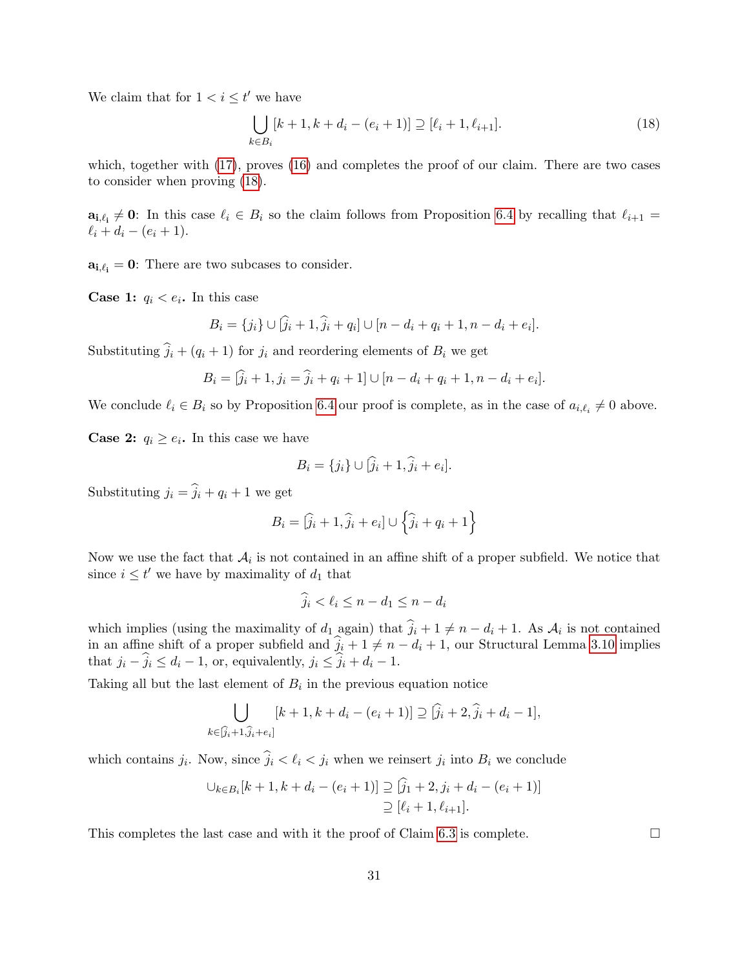We claim that for  $1 < i \leq t'$  we have

<span id="page-31-0"></span>
$$
\bigcup_{k \in B_i} [k+1, k+d_i - (e_i+1)] \supseteq [\ell_i+1, \ell_{i+1}]. \tag{18}
$$

which, together with [\(17\)](#page-30-1), proves [\(16\)](#page-30-2) and completes the proof of our claim. There are two cases to consider when proving [\(18\)](#page-31-0).

 $a_{i,\ell_i} \neq 0$ : In this case  $\ell_i \in B_i$  so the claim follows from Proposition [6.4](#page-30-0) by recalling that  $\ell_{i+1} =$  $\ell_i + d_i - (e_i + 1).$ 

 $a_{i, \ell_i} = 0$ : There are two subcases to consider.

**Case 1:**  $q_i < e_i$ . In this case

$$
B_i = \{j_i\} \cup [\hat{j}_i + 1, \hat{j}_i + q_i] \cup [n - d_i + q_i + 1, n - d_i + e_i].
$$

Substituting  $\hat{j}_i + (q_i + 1)$  for  $j_i$  and reordering elements of  $B_i$  we get

$$
B_i = [\hat{j}_i + 1, j_i = \hat{j}_i + q_i + 1] \cup [n - d_i + q_i + 1, n - d_i + e_i].
$$

We conclude  $\ell_i \in B_i$  so by Proposition [6.4](#page-30-0) our proof is complete, as in the case of  $a_{i,\ell_i} \neq 0$  above.

**Case 2:**  $q_i \geq e_i$ . In this case we have

$$
B_i = \{j_i\} \cup [\widehat{j}_i + 1, \widehat{j}_i + e_i].
$$

Substituting  $j_i = \hat{j}_i + q_i + 1$  we get

$$
B_i = [\hat{j}_i + 1, \hat{j}_i + e_i] \cup \left\{\hat{j}_i + q_i + 1\right\}
$$

Now we use the fact that  $A_i$  is not contained in an affine shift of a proper subfield. We notice that since  $i \leq t'$  we have by maximality of  $d_1$  that

$$
\widehat{j}_i < \ell_i \le n - d_1 \le n - d_i
$$

which implies (using the maximality of  $d_1$  again) that  $j_i + 1 \neq n - d_i + 1$ . As  $\mathcal{A}_i$  is not contained in an affine shift of a proper subfield and  $\hat{j}_i + 1 \neq n - d_i + 1$ , our Structural Lemma [3.10](#page-13-0) implies that  $j_i - \hat{j}_i \leq d_i - 1$ , or, equivalently,  $j_i \leq \hat{j}_i + d_i - 1$ .

Taking all but the last element of  $B_i$  in the previous equation notice

$$
\bigcup_{k \in [\widehat{j}_i+1,\widehat{j}_i+e_i]} [k+1,k+d_i-(e_i+1)] \supseteq [\widehat{j}_i+2,\widehat{j}_i+d_i-1],
$$

which contains  $j_i$ . Now, since  $j_i < \ell_i < j_i$  when we reinsert  $j_i$  into  $B_i$  we conclude

$$
\bigcup_{k \in B_i} [k+1, k+d_i - (e_i + 1)] \supseteq [j_1 + 2, j_i + d_i - (e_i + 1)]
$$
  

$$
\supseteq [l_i + 1, l_{i+1}].
$$

This completes the last case and with it the proof of Claim [6.3](#page-29-0) is complete.  $\Box$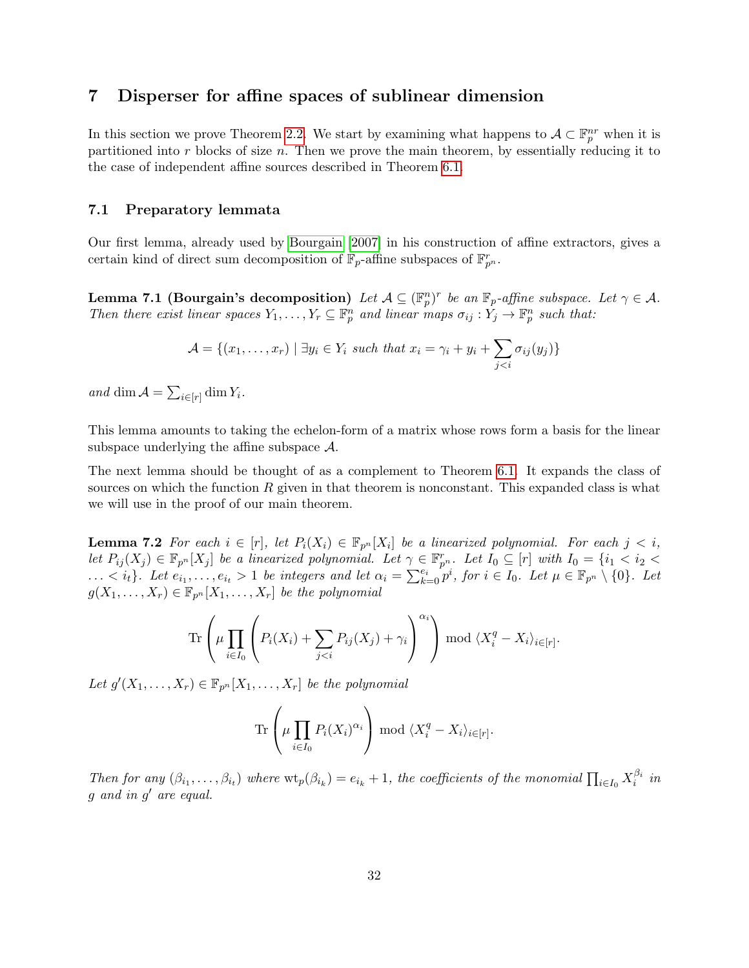### <span id="page-32-0"></span>7 Disperser for affine spaces of sublinear dimension

In this section we prove Theorem [2.2.](#page-6-1) We start by examining what happens to  $\mathcal{A} \subset \mathbb{F}_p^{nr}$  when it is partitioned into r blocks of size n. Then we prove the main theorem, by essentially reducing it to the case of independent affine sources described in Theorem [6.1.](#page-28-0)

#### <span id="page-32-1"></span>7.1 Preparatory lemmata

Our first lemma, already used by [Bourgain](#page-39-1) [\[2007\]](#page-39-1) in his construction of affine extractors, gives a certain kind of direct sum decomposition of  $\mathbb{F}_p$ -affine subspaces of  $\mathbb{F}_{p^n}^r$ .

<span id="page-32-2"></span>**Lemma 7.1 (Bourgain's decomposition)** Let  $A \subseteq (\mathbb{F}_p^n)^r$  be an  $\mathbb{F}_p$ -affine subspace. Let  $\gamma \in A$ . Then there exist linear spaces  $Y_1, \ldots, Y_r \subseteq \mathbb{F}_p^n$  and linear maps  $\sigma_{ij} : Y_j \to \mathbb{F}_p^n$  such that:

$$
\mathcal{A} = \{(x_1, \ldots, x_r) \mid \exists y_i \in Y_i \text{ such that } x_i = \gamma_i + y_i + \sum_{j < i} \sigma_{ij}(y_j)\}
$$

and dim  $\mathcal{A} = \sum_{i \in [r]} \dim Y_i$ .

This lemma amounts to taking the echelon-form of a matrix whose rows form a basis for the linear subspace underlying the affine subspace  $A$ .

The next lemma should be thought of as a complement to Theorem [6.1.](#page-28-0) It expands the class of sources on which the function  $R$  given in that theorem is nonconstant. This expanded class is what we will use in the proof of our main theorem.

<span id="page-32-3"></span>**Lemma 7.2** For each  $i \in [r]$ , let  $P_i(X_i) \in \mathbb{F}_{p^n}[X_i]$  be a linearized polynomial. For each  $j < i$ , let  $P_{ij}(X_j) \in \mathbb{F}_{p^n}[X_j]$  be a linearized polynomial. Let  $\gamma \in \mathbb{F}_{p^n}^r$ . Let  $I_0 \subseteq [r]$  with  $I_0 = \{i_1 < i_2 < j_3\}$  $\ldots < i_t$ . Let  $e_{i_1}, \ldots, e_{i_t} > 1$  be integers and let  $\alpha_i = \sum_{k=0}^{e_i} p^i$ , for  $i \in I_0$ . Let  $\mu \in \mathbb{F}_{p^n} \setminus \{0\}$ . Let  $g(X_1, \ldots, X_r) \in \mathbb{F}_{p^n}[X_1, \ldots, X_r]$  be the polynomial

$$
\operatorname{Tr}\left(\mu \prod_{i\in I_0} \left(P_i(X_i) + \sum_{j
$$

Let  $g'(X_1, \ldots, X_r) \in \mathbb{F}_{p^n}[X_1, \ldots, X_r]$  be the polynomial

$$
\operatorname{Tr}\left(\mu \prod_{i\in I_0} P_i(X_i)^{\alpha_i}\right) \bmod \langle X_i^q - X_i \rangle_{i \in [r]}.
$$

Then for any  $(\beta_{i_1},\ldots,\beta_{i_t})$  where  $\text{wt}_p(\beta_{i_k})=e_{i_k}+1$ , the coefficients of the monomial  $\prod_{i\in I_0}X_i^{\beta_i}$  in  $g$  and in  $g'$  are equal.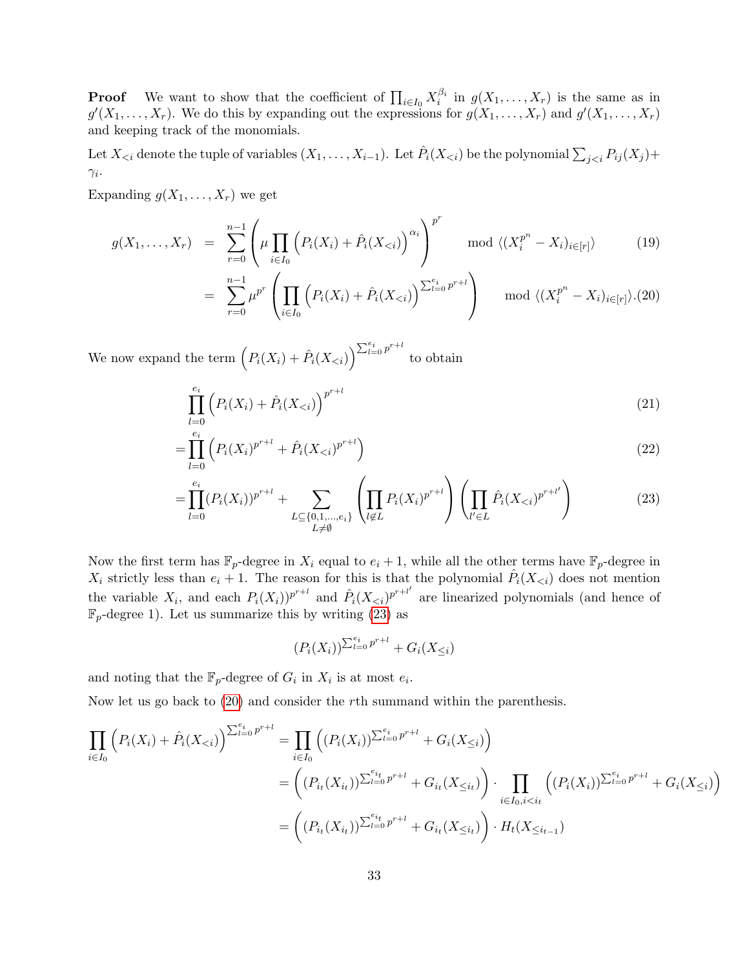**Proof** We want to show that the coefficient of  $\prod_{i\in I_0} X_i^{\beta_i}$  in  $g(X_1,\ldots,X_r)$  is the same as in  $g'(X_1,\ldots,X_r)$ . We do this by expanding out the expressions for  $g(X_1,\ldots,X_r)$  and  $g'(X_1,\ldots,X_r)$ and keeping track of the monomials.

Let  $X_{\le i}$  denote the tuple of variables  $(X_1,\ldots,X_{i-1})$ . Let  $\hat{P}_i(X_{\le i})$  be the polynomial  $\sum_{j\le i}P_{ij}(X_j)+$  $\gamma_i$ .

Expanding  $g(X_1, \ldots, X_r)$  we get

<span id="page-33-1"></span>
$$
g(X_1,\ldots,X_r) = \sum_{r=0}^{n-1} \left(\mu \prod_{i\in I_0} \left(P_i(X_i) + \hat{P}_i(X_{
$$

$$
= \sum_{r=0}^{n-1} \mu^{p^r} \left( \prod_{i \in I_0} \left( P_i(X_i) + \hat{P}_i(X_{< i}) \right)^{\sum_{l=0}^{e_i} p^{r+l}} \right) \mod \langle (X_i^{p^n} - X_i)_{i \in [r]} \rangle . (20)
$$

We now expand the term  $\left(P_i(X_i) + \hat{P}_i(X_{\leq i})\right)^{\sum_{l=0}^{e_i} p^{r+l}}$ to obtain

$$
\prod_{l=0}^{e_i} \left( P_i(X_i) + \hat{P}_i(X_{< i}) \right)^{p^{r+l}} \tag{21}
$$

$$
=\prod_{l=0}^{e_i} \left( P_i(X_i)^{p^{r+l}} + \hat{P}_i(X_{< i})^{p^{r+l}} \right) \tag{22}
$$

$$
= \prod_{l=0}^{e_i} (P_i(X_i))^{p^{r+l}} + \sum_{\substack{L \subseteq \{0,1,\ldots,e_i\} \\ L \neq \emptyset}} \left( \prod_{l \notin L} P_i(X_i)^{p^{r+l}} \right) \left( \prod_{l' \in L} \hat{P}_i(X_{\leq i})^{p^{r+l'}} \right) \tag{23}
$$

Now the first term has  $\mathbb{F}_p$ -degree in  $X_i$  equal to  $e_i + 1$ , while all the other terms have  $\mathbb{F}_p$ -degree in  $X_i$  strictly less than  $e_i + 1$ . The reason for this is that the polynomial  $\hat{P}_i(X_{\leq i})$  does not mention the variable  $X_i$ , and each  $P_i(X_i)p^{r+l}$  and  $\hat{P}_i(X_{\le i})^{p^{r+l}}$  are linearized polynomials (and hence of  $\mathbb{F}_p$ -degree 1). Let us summarize this by writing [\(23\)](#page-33-0) as

<span id="page-33-0"></span>
$$
(P_i(X_i))^{\sum_{l=0}^{e_i} p^{r+l}} + G_i(X_{\leq i})
$$

and noting that the  $\mathbb{F}_p$ -degree of  $G_i$  in  $X_i$  is at most  $e_i$ .

Now let us go back to [\(20\)](#page-33-1) and consider the rth summand within the parenthesis.

$$
\prod_{i \in I_0} \left( P_i(X_i) + \hat{P}_i(X_{< i}) \right)^{\sum_{l=0}^{e_i} p^{r+l}} = \prod_{i \in I_0} \left( (P_i(X_i))^{\sum_{l=0}^{e_i} p^{r+l}} + G_i(X_{\leq i}) \right)
$$
\n
$$
= \left( (P_{i_t}(X_{i_t}))^{\sum_{l=0}^{e_i} p^{r+l}} + G_{i_t}(X_{\leq i_t}) \right) \cdot \prod_{i \in I_0, i < i_t} \left( (P_i(X_i))^{\sum_{l=0}^{e_i} p^{r+l}} + G_i(X_{\leq i}) \right)
$$
\n
$$
= \left( (P_{i_t}(X_{i_t}))^{\sum_{l=0}^{e_i} p^{r+l}} + G_{i_t}(X_{\leq i_t}) \right) \cdot H_t(X_{\leq i_{t-1}})
$$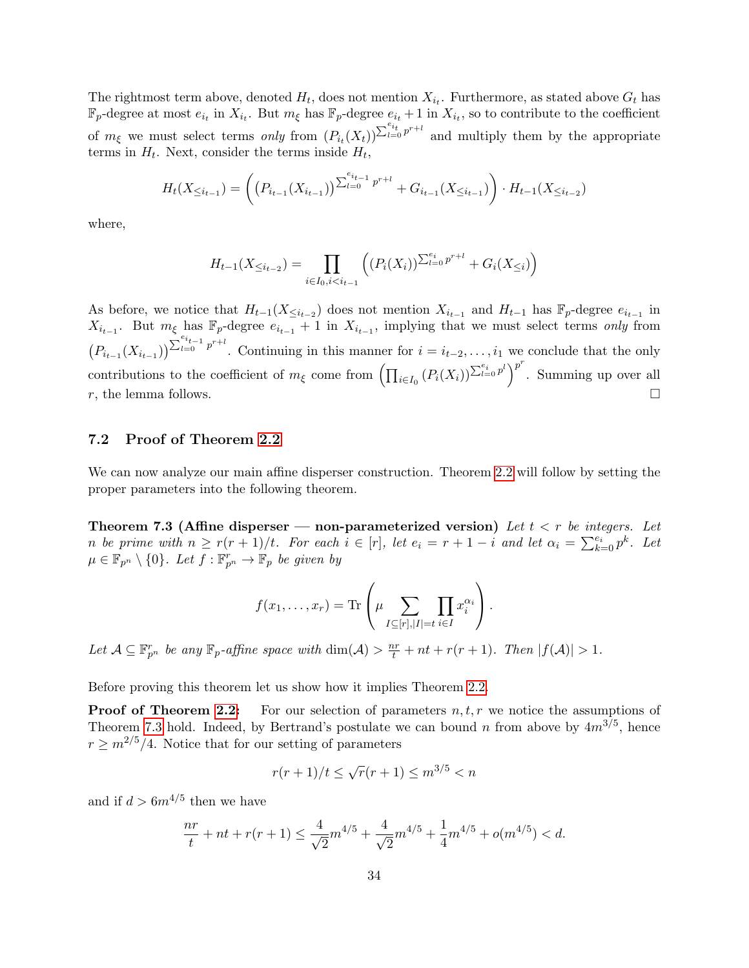The rightmost term above, denoted  $H_t$ , does not mention  $X_{i_t}$ . Furthermore, as stated above  $G_t$  has  $\mathbb{F}_p$ -degree at most  $e_{i_t}$  in  $X_{i_t}$ . But  $m_{\xi}$  has  $\mathbb{F}_p$ -degree  $e_{i_t} + 1$  in  $X_{i_t}$ , so to contribute to the coefficient of  $m_{\xi}$  we must select terms only from  $(P_{i_t}(X_t))^{\sum_{l=0}^{e_{i_t}} p^{r+l}}$  and multiply them by the appropriate terms in  $H_t$ . Next, consider the terms inside  $H_t$ ,

$$
H_t(X_{\leq i_{t-1}}) = \left( \left( P_{i_{t-1}}(X_{i_{t-1}}) \right) \sum_{l=0}^{e_{i_{t-1}}} p^{r+l} + G_{i_{t-1}}(X_{\leq i_{t-1}}) \right) \cdot H_{t-1}(X_{\leq i_{t-2}})
$$

where,

$$
H_{t-1}(X_{\leq i_{t-2}}) = \prod_{i \in I_0, i < i_{t-1}} \left( (P_i(X_i))^{\sum_{l=0}^{e_i} p^{r+l}} + G_i(X_{\leq i}) \right)
$$

As before, we notice that  $H_{t-1}(X_{\leq i_{t-2}})$  does not mention  $X_{i_{t-1}}$  and  $H_{t-1}$  has  $\mathbb{F}_p$ -degree  $e_{i_{t-1}}$  in  $X_{i_{t-1}}$ . But  $m_{\xi}$  has  $\mathbb{F}_p$ -degree  $e_{i_{t-1}}$  + 1 in  $X_{i_{t-1}}$ , implying that we must select terms only from  $\left(P_{i_{t-1}}(X_{i_{t-1}})\right)^{\sum_{l=0}^{e_{i_{t-1}}} p^{r+l}}$ . Continuing in this manner for  $i = i_{t-2}, \ldots, i_1$  we conclude that the only contributions to the coefficient of  $m_{\xi}$  come from  $\left(\prod_{i\in I_0} (P_i(X_i))^{\sum_{l=0}^{e_i} p^l}\right)^{p^r}$ . Summing up over all r, the lemma follows.

#### <span id="page-34-0"></span>7.2 Proof of Theorem [2.2](#page-6-1)

We can now analyze our main affine disperser construction. Theorem [2.2](#page-6-1) will follow by setting the proper parameters into the following theorem.

<span id="page-34-1"></span>**Theorem 7.3 (Affine disperser — non-parameterized version)** Let  $t < r$  be integers. Let n be prime with  $n \geq r(r+1)/t$ . For each  $i \in [r]$ , let  $e_i = r+1-i$  and let  $\alpha_i = \sum_{k=0}^{e_i} p^k$ . Let  $\mu \in \mathbb{F}_{p^n} \setminus \{0\}$ . Let  $f: \mathbb{F}_{p^n}^r \to \mathbb{F}_p$  be given by

$$
f(x_1,\ldots,x_r)=\text{Tr}\left(\mu \sum_{I\subseteq [r],|I|=t}\prod_{i\in I}x_i^{\alpha_i}\right).
$$

Let  $\mathcal{A} \subseteq \mathbb{F}_{p^n}^r$  be any  $\mathbb{F}_p$ -affine space with  $\dim(\mathcal{A}) > \frac{nr}{t} + nt + r(r+1)$ . Then  $|f(\mathcal{A})| > 1$ .

Before proving this theorem let us show how it implies Theorem [2.2.](#page-6-1)

**Proof of Theorem [2.2:](#page-6-1)** For our selection of parameters  $n, t, r$  we notice the assumptions of Theorem [7.3](#page-34-1) hold. Indeed, by Bertrand's postulate we can bound n from above by  $4m^{3/5}$ , hence  $r \geq m^{2/5}/4$ . Notice that for our setting of parameters

$$
r(r+1)/t \le \sqrt{r}(r+1) \le m^{3/5} < n
$$

and if  $d > 6m^{4/5}$  then we have

$$
\frac{nr}{t} + nt + r(r+1) \le \frac{4}{\sqrt{2}}m^{4/5} + \frac{4}{\sqrt{2}}m^{4/5} + \frac{1}{4}m^{4/5} + o(m^{4/5}) < d.
$$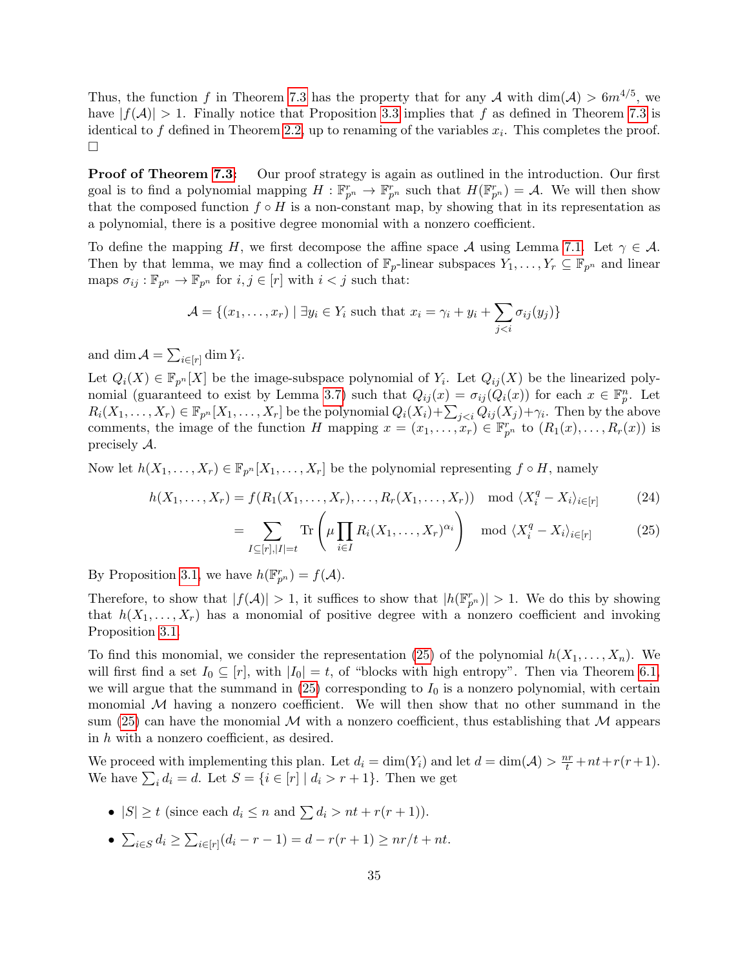Thus, the function f in Theorem [7.3](#page-34-1) has the property that for any A with  $\dim(\mathcal{A}) > 6m^{4/5}$ , we have  $|f(A)| > 1$ . Finally notice that Proposition [3.3](#page-11-1) implies that f as defined in Theorem [7.3](#page-34-1) is identical to f defined in Theorem [2.2,](#page-6-1) up to renaming of the variables  $x_i$ . This completes the proof.  $\Box$ 

**Proof of Theorem [7.3:](#page-34-1)** Our proof strategy is again as outlined in the introduction. Our first goal is to find a polynomial mapping  $H: \mathbb{F}_{p^n}^r \to \mathbb{F}_{p^n}^r$  such that  $H(\mathbb{F}_{p^n}^r) = A$ . We will then show that the composed function  $f \circ H$  is a non-constant map, by showing that in its representation as a polynomial, there is a positive degree monomial with a nonzero coefficient.

To define the mapping H, we first decompose the affine space A using Lemma [7.1.](#page-32-2) Let  $\gamma \in \mathcal{A}$ . Then by that lemma, we may find a collection of  $\mathbb{F}_p$ -linear subspaces  $Y_1, \ldots, Y_r \subseteq \mathbb{F}_{p^n}$  and linear maps  $\sigma_{ij} : \mathbb{F}_{p^n} \to \mathbb{F}_{p^n}$  for  $i, j \in [r]$  with  $i < j$  such that:

$$
\mathcal{A} = \{(x_1, \dots, x_r) \mid \exists y_i \in Y_i \text{ such that } x_i = \gamma_i + y_i + \sum_{j < i} \sigma_{ij}(y_j)\}
$$

and dim  $\mathcal{A} = \sum_{i \in [r]} \dim Y_i$ .

Let  $Q_i(X) \in \mathbb{F}_{p^n}[X]$  be the image-subspace polynomial of  $Y_i$ . Let  $Q_{ij}(X)$  be the linearized poly-nomial (guaranteed to exist by Lemma [3.7\)](#page-12-1) such that  $Q_{ij}(x) = \sigma_{ij}(Q_i(x))$  for each  $x \in \mathbb{F}_p^n$ . Let  $R_i(X_1,\ldots,X_r) \in \mathbb{F}_{p^n}[X_1,\ldots,X_r]$  be the polynomial  $Q_i(X_i) + \sum_{j. Then by the above$ comments, the image of the function H mapping  $x = (x_1, \ldots, x_r) \in \mathbb{F}_{p^n}^r$  to  $(R_1(x), \ldots, R_r(x))$  is precisely A.

Now let  $h(X_1, \ldots, X_r) \in \mathbb{F}_{p^n}[X_1, \ldots, X_r]$  be the polynomial representing  $f \circ H$ , namely

$$
h(X_1, \ldots, X_r) = f(R_1(X_1, \ldots, X_r), \ldots, R_r(X_1, \ldots, X_r)) \mod \langle X_i^q - X_i \rangle_{i \in [r]}
$$
(24)

<span id="page-35-0"></span>
$$
= \sum_{I \subseteq [r], |I|=t} \text{Tr}\left(\mu \prod_{i \in I} R_i(X_1, \dots, X_r)^{\alpha_i}\right) \mod \langle X_i^q - X_i \rangle_{i \in [r]} \tag{25}
$$

By Proposition [3.1,](#page-10-2) we have  $h(\mathbb{F}_{p^n}^r) = f(\mathcal{A})$ .

Therefore, to show that  $|f(A)| > 1$ , it suffices to show that  $|h(\mathbb{F}_{p^n}^r)| > 1$ . We do this by showing that  $h(X_1, \ldots, X_r)$  has a monomial of positive degree with a nonzero coefficient and invoking Proposition [3.1.](#page-10-2)

To find this monomial, we consider the representation [\(25\)](#page-35-0) of the polynomial  $h(X_1, \ldots, X_n)$ . We will first find a set  $I_0 \subseteq [r]$ , with  $|I_0| = t$ , of "blocks with high entropy". Then via Theorem [6.1,](#page-28-0) we will argue that the summand in  $(25)$  corresponding to  $I_0$  is a nonzero polynomial, with certain monomial  $M$  having a nonzero coefficient. We will then show that no other summand in the sum [\(25\)](#page-35-0) can have the monomial M with a nonzero coefficient, thus establishing that M appears in h with a nonzero coefficient, as desired.

We proceed with implementing this plan. Let  $d_i = \dim(Y_i)$  and let  $d = \dim(\mathcal{A}) > \frac{nr}{t} + nt + r(r+1)$ . We have  $\sum_i d_i = d$ . Let  $S = \{i \in [r] \mid d_i > r + 1\}$ . Then we get

- $|S| \ge t$  (since each  $d_i \le n$  and  $\sum d_i > nt + r(r + 1)$ ).
- $\sum_{i \in S} d_i \ge \sum_{i \in [r]} (d_i r 1) = d r(r + 1) \ge nr/t + nt.$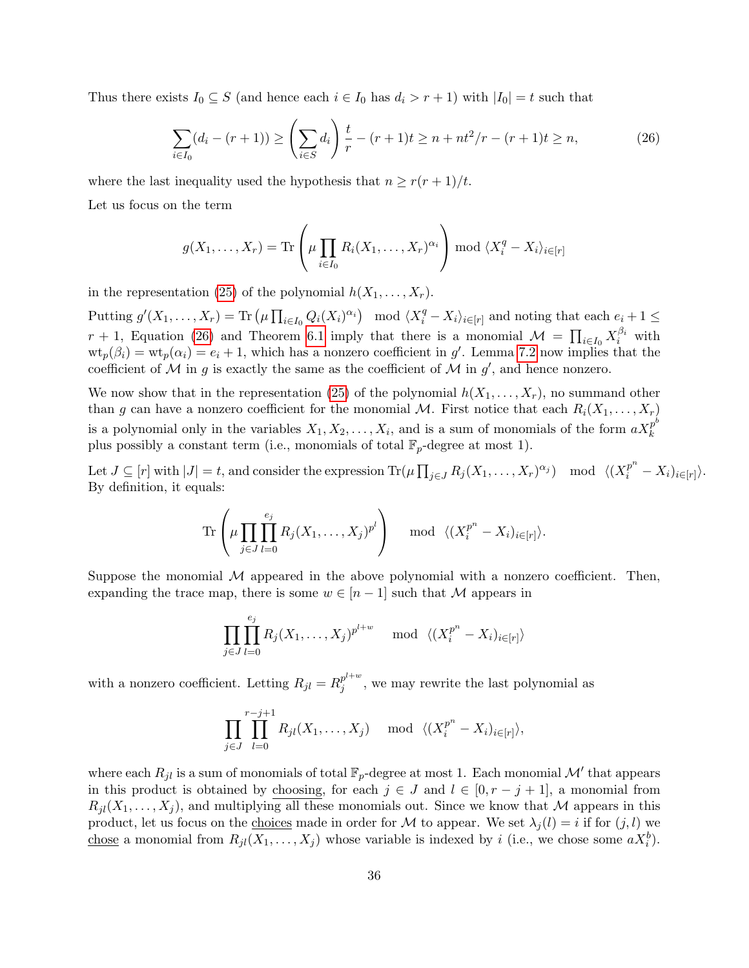Thus there exists  $I_0 \subseteq S$  (and hence each  $i \in I_0$  has  $d_i > r + 1$ ) with  $|I_0| = t$  such that

<span id="page-36-0"></span>
$$
\sum_{i \in I_0} (d_i - (r+1)) \ge \left(\sum_{i \in S} d_i\right) \frac{t}{r} - (r+1)t \ge n + nt^2/r - (r+1)t \ge n,\tag{26}
$$

where the last inequality used the hypothesis that  $n \geq r(r+1)/t$ .

Let us focus on the term

$$
g(X_1, \ldots, X_r) = \text{Tr}\left(\mu \prod_{i \in I_0} R_i(X_1, \ldots, X_r)^{\alpha_i}\right) \bmod \langle X_i^q - X_i \rangle_{i \in [r]}
$$

in the representation [\(25\)](#page-35-0) of the polynomial  $h(X_1, \ldots, X_r)$ .

Putting  $g'(X_1,\ldots,X_r) = \text{Tr} \left(\mu \prod_{i \in I_0} Q_i(X_i)^{\alpha_i}\right) \mod \langle X_i^q - X_i \rangle_{i \in [r]}$  and noting that each  $e_i + 1 \leq$  $r+1$ , Equation [\(26\)](#page-36-0) and Theorem [6.1](#page-28-0) imply that there is a monomial  $\mathcal{M} = \prod_{i \in I_0} X_i^{\beta_i}$  with  $\text{wt}_p(\beta_i) = \text{wt}_p(\alpha_i) = e_i + 1$ , which has a nonzero coefficient in g'. Lemma [7.2](#page-32-3) now implies that the coefficient of M in g is exactly the same as the coefficient of M in  $g'$ , and hence nonzero.

We now show that in the representation [\(25\)](#page-35-0) of the polynomial  $h(X_1, \ldots, X_r)$ , no summand other than g can have a nonzero coefficient for the monomial M. First notice that each  $R_i(X_1, \ldots, X_r)$ is a polynomial only in the variables  $X_1, X_2, \ldots, X_i$ , and is a sum of monomials of the form  $aX_k^{p^b}$ k plus possibly a constant term (i.e., monomials of total  $\mathbb{F}_p$ -degree at most 1).

Let  $J \subseteq [r]$  with  $|J| = t$ , and consider the expression  $\text{Tr}(\mu \prod_{j \in J} R_j(X_1, \ldots, X_r)^{\alpha_j})$  mod  $\langle (X_i^{p^n} - X_i)_{i \in [r]} \rangle$ . By definition, it equals:

$$
\operatorname{Tr}\left(\mu \prod_{j\in J} \prod_{l=0}^{e_j} R_j(X_1,\ldots,X_j)^{p^l}\right) \mod \langle (X_i^{p^n}-X_i)_{i\in[r]}\rangle.
$$

Suppose the monomial  $M$  appeared in the above polynomial with a nonzero coefficient. Then, expanding the trace map, there is some  $w \in [n-1]$  such that M appears in

$$
\prod_{j\in J}\prod_{l=0}^{e_j} R_j(X_1,\ldots,X_j)^{p^{l+w}} \mod \langle (X_i^{p^n}-X_i)_{i\in[r]}\rangle
$$

with a nonzero coefficient. Letting  $R_{jl} = R_j^{p^{l+w}}$  $j^{p^*}$ , we may rewrite the last polynomial as

$$
\prod_{j\in J}\prod_{l=0}^{r-j+1}R_{jl}(X_1,\ldots,X_j) \mod \langle (X_i^{p^n}-X_i)_{i\in[r]}\rangle,
$$

where each  $R_{jl}$  is a sum of monomials of total  $\mathbb{F}_p$ -degree at most 1. Each monomial  $\mathcal{M}'$  that appears in this product is obtained by choosing, for each  $j \in J$  and  $l \in [0, r - j + 1]$ , a monomial from  $R_{il}(X_1,\ldots,X_j)$ , and multiplying all these monomials out. Since we know that M appears in this product, let us focus on the choices made in order for M to appear. We set  $\lambda_i(l) = i$  if for  $(j, l)$  we chose a monomial from  $R_{jl}(X_1,\ldots,X_j)$  whose variable is indexed by i (i.e., we chose some  $aX_i^b$ ).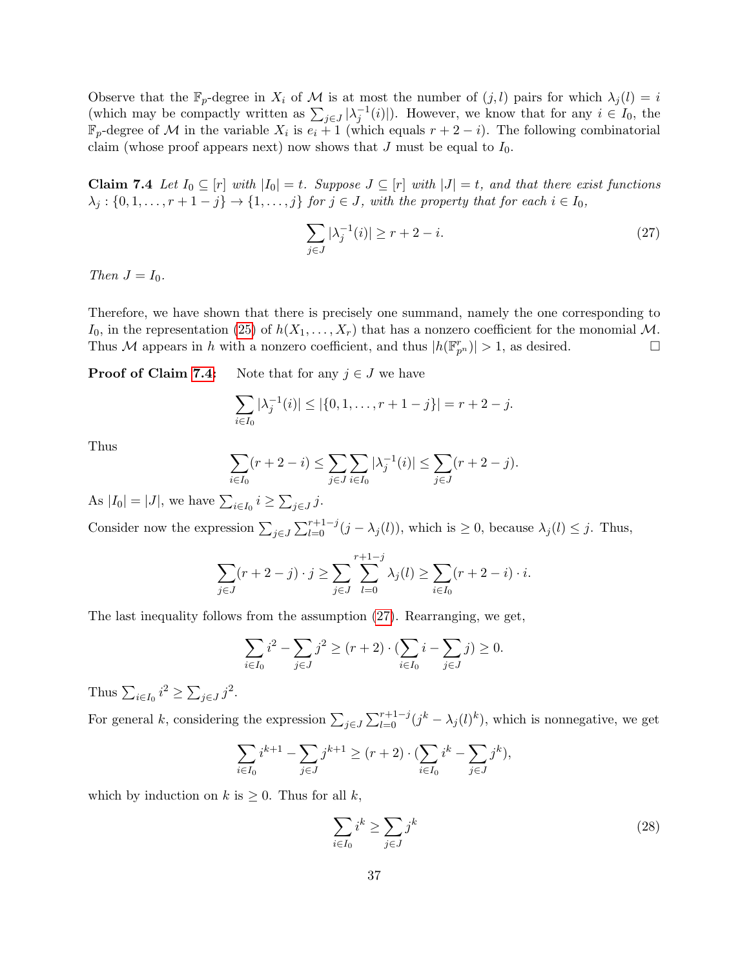Observe that the  $\mathbb{F}_p$ -degree in  $X_i$  of M is at most the number of  $(j, l)$  pairs for which  $\lambda_j(l) = i$ (which may be compactly written as  $\sum_{j\in J} |\lambda_j^{-1}(i)|$ ). However, we know that for any  $i \in I_0$ , the  $\mathbb{F}_p$ -degree of M in the variable  $X_i$  is  $e_i + 1$  (which equals  $r + 2 - i$ ). The following combinatorial claim (whose proof appears next) now shows that  $J$  must be equal to  $I_0$ .

<span id="page-37-0"></span>**Claim 7.4** Let  $I_0 \subseteq [r]$  with  $|I_0| = t$ . Suppose  $J \subseteq [r]$  with  $|J| = t$ , and that there exist functions  $\lambda_j : \{0, 1, \ldots, r + 1 - j\} \to \{1, \ldots, j\}$  for  $j \in J$ , with the property that for each  $i \in I_0$ ,

<span id="page-37-1"></span>
$$
\sum_{j \in J} |\lambda_j^{-1}(i)| \ge r + 2 - i. \tag{27}
$$

Then  $J = I_0$ .

Therefore, we have shown that there is precisely one summand, namely the one corresponding to  $I_0$ , in the representation [\(25\)](#page-35-0) of  $h(X_1, \ldots, X_r)$  that has a nonzero coefficient for the monomial M. Thus M appears in h with a nonzero coefficient, and thus  $|h(\mathbb{F}_{p^n}^r)| > 1$ , as desired.

**Proof of Claim [7.4:](#page-37-0)** Note that for any  $j \in J$  we have

$$
\sum_{i\in I_0} |\lambda_j^{-1}(i)| \le |\{0, 1, \dots, r+1-j\}| = r+2-j.
$$

Thus

$$
\sum_{i \in I_0} (r + 2 - i) \le \sum_{j \in J} \sum_{i \in I_0} |\lambda_j^{-1}(i)| \le \sum_{j \in J} (r + 2 - j).
$$

As  $|I_0| = |J|$ , we have  $\sum_{i \in I_0} i \ge \sum_{j \in J} j$ .

Consider now the expression  $\sum_{j\in J}\sum_{l=0}^{r+1-j}(j-\lambda_j(l))$ , which is  $\geq 0$ , because  $\lambda_j(l)\leq j$ . Thus,

$$
\sum_{j \in J} (r + 2 - j) \cdot j \ge \sum_{j \in J} \sum_{l=0}^{r+1-j} \lambda_j(l) \ge \sum_{i \in I_0} (r + 2 - i) \cdot i.
$$

The last inequality follows from the assumption [\(27\)](#page-37-1). Rearranging, we get,

$$
\sum_{i \in I_0} i^2 - \sum_{j \in J} j^2 \ge (r+2) \cdot (\sum_{i \in I_0} i - \sum_{j \in J} j) \ge 0.
$$

Thus  $\sum_{i\in I_0} i^2 \ge \sum_{j\in J} j^2$ .

For general k, considering the expression  $\sum_{j\in J}\sum_{l=0}^{r+1-j}(j^k-\lambda_j(l)^k)$ , which is nonnegative, we get

$$
\sum_{i \in I_0} i^{k+1} - \sum_{j \in J} j^{k+1} \ge (r+2) \cdot (\sum_{i \in I_0} i^k - \sum_{j \in J} j^k),
$$

which by induction on k is  $\geq 0$ . Thus for all k,

<span id="page-37-2"></span>
$$
\sum_{i \in I_0} i^k \ge \sum_{j \in J} j^k \tag{28}
$$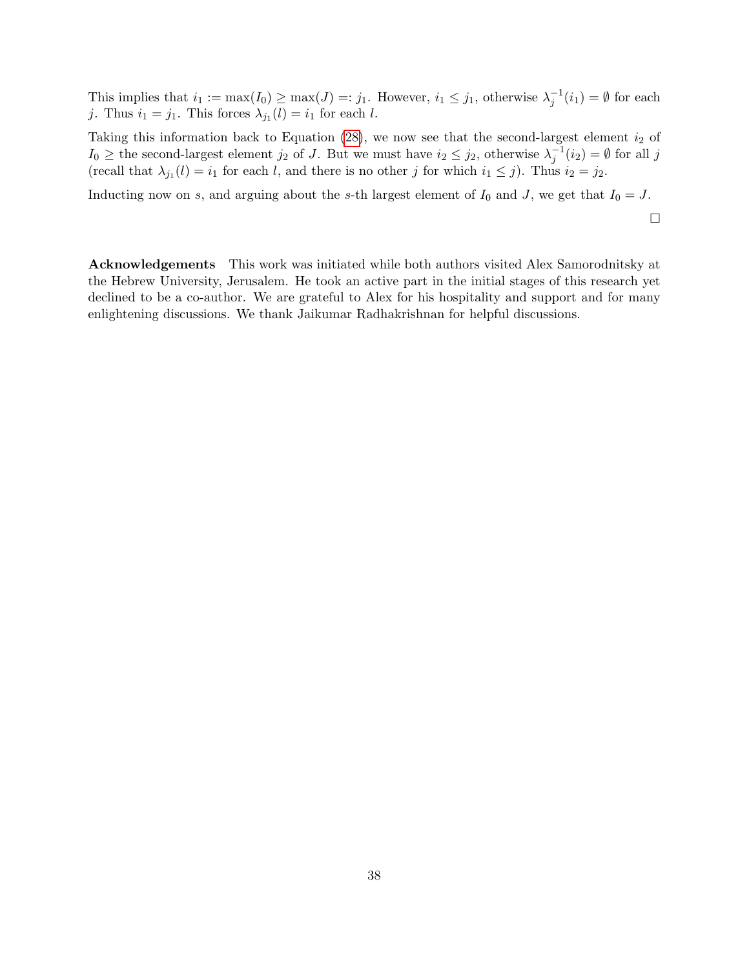This implies that  $i_1 := \max(I_0) \ge \max(J) =: j_1$ . However,  $i_1 \le j_1$ , otherwise  $\lambda_j^{-1}(i_1) = \emptyset$  for each j. Thus  $i_1 = j_1$ . This forces  $\lambda_{j_1}(l) = i_1$  for each l.

Taking this information back to Equation  $(28)$ , we now see that the second-largest element  $i_2$  of  $I_0 \geq$  the second-largest element  $j_2$  of J. But we must have  $i_2 \leq j_2$ , otherwise  $\lambda_j^{-1}(i_2) = \emptyset$  for all j (recall that  $\lambda_{j_1}(l) = i_1$  for each l, and there is no other j for which  $i_1 \leq j$ ). Thus  $i_2 = j_2$ .

Inducting now on s, and arguing about the s-th largest element of  $I_0$  and J, we get that  $I_0 = J$ .

 $\Box$ 

Acknowledgements This work was initiated while both authors visited Alex Samorodnitsky at the Hebrew University, Jerusalem. He took an active part in the initial stages of this research yet declined to be a co-author. We are grateful to Alex for his hospitality and support and for many enlightening discussions. We thank Jaikumar Radhakrishnan for helpful discussions.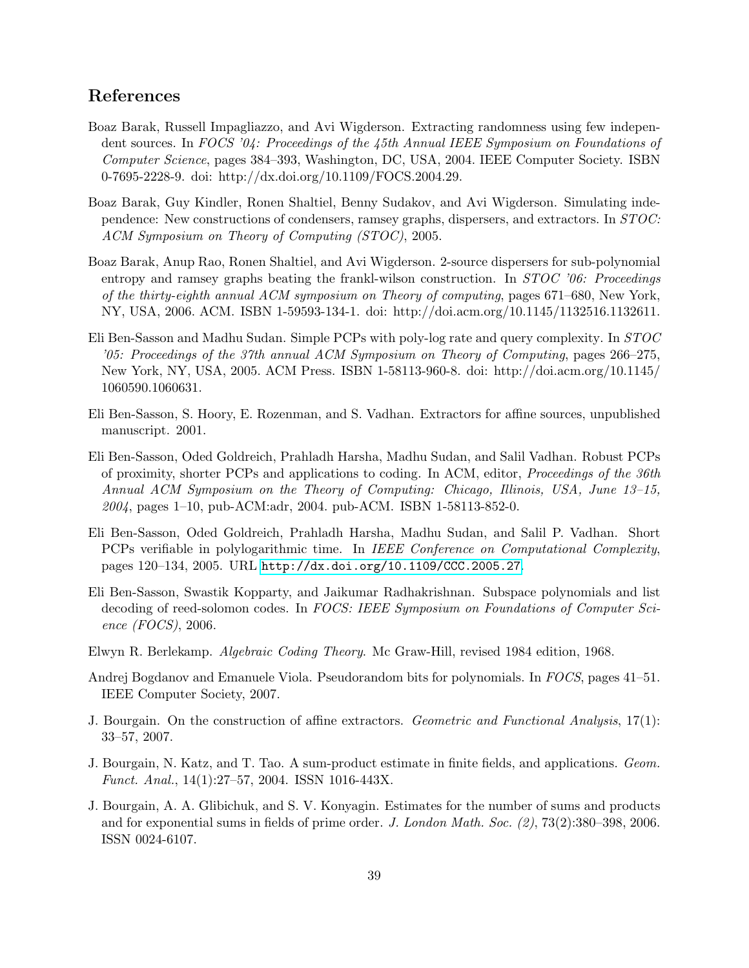# References

- <span id="page-39-10"></span>Boaz Barak, Russell Impagliazzo, and Avi Wigderson. Extracting randomness using few independent sources. In FOCS '04: Proceedings of the 45th Annual IEEE Symposium on Foundations of Computer Science, pages 384–393, Washington, DC, USA, 2004. IEEE Computer Society. ISBN 0-7695-2228-9. doi: http://dx.doi.org/10.1109/FOCS.2004.29.
- <span id="page-39-0"></span>Boaz Barak, Guy Kindler, Ronen Shaltiel, Benny Sudakov, and Avi Wigderson. Simulating independence: New constructions of condensers, ramsey graphs, dispersers, and extractors. In STOC: ACM Symposium on Theory of Computing (STOC), 2005.
- <span id="page-39-11"></span>Boaz Barak, Anup Rao, Ronen Shaltiel, and Avi Wigderson. 2-source dispersers for sub-polynomial entropy and ramsey graphs beating the frankl-wilson construction. In *STOC* '06: Proceedings of the thirty-eighth annual ACM symposium on Theory of computing, pages 671–680, New York, NY, USA, 2006. ACM. ISBN 1-59593-134-1. doi: http://doi.acm.org/10.1145/1132516.1132611.
- <span id="page-39-7"></span>Eli Ben-Sasson and Madhu Sudan. Simple PCPs with poly-log rate and query complexity. In STOC '05: Proceedings of the 37th annual ACM Symposium on Theory of Computing, pages 266–275, New York, NY, USA, 2005. ACM Press. ISBN 1-58113-960-8. doi: http://doi.acm.org/10.1145/ 1060590.1060631.
- <span id="page-39-2"></span>Eli Ben-Sasson, S. Hoory, E. Rozenman, and S. Vadhan. Extractors for affine sources, unpublished manuscript. 2001.
- <span id="page-39-6"></span>Eli Ben-Sasson, Oded Goldreich, Prahladh Harsha, Madhu Sudan, and Salil Vadhan. Robust PCPs of proximity, shorter PCPs and applications to coding. In ACM, editor, Proceedings of the 36th Annual ACM Symposium on the Theory of Computing: Chicago, Illinois, USA, June 13–15, 2004, pages 1–10, pub-ACM:adr, 2004. pub-ACM. ISBN 1-58113-852-0.
- <span id="page-39-8"></span>Eli Ben-Sasson, Oded Goldreich, Prahladh Harsha, Madhu Sudan, and Salil P. Vadhan. Short PCPs verifiable in polylogarithmic time. In IEEE Conference on Computational Complexity, pages 120–134, 2005. URL <http://dx.doi.org/10.1109/CCC.2005.27>.
- <span id="page-39-9"></span>Eli Ben-Sasson, Swastik Kopparty, and Jaikumar Radhakrishnan. Subspace polynomials and list decoding of reed-solomon codes. In FOCS: IEEE Symposium on Foundations of Computer Science (FOCS), 2006.
- <span id="page-39-5"></span>Elwyn R. Berlekamp. Algebraic Coding Theory. Mc Graw-Hill, revised 1984 edition, 1968.
- <span id="page-39-12"></span>Andrej Bogdanov and Emanuele Viola. Pseudorandom bits for polynomials. In FOCS, pages 41–51. IEEE Computer Society, 2007.
- <span id="page-39-1"></span>J. Bourgain. On the construction of affine extractors. Geometric and Functional Analysis, 17(1): 33–57, 2007.
- <span id="page-39-3"></span>J. Bourgain, N. Katz, and T. Tao. A sum-product estimate in finite fields, and applications. Geom. Funct. Anal., 14(1):27–57, 2004. ISSN 1016-443X.
- <span id="page-39-4"></span>J. Bourgain, A. A. Glibichuk, and S. V. Konyagin. Estimates for the number of sums and products and for exponential sums in fields of prime order. J. London Math. Soc. (2), 73(2):380–398, 2006. ISSN 0024-6107.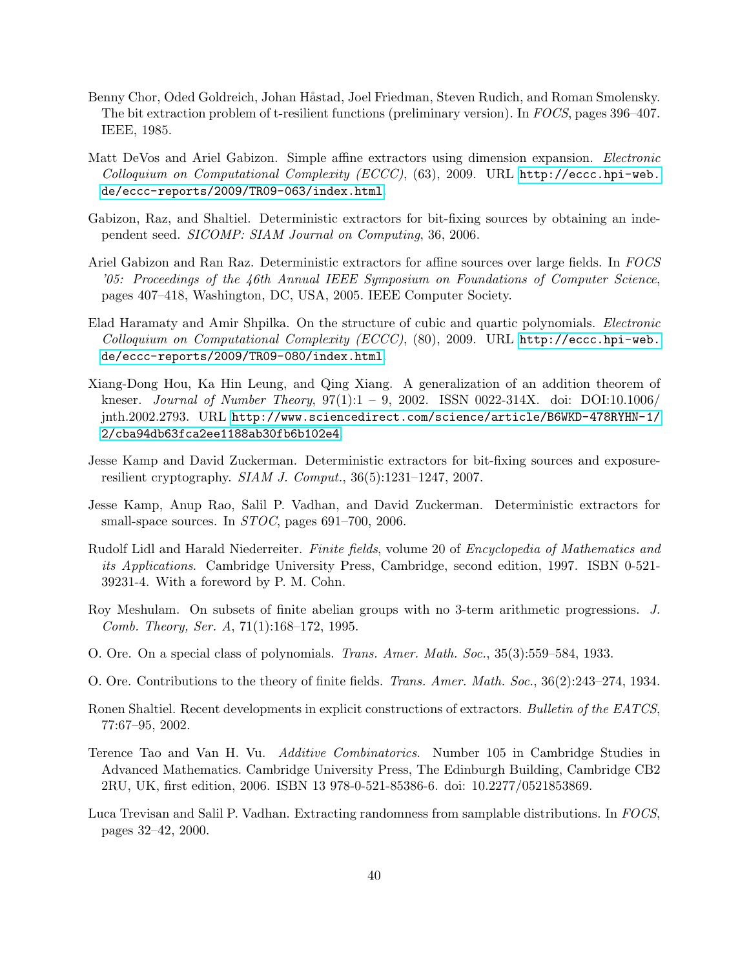- <span id="page-40-0"></span>Benny Chor, Oded Goldreich, Johan Håstad, Joel Friedman, Steven Rudich, and Roman Smolensky. The bit extraction problem of t-resilient functions (preliminary version). In FOCS, pages 396–407. IEEE, 1985.
- <span id="page-40-5"></span>Matt DeVos and Ariel Gabizon. Simple affine extractors using dimension expansion. Electronic Colloquium on Computational Complexity (ECCC), (63), 2009. URL [http://eccc.hpi-web.](http://eccc.hpi-web.de/eccc-reports/2009/TR09-063/index.html) [de/eccc-reports/2009/TR09-063/index.html](http://eccc.hpi-web.de/eccc-reports/2009/TR09-063/index.html).
- <span id="page-40-1"></span>Gabizon, Raz, and Shaltiel. Deterministic extractors for bit-fixing sources by obtaining an independent seed. SICOMP: SIAM Journal on Computing, 36, 2006.
- <span id="page-40-4"></span>Ariel Gabizon and Ran Raz. Deterministic extractors for affine sources over large fields. In FOCS '05: Proceedings of the 46th Annual IEEE Symposium on Foundations of Computer Science, pages 407–418, Washington, DC, USA, 2005. IEEE Computer Society.
- <span id="page-40-10"></span>Elad Haramaty and Amir Shpilka. On the structure of cubic and quartic polynomials. Electronic Colloquium on Computational Complexity (ECCC), (80), 2009. URL [http://eccc.hpi-web.](http://eccc.hpi-web.de/eccc-reports/2009/TR09-080/index.html) [de/eccc-reports/2009/TR09-080/index.html](http://eccc.hpi-web.de/eccc-reports/2009/TR09-080/index.html).
- <span id="page-40-13"></span>Xiang-Dong Hou, Ka Hin Leung, and Qing Xiang. A generalization of an addition theorem of kneser. Journal of Number Theory,  $97(1):1 - 9$ , 2002. ISSN 0022-314X. doi: DOI:10.1006/ jnth.2002.2793. URL [http://www.sciencedirect.com/science/article/B6WKD-478RYHN-1/](http://www.sciencedirect.com/science/article/B6WKD-478RYHN-1/2/cba94db63fca2ee1188ab30fb6b102e4) [2/cba94db63fca2ee1188ab30fb6b102e4](http://www.sciencedirect.com/science/article/B6WKD-478RYHN-1/2/cba94db63fca2ee1188ab30fb6b102e4).
- <span id="page-40-3"></span>Jesse Kamp and David Zuckerman. Deterministic extractors for bit-fixing sources and exposureresilient cryptography. SIAM J. Comput., 36(5):1231–1247, 2007.
- <span id="page-40-9"></span>Jesse Kamp, Anup Rao, Salil P. Vadhan, and David Zuckerman. Deterministic extractors for small-space sources. In *STOC*, pages 691–700, 2006.
- <span id="page-40-8"></span>Rudolf Lidl and Harald Niederreiter. Finite fields, volume 20 of Encyclopedia of Mathematics and its Applications. Cambridge University Press, Cambridge, second edition, 1997. ISBN 0-521- 39231-4. With a foreword by P. M. Cohn.
- <span id="page-40-11"></span>Roy Meshulam. On subsets of finite abelian groups with no 3-term arithmetic progressions. J. Comb. Theory, Ser. A, 71(1):168–172, 1995.
- <span id="page-40-6"></span>O. Ore. On a special class of polynomials. Trans. Amer. Math. Soc., 35(3):559–584, 1933.
- <span id="page-40-7"></span>O. Ore. Contributions to the theory of finite fields. Trans. Amer. Math. Soc., 36(2):243–274, 1934.
- <span id="page-40-12"></span>Ronen Shaltiel. Recent developments in explicit constructions of extractors. Bulletin of the EATCS, 77:67–95, 2002.
- <span id="page-40-14"></span>Terence Tao and Van H. Vu. Additive Combinatorics. Number 105 in Cambridge Studies in Advanced Mathematics. Cambridge University Press, The Edinburgh Building, Cambridge CB2 2RU, UK, first edition, 2006. ISBN 13 978-0-521-85386-6. doi: 10.2277/0521853869.
- <span id="page-40-2"></span>Luca Trevisan and Salil P. Vadhan. Extracting randomness from samplable distributions. In FOCS, pages 32–42, 2000.